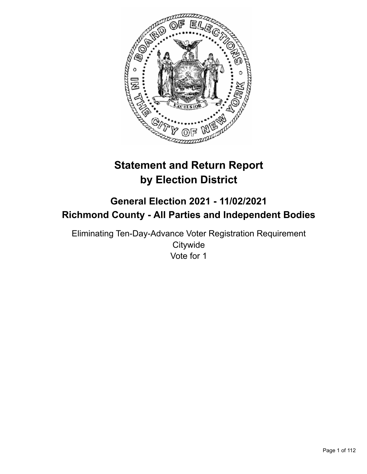

# **Statement and Return Report by Election District**

## **General Election 2021 - 11/02/2021 Richmond County - All Parties and Independent Bodies**

Eliminating Ten-Day-Advance Voter Registration Requirement **Citywide** Vote for 1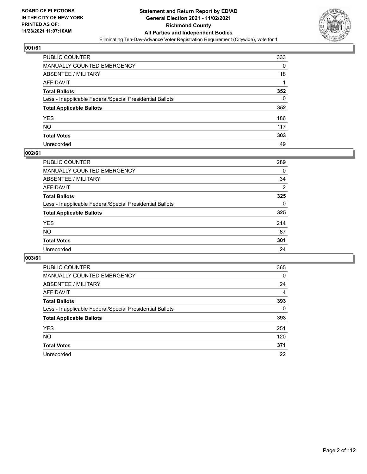

| PUBLIC COUNTER                                           | 333 |
|----------------------------------------------------------|-----|
| MANUALLY COUNTED EMERGENCY                               | 0   |
| ABSENTEE / MILITARY                                      | 18  |
| AFFIDAVIT                                                |     |
| <b>Total Ballots</b>                                     | 352 |
| Less - Inapplicable Federal/Special Presidential Ballots | 0   |
| <b>Total Applicable Ballots</b>                          | 352 |
| YES                                                      | 186 |
| NO.                                                      | 117 |
| <b>Total Votes</b>                                       | 303 |
| Unrecorded                                               | 49  |

#### **002/61**

| PUBLIC COUNTER                                           | 289            |
|----------------------------------------------------------|----------------|
| <b>MANUALLY COUNTED EMERGENCY</b>                        | 0              |
| ABSENTEE / MILITARY                                      | 34             |
| AFFIDAVIT                                                | $\overline{2}$ |
| <b>Total Ballots</b>                                     | 325            |
| Less - Inapplicable Federal/Special Presidential Ballots | $\Omega$       |
| <b>Total Applicable Ballots</b>                          | 325            |
| <b>YES</b>                                               | 214            |
| <b>NO</b>                                                | 87             |
| <b>Total Votes</b>                                       | 301            |
| Unrecorded                                               | 24             |

| <b>PUBLIC COUNTER</b>                                    | 365      |
|----------------------------------------------------------|----------|
| MANUALLY COUNTED EMERGENCY                               | 0        |
| ABSENTEE / MILITARY                                      | 24       |
| AFFIDAVIT                                                | 4        |
| <b>Total Ballots</b>                                     | 393      |
| Less - Inapplicable Federal/Special Presidential Ballots | $\Omega$ |
| <b>Total Applicable Ballots</b>                          | 393      |
| <b>YES</b>                                               | 251      |
| NO.                                                      | 120      |
| <b>Total Votes</b>                                       | 371      |
| Unrecorded                                               | 22       |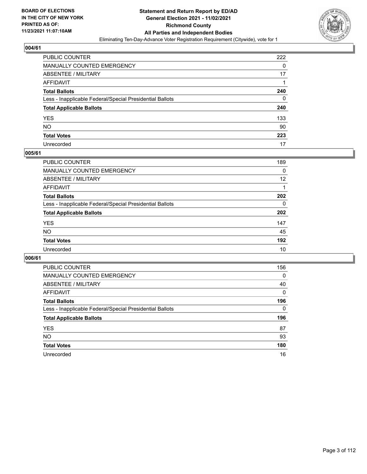

| PUBLIC COUNTER                                           | 222 |
|----------------------------------------------------------|-----|
| MANUALLY COUNTED EMERGENCY                               | 0   |
| ABSENTEE / MILITARY                                      | 17  |
| AFFIDAVIT                                                |     |
| <b>Total Ballots</b>                                     | 240 |
| Less - Inapplicable Federal/Special Presidential Ballots | 0   |
| <b>Total Applicable Ballots</b>                          | 240 |
| YES                                                      | 133 |
| NO.                                                      | 90  |
| <b>Total Votes</b>                                       | 223 |
| Unrecorded                                               | 17  |

#### **005/61**

| <b>PUBLIC COUNTER</b>                                    | 189      |
|----------------------------------------------------------|----------|
| <b>MANUALLY COUNTED EMERGENCY</b>                        | 0        |
| ABSENTEE / MILITARY                                      | 12       |
| AFFIDAVIT                                                |          |
| <b>Total Ballots</b>                                     | 202      |
| Less - Inapplicable Federal/Special Presidential Ballots | $\Omega$ |
| <b>Total Applicable Ballots</b>                          | 202      |
| <b>YES</b>                                               | 147      |
| <b>NO</b>                                                | 45       |
| <b>Total Votes</b>                                       | 192      |
| Unrecorded                                               | 10       |

| <b>PUBLIC COUNTER</b>                                    | 156          |
|----------------------------------------------------------|--------------|
| <b>MANUALLY COUNTED EMERGENCY</b>                        | 0            |
| ABSENTEE / MILITARY                                      | 40           |
| AFFIDAVIT                                                | $\mathbf{0}$ |
| <b>Total Ballots</b>                                     | 196          |
| Less - Inapplicable Federal/Special Presidential Ballots | $\Omega$     |
| <b>Total Applicable Ballots</b>                          | 196          |
| <b>YES</b>                                               | 87           |
| <b>NO</b>                                                | 93           |
| <b>Total Votes</b>                                       | 180          |
| Unrecorded                                               | 16           |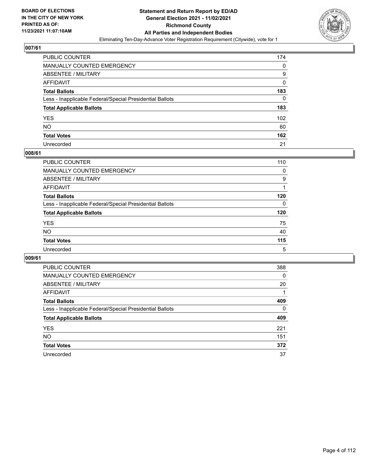

| PUBLIC COUNTER                                           | 174 |
|----------------------------------------------------------|-----|
| MANUALLY COUNTED EMERGENCY                               | 0   |
| <b>ABSENTEE / MILITARY</b>                               | 9   |
| AFFIDAVIT                                                | 0   |
| <b>Total Ballots</b>                                     | 183 |
| Less - Inapplicable Federal/Special Presidential Ballots | 0   |
| <b>Total Applicable Ballots</b>                          | 183 |
| YES                                                      | 102 |
| NO.                                                      | 60  |
| <b>Total Votes</b>                                       | 162 |
| Unrecorded                                               | 21  |

#### **008/61**

| <b>PUBLIC COUNTER</b>                                    | 110      |
|----------------------------------------------------------|----------|
| <b>MANUALLY COUNTED EMERGENCY</b>                        | $\Omega$ |
| ABSENTEE / MILITARY                                      | 9        |
| AFFIDAVIT                                                |          |
| <b>Total Ballots</b>                                     | 120      |
| Less - Inapplicable Federal/Special Presidential Ballots | $\Omega$ |
| <b>Total Applicable Ballots</b>                          | 120      |
| <b>YES</b>                                               | 75       |
| <b>NO</b>                                                | 40       |
| <b>Total Votes</b>                                       | 115      |
| Unrecorded                                               | 5        |

| <b>PUBLIC COUNTER</b>                                    | 388      |
|----------------------------------------------------------|----------|
| MANUALLY COUNTED EMERGENCY                               | $\Omega$ |
| ABSENTEE / MILITARY                                      | 20       |
| AFFIDAVIT                                                |          |
| <b>Total Ballots</b>                                     | 409      |
| Less - Inapplicable Federal/Special Presidential Ballots | $\Omega$ |
| <b>Total Applicable Ballots</b>                          | 409      |
| <b>YES</b>                                               | 221      |
| NO.                                                      | 151      |
| <b>Total Votes</b>                                       | 372      |
| Unrecorded                                               | 37       |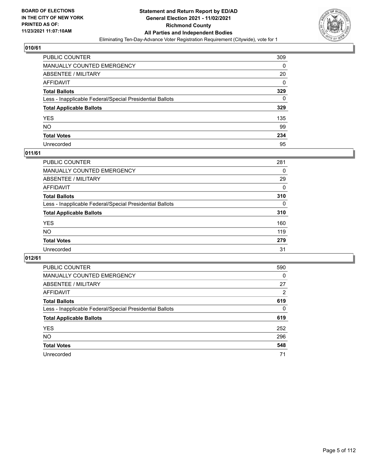

| PUBLIC COUNTER                                           | 309 |
|----------------------------------------------------------|-----|
| MANUALLY COUNTED EMERGENCY                               | 0   |
| ABSENTEE / MILITARY                                      | 20  |
| AFFIDAVIT                                                | 0   |
| <b>Total Ballots</b>                                     | 329 |
| Less - Inapplicable Federal/Special Presidential Ballots | 0   |
| <b>Total Applicable Ballots</b>                          | 329 |
| YES                                                      | 135 |
| NO.                                                      | 99  |
| <b>Total Votes</b>                                       | 234 |
| Unrecorded                                               | 95  |

#### **011/61**

| PUBLIC COUNTER                                           | 281      |
|----------------------------------------------------------|----------|
| MANUALLY COUNTED EMERGENCY                               | 0        |
| ABSENTEE / MILITARY                                      | 29       |
| AFFIDAVIT                                                | $\Omega$ |
| <b>Total Ballots</b>                                     | 310      |
| Less - Inapplicable Federal/Special Presidential Ballots | $\Omega$ |
| <b>Total Applicable Ballots</b>                          | 310      |
| <b>YES</b>                                               | 160      |
| <b>NO</b>                                                | 119      |
| <b>Total Votes</b>                                       | 279      |
| Unrecorded                                               | 31       |

| <b>PUBLIC COUNTER</b>                                    | 590      |
|----------------------------------------------------------|----------|
| <b>MANUALLY COUNTED EMERGENCY</b>                        | $\Omega$ |
| ABSENTEE / MILITARY                                      | 27       |
| AFFIDAVIT                                                | 2        |
| <b>Total Ballots</b>                                     | 619      |
| Less - Inapplicable Federal/Special Presidential Ballots | $\Omega$ |
| <b>Total Applicable Ballots</b>                          | 619      |
| <b>YES</b>                                               | 252      |
| <b>NO</b>                                                | 296      |
| <b>Total Votes</b>                                       | 548      |
| Unrecorded                                               | 71       |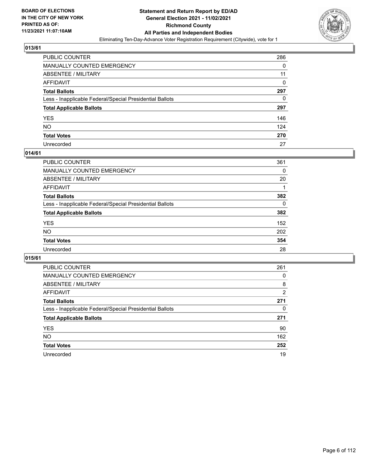

| PUBLIC COUNTER                                           | 286 |
|----------------------------------------------------------|-----|
| MANUALLY COUNTED EMERGENCY                               | 0   |
| ABSENTEE / MILITARY                                      | 11  |
| AFFIDAVIT                                                | 0   |
| Total Ballots                                            | 297 |
| Less - Inapplicable Federal/Special Presidential Ballots | 0   |
| <b>Total Applicable Ballots</b>                          | 297 |
| YES                                                      | 146 |
| NO.                                                      | 124 |
| <b>Total Votes</b>                                       | 270 |
| Unrecorded                                               | 27  |

#### **014/61**

| <b>PUBLIC COUNTER</b>                                    | 361      |
|----------------------------------------------------------|----------|
| <b>MANUALLY COUNTED EMERGENCY</b>                        | 0        |
| ABSENTEE / MILITARY                                      | 20       |
| AFFIDAVIT                                                |          |
| <b>Total Ballots</b>                                     | 382      |
| Less - Inapplicable Federal/Special Presidential Ballots | $\Omega$ |
| <b>Total Applicable Ballots</b>                          | 382      |
| <b>YES</b>                                               | 152      |
| <b>NO</b>                                                | 202      |
| <b>Total Votes</b>                                       | 354      |
| Unrecorded                                               | 28       |

| <b>PUBLIC COUNTER</b>                                    | 261            |
|----------------------------------------------------------|----------------|
| MANUALLY COUNTED EMERGENCY                               | 0              |
| ABSENTEE / MILITARY                                      | 8              |
| AFFIDAVIT                                                | $\overline{2}$ |
| <b>Total Ballots</b>                                     | 271            |
| Less - Inapplicable Federal/Special Presidential Ballots | 0              |
| <b>Total Applicable Ballots</b>                          | 271            |
| <b>YES</b>                                               | 90             |
| NO.                                                      | 162            |
| <b>Total Votes</b>                                       | 252            |
| Unrecorded                                               | 19             |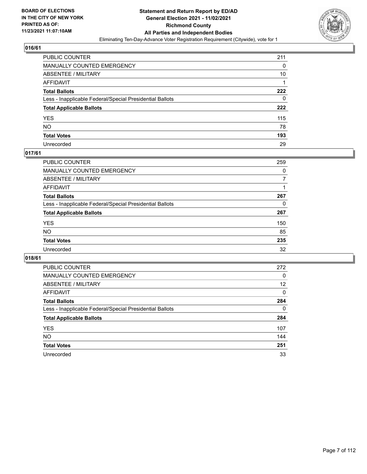

| PUBLIC COUNTER                                           | 211 |
|----------------------------------------------------------|-----|
| MANUALLY COUNTED EMERGENCY                               | 0   |
| ABSENTEE / MILITARY                                      | 10  |
| AFFIDAVIT                                                |     |
| <b>Total Ballots</b>                                     | 222 |
| Less - Inapplicable Federal/Special Presidential Ballots | 0   |
| <b>Total Applicable Ballots</b>                          | 222 |
| YES                                                      | 115 |
| NO.                                                      | 78  |
| <b>Total Votes</b>                                       | 193 |
| Unrecorded                                               | 29  |

#### **017/61**

| <b>PUBLIC COUNTER</b>                                    | 259 |
|----------------------------------------------------------|-----|
| MANUALLY COUNTED EMERGENCY                               | 0   |
| ABSENTEE / MILITARY                                      |     |
| AFFIDAVIT                                                |     |
| <b>Total Ballots</b>                                     | 267 |
| Less - Inapplicable Federal/Special Presidential Ballots | 0   |
| <b>Total Applicable Ballots</b>                          | 267 |
| <b>YES</b>                                               | 150 |
| <b>NO</b>                                                | 85  |
| <b>Total Votes</b>                                       | 235 |
| Unrecorded                                               | 32  |

| <b>PUBLIC COUNTER</b>                                    | 272 |
|----------------------------------------------------------|-----|
| MANUALLY COUNTED EMERGENCY                               | 0   |
| ABSENTEE / MILITARY                                      | 12  |
| AFFIDAVIT                                                | 0   |
| <b>Total Ballots</b>                                     | 284 |
| Less - Inapplicable Federal/Special Presidential Ballots | 0   |
| <b>Total Applicable Ballots</b>                          | 284 |
| <b>YES</b>                                               | 107 |
| NO.                                                      | 144 |
| <b>Total Votes</b>                                       | 251 |
| Unrecorded                                               | 33  |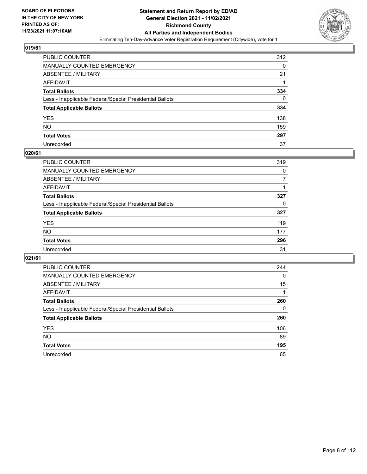

| PUBLIC COUNTER                                           | 312 |
|----------------------------------------------------------|-----|
| MANUALLY COUNTED EMERGENCY                               | 0   |
| ABSENTEE / MILITARY                                      | 21  |
| AFFIDAVIT                                                |     |
| <b>Total Ballots</b>                                     | 334 |
| Less - Inapplicable Federal/Special Presidential Ballots | 0   |
| <b>Total Applicable Ballots</b>                          | 334 |
| YES                                                      | 138 |
| NO.                                                      | 159 |
| <b>Total Votes</b>                                       | 297 |
| Unrecorded                                               | 37  |

#### **020/61**

| <b>PUBLIC COUNTER</b>                                    | 319      |
|----------------------------------------------------------|----------|
| MANUALLY COUNTED EMERGENCY                               | 0        |
| ABSENTEE / MILITARY                                      |          |
| AFFIDAVIT                                                |          |
| <b>Total Ballots</b>                                     | 327      |
| Less - Inapplicable Federal/Special Presidential Ballots | $\Omega$ |
| <b>Total Applicable Ballots</b>                          | 327      |
| <b>YES</b>                                               | 119      |
| <b>NO</b>                                                | 177      |
| <b>Total Votes</b>                                       | 296      |
| Unrecorded                                               | 31       |

| <b>PUBLIC COUNTER</b>                                    | 244      |
|----------------------------------------------------------|----------|
| MANUALLY COUNTED EMERGENCY                               | $\Omega$ |
| ABSENTEE / MILITARY                                      | 15       |
| AFFIDAVIT                                                |          |
| <b>Total Ballots</b>                                     | 260      |
| Less - Inapplicable Federal/Special Presidential Ballots | 0        |
| <b>Total Applicable Ballots</b>                          | 260      |
| <b>YES</b>                                               | 106      |
| NO.                                                      | 89       |
| <b>Total Votes</b>                                       | 195      |
| Unrecorded                                               | 65       |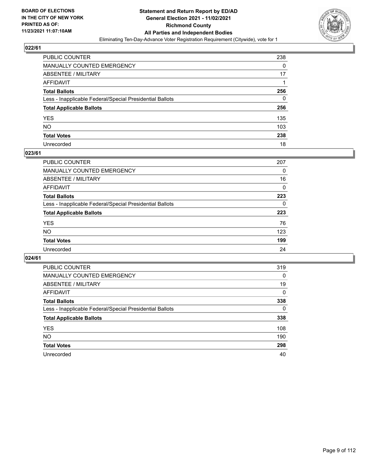

| PUBLIC COUNTER                                           | 238 |
|----------------------------------------------------------|-----|
| MANUALLY COUNTED EMERGENCY                               | 0   |
| ABSENTEE / MILITARY                                      | 17  |
| AFFIDAVIT                                                |     |
| Total Ballots                                            | 256 |
| Less - Inapplicable Federal/Special Presidential Ballots | 0   |
| <b>Total Applicable Ballots</b>                          | 256 |
| YES                                                      | 135 |
| NO.                                                      | 103 |
| <b>Total Votes</b>                                       | 238 |
| Unrecorded                                               | 18  |

#### **023/61**

| PUBLIC COUNTER                                           | 207      |
|----------------------------------------------------------|----------|
| MANUALLY COUNTED EMERGENCY                               | 0        |
| ABSENTEE / MILITARY                                      | 16       |
| AFFIDAVIT                                                | $\Omega$ |
| <b>Total Ballots</b>                                     | 223      |
| Less - Inapplicable Federal/Special Presidential Ballots | $\Omega$ |
| <b>Total Applicable Ballots</b>                          | 223      |
| <b>YES</b>                                               | 76       |
| <b>NO</b>                                                | 123      |
| <b>Total Votes</b>                                       | 199      |
| Unrecorded                                               | 24       |

| <b>PUBLIC COUNTER</b>                                    | 319      |
|----------------------------------------------------------|----------|
| MANUALLY COUNTED EMERGENCY                               | $\Omega$ |
| ABSENTEE / MILITARY                                      | 19       |
| AFFIDAVIT                                                | 0        |
| <b>Total Ballots</b>                                     | 338      |
| Less - Inapplicable Federal/Special Presidential Ballots | 0        |
| <b>Total Applicable Ballots</b>                          | 338      |
| <b>YES</b>                                               | 108      |
| NO.                                                      | 190      |
| <b>Total Votes</b>                                       | 298      |
| Unrecorded                                               | 40       |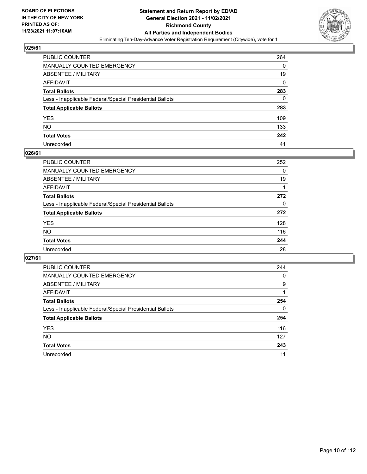

| PUBLIC COUNTER                                           | 264 |
|----------------------------------------------------------|-----|
| MANUALLY COUNTED EMERGENCY                               | 0   |
| <b>ABSENTEE / MILITARY</b>                               | 19  |
| <b>AFFIDAVIT</b>                                         | 0   |
| <b>Total Ballots</b>                                     | 283 |
| Less - Inapplicable Federal/Special Presidential Ballots | 0   |
| <b>Total Applicable Ballots</b>                          | 283 |
| YES                                                      | 109 |
| NO.                                                      | 133 |
| <b>Total Votes</b>                                       | 242 |
| Unrecorded                                               | 41  |

#### **026/61**

| <b>PUBLIC COUNTER</b>                                    | 252      |
|----------------------------------------------------------|----------|
| <b>MANUALLY COUNTED EMERGENCY</b>                        | 0        |
| <b>ABSENTEE / MILITARY</b>                               | 19       |
| AFFIDAVIT                                                |          |
| <b>Total Ballots</b>                                     | 272      |
| Less - Inapplicable Federal/Special Presidential Ballots | $\Omega$ |
| <b>Total Applicable Ballots</b>                          | 272      |
| <b>YES</b>                                               | 128      |
| NO                                                       | 116      |
| <b>Total Votes</b>                                       | 244      |
| Unrecorded                                               | 28       |

| <b>PUBLIC COUNTER</b>                                    | 244      |
|----------------------------------------------------------|----------|
| <b>MANUALLY COUNTED EMERGENCY</b>                        | 0        |
| ABSENTEE / MILITARY                                      | 9        |
| AFFIDAVIT                                                |          |
| <b>Total Ballots</b>                                     | 254      |
| Less - Inapplicable Federal/Special Presidential Ballots | $\Omega$ |
| <b>Total Applicable Ballots</b>                          | 254      |
| <b>YES</b>                                               | 116      |
| <b>NO</b>                                                | 127      |
| <b>Total Votes</b>                                       | 243      |
| Unrecorded                                               | 11       |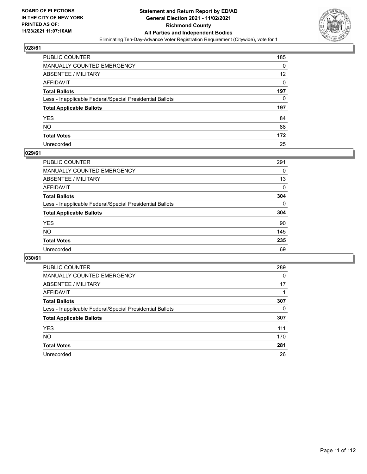

| PUBLIC COUNTER                                           | 185 |
|----------------------------------------------------------|-----|
| MANUALLY COUNTED EMERGENCY                               | 0   |
| <b>ABSENTEE / MILITARY</b>                               | 12  |
| AFFIDAVIT                                                | 0   |
| <b>Total Ballots</b>                                     | 197 |
| Less - Inapplicable Federal/Special Presidential Ballots | 0   |
| <b>Total Applicable Ballots</b>                          | 197 |
| YES                                                      | 84  |
| NO.                                                      | 88  |
| <b>Total Votes</b>                                       | 172 |
| Unrecorded                                               | 25  |

#### **029/61**

| <b>PUBLIC COUNTER</b>                                    | 291      |
|----------------------------------------------------------|----------|
| <b>MANUALLY COUNTED EMERGENCY</b>                        | 0        |
| ABSENTEE / MILITARY                                      | 13       |
| AFFIDAVIT                                                | 0        |
| <b>Total Ballots</b>                                     | 304      |
| Less - Inapplicable Federal/Special Presidential Ballots | $\Omega$ |
| <b>Total Applicable Ballots</b>                          | 304      |
| <b>YES</b>                                               | 90       |
| <b>NO</b>                                                | 145      |
| <b>Total Votes</b>                                       | 235      |
| Unrecorded                                               | 69       |

| <b>PUBLIC COUNTER</b>                                    | 289      |
|----------------------------------------------------------|----------|
| MANUALLY COUNTED EMERGENCY                               | $\Omega$ |
| ABSENTEE / MILITARY                                      | 17       |
| AFFIDAVIT                                                |          |
| <b>Total Ballots</b>                                     | 307      |
| Less - Inapplicable Federal/Special Presidential Ballots | 0        |
| <b>Total Applicable Ballots</b>                          | 307      |
| <b>YES</b>                                               | 111      |
| NO.                                                      | 170      |
| <b>Total Votes</b>                                       | 281      |
| Unrecorded                                               | 26       |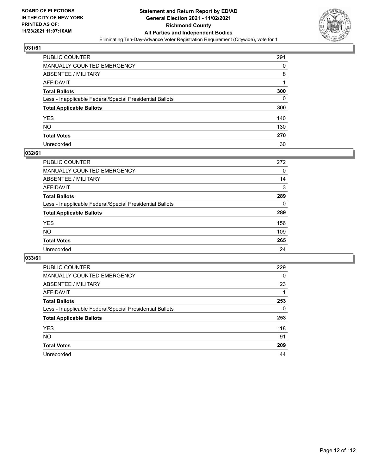

| PUBLIC COUNTER                                           | 291      |
|----------------------------------------------------------|----------|
| MANUALLY COUNTED EMERGENCY                               | 0        |
| ABSENTEE / MILITARY                                      | 8        |
| AFFIDAVIT                                                |          |
| Total Ballots                                            | 300      |
| Less - Inapplicable Federal/Special Presidential Ballots | $\Omega$ |
| <b>Total Applicable Ballots</b>                          | 300      |
| YES                                                      | 140      |
| NO.                                                      | 130      |
| <b>Total Votes</b>                                       | 270      |
| Unrecorded                                               | 30       |

#### **032/61**

| PUBLIC COUNTER                                           | 272      |
|----------------------------------------------------------|----------|
| <b>MANUALLY COUNTED EMERGENCY</b>                        | $\Omega$ |
| ABSENTEE / MILITARY                                      | 14       |
| AFFIDAVIT                                                | 3        |
| <b>Total Ballots</b>                                     | 289      |
| Less - Inapplicable Federal/Special Presidential Ballots | $\Omega$ |
| <b>Total Applicable Ballots</b>                          | 289      |
| <b>YES</b>                                               | 156      |
| <b>NO</b>                                                | 109      |
| <b>Total Votes</b>                                       | 265      |
| Unrecorded                                               | 24       |

| <b>PUBLIC COUNTER</b>                                    | 229 |
|----------------------------------------------------------|-----|
| MANUALLY COUNTED EMERGENCY                               | 0   |
| ABSENTEE / MILITARY                                      | 23  |
| AFFIDAVIT                                                |     |
| <b>Total Ballots</b>                                     | 253 |
| Less - Inapplicable Federal/Special Presidential Ballots | 0   |
| <b>Total Applicable Ballots</b>                          | 253 |
| <b>YES</b>                                               | 118 |
| <b>NO</b>                                                | 91  |
| <b>Total Votes</b>                                       | 209 |
| Unrecorded                                               | 44  |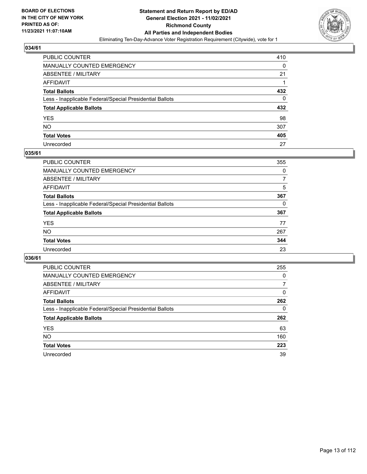

| PUBLIC COUNTER                                           | 410      |
|----------------------------------------------------------|----------|
| MANUALLY COUNTED EMERGENCY                               | 0        |
| <b>ABSENTEE / MILITARY</b>                               | 21       |
| AFFIDAVIT                                                |          |
| <b>Total Ballots</b>                                     | 432      |
| Less - Inapplicable Federal/Special Presidential Ballots | $\Omega$ |
| <b>Total Applicable Ballots</b>                          | 432      |
| YES                                                      | 98       |
| NO.                                                      | 307      |
| <b>Total Votes</b>                                       | 405      |
| Unrecorded                                               | 27       |

#### **035/61**

| <b>PUBLIC COUNTER</b>                                    | 355      |
|----------------------------------------------------------|----------|
| MANUALLY COUNTED EMERGENCY                               | 0        |
| ABSENTEE / MILITARY                                      | 7        |
| AFFIDAVIT                                                | 5        |
| <b>Total Ballots</b>                                     | 367      |
| Less - Inapplicable Federal/Special Presidential Ballots | $\Omega$ |
| <b>Total Applicable Ballots</b>                          | 367      |
| <b>YES</b>                                               | 77       |
| <b>NO</b>                                                | 267      |
| <b>Total Votes</b>                                       | 344      |
| Unrecorded                                               | 23       |

| <b>PUBLIC COUNTER</b>                                    | 255      |
|----------------------------------------------------------|----------|
| MANUALLY COUNTED EMERGENCY                               | $\Omega$ |
| ABSENTEE / MILITARY                                      | 7        |
| AFFIDAVIT                                                | 0        |
| <b>Total Ballots</b>                                     | 262      |
| Less - Inapplicable Federal/Special Presidential Ballots | 0        |
| <b>Total Applicable Ballots</b>                          | 262      |
| <b>YES</b>                                               | 63       |
| NO.                                                      | 160      |
| <b>Total Votes</b>                                       | 223      |
| Unrecorded                                               | 39       |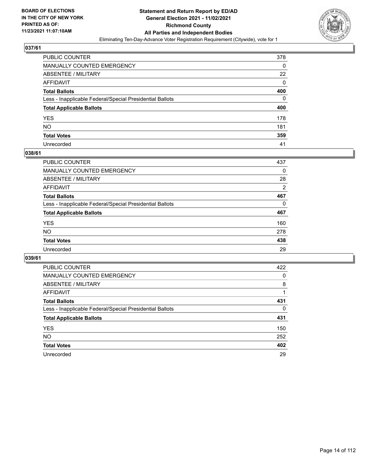

| PUBLIC COUNTER                                           | 378 |
|----------------------------------------------------------|-----|
| MANUALLY COUNTED EMERGENCY                               | 0   |
| ABSENTEE / MILITARY                                      | 22  |
| AFFIDAVIT                                                | 0   |
| Total Ballots                                            | 400 |
| Less - Inapplicable Federal/Special Presidential Ballots | 0   |
| <b>Total Applicable Ballots</b>                          | 400 |
| YES                                                      | 178 |
| NO.                                                      | 181 |
| <b>Total Votes</b>                                       | 359 |
| Unrecorded                                               | 41  |

#### **038/61**

| PUBLIC COUNTER                                           | 437            |
|----------------------------------------------------------|----------------|
| <b>MANUALLY COUNTED EMERGENCY</b>                        | $\Omega$       |
| ABSENTEE / MILITARY                                      | 28             |
| AFFIDAVIT                                                | $\overline{2}$ |
| <b>Total Ballots</b>                                     | 467            |
| Less - Inapplicable Federal/Special Presidential Ballots | 0              |
| <b>Total Applicable Ballots</b>                          | 467            |
| <b>YES</b>                                               | 160            |
| <b>NO</b>                                                | 278            |
| <b>Total Votes</b>                                       | 438            |
| Unrecorded                                               | 29             |

| <b>PUBLIC COUNTER</b>                                    | 422      |
|----------------------------------------------------------|----------|
| MANUALLY COUNTED EMERGENCY                               | 0        |
| ABSENTEE / MILITARY                                      | 8        |
| AFFIDAVIT                                                |          |
| <b>Total Ballots</b>                                     | 431      |
| Less - Inapplicable Federal/Special Presidential Ballots | $\Omega$ |
| <b>Total Applicable Ballots</b>                          | 431      |
| <b>YES</b>                                               | 150      |
| NO.                                                      | 252      |
| <b>Total Votes</b>                                       | 402      |
| Unrecorded                                               | 29       |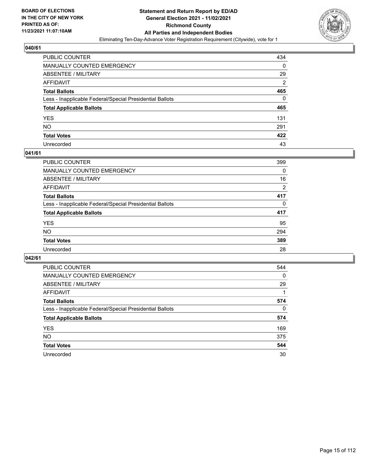

| PUBLIC COUNTER                                           | 434            |
|----------------------------------------------------------|----------------|
| MANUALLY COUNTED EMERGENCY                               | 0              |
| <b>ABSENTEE / MILITARY</b>                               | 29             |
| AFFIDAVIT                                                | $\overline{2}$ |
| <b>Total Ballots</b>                                     | 465            |
| Less - Inapplicable Federal/Special Presidential Ballots | $\Omega$       |
| <b>Total Applicable Ballots</b>                          | 465            |
| YES                                                      | 131            |
| NO.                                                      | 291            |
| <b>Total Votes</b>                                       | 422            |
| Unrecorded                                               | 43             |

#### **041/61**

| <b>PUBLIC COUNTER</b>                                    | 399      |
|----------------------------------------------------------|----------|
| <b>MANUALLY COUNTED EMERGENCY</b>                        | 0        |
| ABSENTEE / MILITARY                                      | 16       |
| AFFIDAVIT                                                | 2        |
| <b>Total Ballots</b>                                     | 417      |
| Less - Inapplicable Federal/Special Presidential Ballots | $\Omega$ |
| <b>Total Applicable Ballots</b>                          | 417      |
| <b>YES</b>                                               | 95       |
| <b>NO</b>                                                | 294      |
| <b>Total Votes</b>                                       | 389      |
| Unrecorded                                               | 28       |

| <b>PUBLIC COUNTER</b>                                    | 544      |
|----------------------------------------------------------|----------|
| <b>MANUALLY COUNTED EMERGENCY</b>                        | $\Omega$ |
| ABSENTEE / MILITARY                                      | 29       |
| AFFIDAVIT                                                |          |
| <b>Total Ballots</b>                                     | 574      |
| Less - Inapplicable Federal/Special Presidential Ballots | 0        |
| <b>Total Applicable Ballots</b>                          | 574      |
| <b>YES</b>                                               | 169      |
| NO.                                                      | 375      |
| <b>Total Votes</b>                                       | 544      |
| Unrecorded                                               | 30       |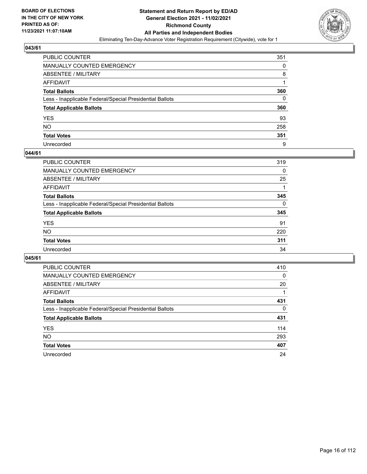

| PUBLIC COUNTER                                           | 351 |
|----------------------------------------------------------|-----|
| MANUALLY COUNTED EMERGENCY                               | 0   |
| ABSENTEE / MILITARY                                      | 8   |
| AFFIDAVIT                                                |     |
| <b>Total Ballots</b>                                     | 360 |
| Less - Inapplicable Federal/Special Presidential Ballots | 0   |
| <b>Total Applicable Ballots</b>                          | 360 |
| YES                                                      | 93  |
| NO.                                                      | 258 |
| <b>Total Votes</b>                                       | 351 |
| Unrecorded                                               | 9   |

#### **044/61**

| <b>PUBLIC COUNTER</b>                                    | 319      |
|----------------------------------------------------------|----------|
| <b>MANUALLY COUNTED EMERGENCY</b>                        | 0        |
| ABSENTEE / MILITARY                                      | 25       |
| AFFIDAVIT                                                |          |
| <b>Total Ballots</b>                                     | 345      |
| Less - Inapplicable Federal/Special Presidential Ballots | $\Omega$ |
| <b>Total Applicable Ballots</b>                          | 345      |
| <b>YES</b>                                               | 91       |
| <b>NO</b>                                                | 220      |
| <b>Total Votes</b>                                       | 311      |
| Unrecorded                                               | 34       |

| <b>PUBLIC COUNTER</b>                                    | 410      |
|----------------------------------------------------------|----------|
| MANUALLY COUNTED EMERGENCY                               | 0        |
| ABSENTEE / MILITARY                                      | 20       |
| AFFIDAVIT                                                |          |
| <b>Total Ballots</b>                                     | 431      |
| Less - Inapplicable Federal/Special Presidential Ballots | $\Omega$ |
| <b>Total Applicable Ballots</b>                          | 431      |
| <b>YES</b>                                               | 114      |
| <b>NO</b>                                                | 293      |
| <b>Total Votes</b>                                       | 407      |
| Unrecorded                                               | 24       |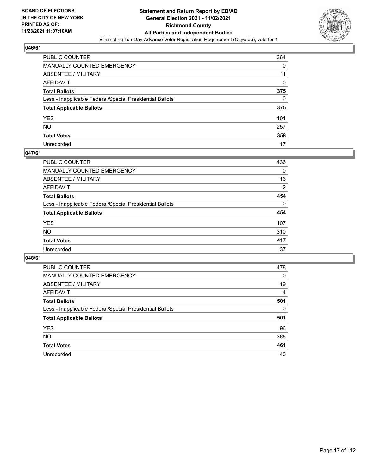

| PUBLIC COUNTER                                           | 364      |
|----------------------------------------------------------|----------|
| MANUALLY COUNTED EMERGENCY                               | 0        |
| ABSENTEE / MILITARY                                      | 11       |
| AFFIDAVIT                                                | $\Omega$ |
| Total Ballots                                            | 375      |
| Less - Inapplicable Federal/Special Presidential Ballots | 0        |
| <b>Total Applicable Ballots</b>                          | 375      |
| YES                                                      | 101      |
| NO.                                                      | 257      |
| <b>Total Votes</b>                                       | 358      |
| Unrecorded                                               | 17       |

#### **047/61**

| PUBLIC COUNTER                                           | 436      |
|----------------------------------------------------------|----------|
| MANUALLY COUNTED EMERGENCY                               | 0        |
| ABSENTEE / MILITARY                                      | 16       |
| AFFIDAVIT                                                | 2        |
| <b>Total Ballots</b>                                     | 454      |
| Less - Inapplicable Federal/Special Presidential Ballots | $\Omega$ |
| <b>Total Applicable Ballots</b>                          | 454      |
| <b>YES</b>                                               | 107      |
| <b>NO</b>                                                | 310      |
| <b>Total Votes</b>                                       | 417      |
| Unrecorded                                               | 37       |

| <b>PUBLIC COUNTER</b>                                    | 478      |
|----------------------------------------------------------|----------|
| <b>MANUALLY COUNTED EMERGENCY</b>                        | 0        |
| ABSENTEE / MILITARY                                      | 19       |
| AFFIDAVIT                                                | 4        |
| <b>Total Ballots</b>                                     | 501      |
| Less - Inapplicable Federal/Special Presidential Ballots | $\Omega$ |
| <b>Total Applicable Ballots</b>                          | 501      |
| <b>YES</b>                                               | 96       |
|                                                          |          |
| <b>NO</b>                                                | 365      |
| <b>Total Votes</b>                                       | 461      |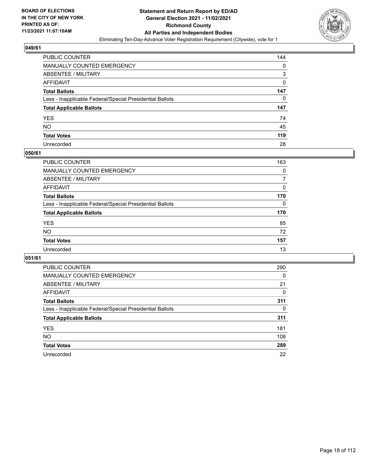

| PUBLIC COUNTER                                           | 144 |
|----------------------------------------------------------|-----|
| MANUALLY COUNTED EMERGENCY                               | 0   |
| <b>ABSENTEE / MILITARY</b>                               | 3   |
| AFFIDAVIT                                                | 0   |
| <b>Total Ballots</b>                                     | 147 |
| Less - Inapplicable Federal/Special Presidential Ballots | 0   |
| <b>Total Applicable Ballots</b>                          | 147 |
| YES                                                      | 74  |
| NO.                                                      | 45  |
| <b>Total Votes</b>                                       | 119 |
| Unrecorded                                               | 28  |

#### **050/61**

| <b>PUBLIC COUNTER</b>                                    | 163      |
|----------------------------------------------------------|----------|
| <b>MANUALLY COUNTED EMERGENCY</b>                        | $\Omega$ |
| ABSENTEE / MILITARY                                      | 7        |
| AFFIDAVIT                                                | 0        |
| <b>Total Ballots</b>                                     | 170      |
| Less - Inapplicable Federal/Special Presidential Ballots | $\Omega$ |
| <b>Total Applicable Ballots</b>                          | 170      |
| <b>YES</b>                                               | 85       |
| <b>NO</b>                                                | 72       |
| <b>Total Votes</b>                                       | 157      |
| Unrecorded                                               | 13       |

| <b>PUBLIC COUNTER</b>                                    | 290      |
|----------------------------------------------------------|----------|
| MANUALLY COUNTED EMERGENCY                               | $\Omega$ |
| ABSENTEE / MILITARY                                      | 21       |
| AFFIDAVIT                                                | 0        |
| <b>Total Ballots</b>                                     | 311      |
| Less - Inapplicable Federal/Special Presidential Ballots | $\Omega$ |
| <b>Total Applicable Ballots</b>                          | 311      |
| <b>YES</b>                                               | 181      |
| NO.                                                      | 108      |
| <b>Total Votes</b>                                       | 289      |
| Unrecorded                                               | 22       |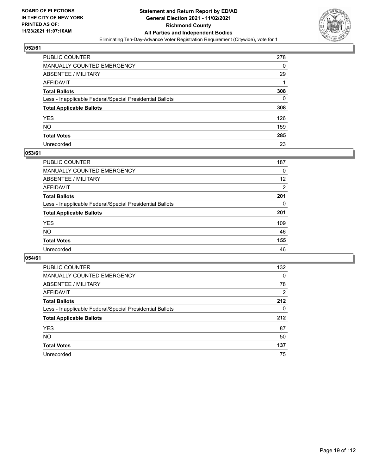

| PUBLIC COUNTER                                           | 278 |
|----------------------------------------------------------|-----|
| MANUALLY COUNTED EMERGENCY                               | 0   |
| <b>ABSENTEE / MILITARY</b>                               | 29  |
| AFFIDAVIT                                                | 1   |
| Total Ballots                                            | 308 |
| Less - Inapplicable Federal/Special Presidential Ballots | 0   |
| <b>Total Applicable Ballots</b>                          | 308 |
| YES                                                      | 126 |
| NO.                                                      | 159 |
| <b>Total Votes</b>                                       | 285 |
| Unrecorded                                               | 23  |

#### **053/61**

| <b>PUBLIC COUNTER</b>                                    | 187            |
|----------------------------------------------------------|----------------|
| <b>MANUALLY COUNTED EMERGENCY</b>                        | $\Omega$       |
| ABSENTEE / MILITARY                                      | 12             |
| AFFIDAVIT                                                | $\overline{2}$ |
| <b>Total Ballots</b>                                     | 201            |
| Less - Inapplicable Federal/Special Presidential Ballots | 0              |
| <b>Total Applicable Ballots</b>                          | 201            |
| <b>YES</b>                                               | 109            |
| <b>NO</b>                                                | 46             |
| <b>Total Votes</b>                                       | 155            |
| Unrecorded                                               | 46             |

| PUBLIC COUNTER                                           | 132      |
|----------------------------------------------------------|----------|
| <b>MANUALLY COUNTED EMERGENCY</b>                        | $\Omega$ |
| ABSENTEE / MILITARY                                      | 78       |
| AFFIDAVIT                                                | 2        |
| <b>Total Ballots</b>                                     | 212      |
| Less - Inapplicable Federal/Special Presidential Ballots | $\Omega$ |
| <b>Total Applicable Ballots</b>                          | 212      |
| <b>YES</b>                                               | 87       |
| <b>NO</b>                                                | 50       |
| <b>Total Votes</b>                                       | 137      |
| Unrecorded                                               | 75       |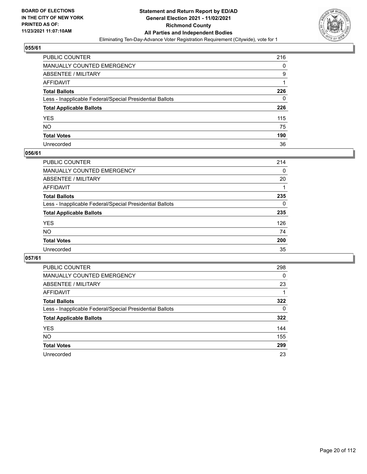

| PUBLIC COUNTER                                           | 216 |
|----------------------------------------------------------|-----|
| MANUALLY COUNTED EMERGENCY                               | 0   |
| ABSENTEE / MILITARY                                      | 9   |
| AFFIDAVIT                                                |     |
| Total Ballots                                            | 226 |
| Less - Inapplicable Federal/Special Presidential Ballots | 0   |
| <b>Total Applicable Ballots</b>                          | 226 |
| YES                                                      | 115 |
| NO.                                                      | 75  |
| <b>Total Votes</b>                                       | 190 |
| Unrecorded                                               | 36  |

#### **056/61**

| <b>PUBLIC COUNTER</b>                                    | 214      |
|----------------------------------------------------------|----------|
| <b>MANUALLY COUNTED EMERGENCY</b>                        | $\Omega$ |
| ABSENTEE / MILITARY                                      | 20       |
| AFFIDAVIT                                                |          |
| <b>Total Ballots</b>                                     | 235      |
| Less - Inapplicable Federal/Special Presidential Ballots | $\Omega$ |
| <b>Total Applicable Ballots</b>                          | 235      |
| <b>YES</b>                                               | 126      |
| <b>NO</b>                                                | 74       |
| <b>Total Votes</b>                                       | 200      |
| Unrecorded                                               | 35       |

| <b>PUBLIC COUNTER</b>                                    | 298      |
|----------------------------------------------------------|----------|
| <b>MANUALLY COUNTED EMERGENCY</b>                        | $\Omega$ |
| ABSENTEE / MILITARY                                      | 23       |
| AFFIDAVIT                                                |          |
| <b>Total Ballots</b>                                     | 322      |
| Less - Inapplicable Federal/Special Presidential Ballots | 0        |
| <b>Total Applicable Ballots</b>                          | 322      |
| <b>YES</b>                                               | 144      |
| NO.                                                      | 155      |
| <b>Total Votes</b>                                       | 299      |
| Unrecorded                                               | 23       |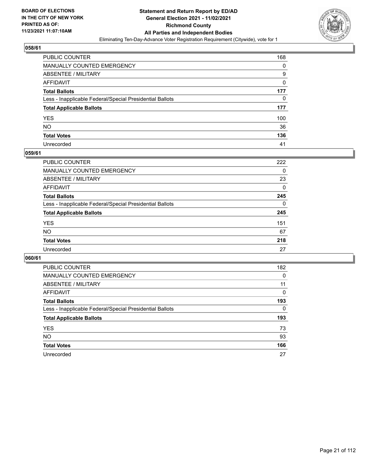

| PUBLIC COUNTER                                           | 168 |
|----------------------------------------------------------|-----|
| MANUALLY COUNTED EMERGENCY                               | 0   |
| ABSENTEE / MILITARY                                      | 9   |
| AFFIDAVIT                                                | 0   |
| Total Ballots                                            | 177 |
| Less - Inapplicable Federal/Special Presidential Ballots | 0   |
| <b>Total Applicable Ballots</b>                          | 177 |
| YES                                                      | 100 |
| NO.                                                      | 36  |
| <b>Total Votes</b>                                       | 136 |
| Unrecorded                                               | 41  |

#### **059/61**

| PUBLIC COUNTER                                           | 222      |
|----------------------------------------------------------|----------|
| <b>MANUALLY COUNTED EMERGENCY</b>                        | $\Omega$ |
| ABSENTEE / MILITARY                                      | 23       |
| AFFIDAVIT                                                | 0        |
| <b>Total Ballots</b>                                     | 245      |
| Less - Inapplicable Federal/Special Presidential Ballots | $\Omega$ |
| <b>Total Applicable Ballots</b>                          | 245      |
| <b>YES</b>                                               | 151      |
| <b>NO</b>                                                | 67       |
| <b>Total Votes</b>                                       | 218      |
| Unrecorded                                               | 27       |

| <b>PUBLIC COUNTER</b>                                    | 182      |
|----------------------------------------------------------|----------|
| <b>MANUALLY COUNTED EMERGENCY</b>                        | 0        |
| ABSENTEE / MILITARY                                      | 11       |
| AFFIDAVIT                                                | $\Omega$ |
| <b>Total Ballots</b>                                     | 193      |
| Less - Inapplicable Federal/Special Presidential Ballots | $\Omega$ |
| <b>Total Applicable Ballots</b>                          | 193      |
| <b>YES</b>                                               | 73       |
| <b>NO</b>                                                | 93       |
| <b>Total Votes</b>                                       | 166      |
| Unrecorded                                               | 27       |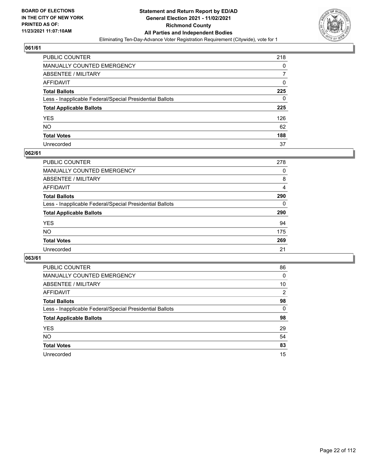

| PUBLIC COUNTER                                           | 218 |
|----------------------------------------------------------|-----|
| MANUALLY COUNTED EMERGENCY                               | 0   |
| ABSENTEE / MILITARY                                      |     |
| AFFIDAVIT                                                | 0   |
| <b>Total Ballots</b>                                     | 225 |
| Less - Inapplicable Federal/Special Presidential Ballots | 0   |
| <b>Total Applicable Ballots</b>                          | 225 |
| YES                                                      | 126 |
| NO.                                                      | 62  |
| <b>Total Votes</b>                                       | 188 |
| Unrecorded                                               | 37  |

#### **062/61**

| <b>PUBLIC COUNTER</b>                                    | 278      |
|----------------------------------------------------------|----------|
| <b>MANUALLY COUNTED EMERGENCY</b>                        | 0        |
| ABSENTEE / MILITARY                                      | 8        |
| AFFIDAVIT                                                | 4        |
| <b>Total Ballots</b>                                     | 290      |
| Less - Inapplicable Federal/Special Presidential Ballots | $\Omega$ |
| <b>Total Applicable Ballots</b>                          | 290      |
| <b>YES</b>                                               | 94       |
| <b>NO</b>                                                | 175      |
| <b>Total Votes</b>                                       | 269      |
| Unrecorded                                               | 21       |

| <b>PUBLIC COUNTER</b>                                    | 86             |
|----------------------------------------------------------|----------------|
| <b>MANUALLY COUNTED EMERGENCY</b>                        | $\Omega$       |
| ABSENTEE / MILITARY                                      | 10             |
| AFFIDAVIT                                                | $\overline{2}$ |
| <b>Total Ballots</b>                                     | 98             |
| Less - Inapplicable Federal/Special Presidential Ballots | $\Omega$       |
| <b>Total Applicable Ballots</b>                          | 98             |
| <b>YES</b>                                               | 29             |
| NO.                                                      | 54             |
| <b>Total Votes</b>                                       | 83             |
| Unrecorded                                               | 15             |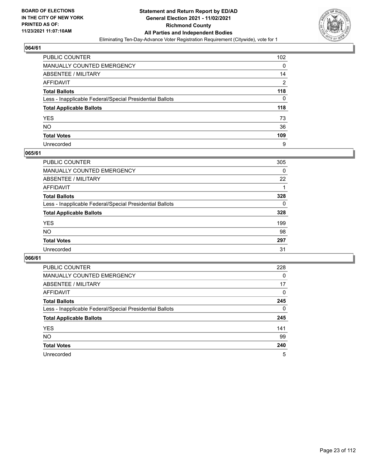

| PUBLIC COUNTER                                           | 102 |
|----------------------------------------------------------|-----|
| MANUALLY COUNTED EMERGENCY                               | 0   |
| <b>ABSENTEE / MILITARY</b>                               | 14  |
| <b>AFFIDAVIT</b>                                         | 2   |
| <b>Total Ballots</b>                                     | 118 |
| Less - Inapplicable Federal/Special Presidential Ballots | 0   |
| <b>Total Applicable Ballots</b>                          | 118 |
| YES                                                      | 73  |
| <b>NO</b>                                                | 36  |
| <b>Total Votes</b>                                       | 109 |
| Unrecorded                                               | 9   |

#### **065/61**

| PUBLIC COUNTER                                           | 305      |
|----------------------------------------------------------|----------|
| <b>MANUALLY COUNTED EMERGENCY</b>                        | $\Omega$ |
| ABSENTEE / MILITARY                                      | 22       |
| AFFIDAVIT                                                |          |
| <b>Total Ballots</b>                                     | 328      |
| Less - Inapplicable Federal/Special Presidential Ballots | $\Omega$ |
| <b>Total Applicable Ballots</b>                          | 328      |
| <b>YES</b>                                               | 199      |
| <b>NO</b>                                                | 98       |
| <b>Total Votes</b>                                       | 297      |
| Unrecorded                                               | 31       |

| <b>PUBLIC COUNTER</b>                                    | 228      |
|----------------------------------------------------------|----------|
| MANUALLY COUNTED EMERGENCY                               | $\Omega$ |
| ABSENTEE / MILITARY                                      | 17       |
| AFFIDAVIT                                                | $\Omega$ |
| <b>Total Ballots</b>                                     | 245      |
| Less - Inapplicable Federal/Special Presidential Ballots | $\Omega$ |
| <b>Total Applicable Ballots</b>                          | 245      |
| <b>YES</b>                                               | 141      |
| <b>NO</b>                                                | 99       |
| <b>Total Votes</b>                                       | 240      |
| Unrecorded                                               | 5        |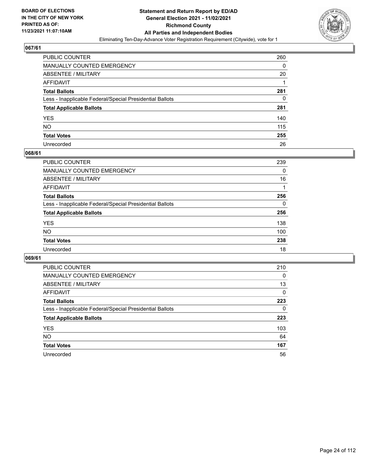

| PUBLIC COUNTER                                           | 260 |
|----------------------------------------------------------|-----|
| MANUALLY COUNTED EMERGENCY                               | 0   |
| <b>ABSENTEE / MILITARY</b>                               | 20  |
| AFFIDAVIT                                                |     |
| <b>Total Ballots</b>                                     | 281 |
| Less - Inapplicable Federal/Special Presidential Ballots | 0   |
| <b>Total Applicable Ballots</b>                          | 281 |
| YES                                                      | 140 |
| NO.                                                      | 115 |
| <b>Total Votes</b>                                       | 255 |
| Unrecorded                                               | 26  |

#### **068/61**

| PUBLIC COUNTER                                           | 239      |
|----------------------------------------------------------|----------|
| <b>MANUALLY COUNTED EMERGENCY</b>                        | $\Omega$ |
| ABSENTEE / MILITARY                                      | 16       |
| AFFIDAVIT                                                |          |
| <b>Total Ballots</b>                                     | 256      |
| Less - Inapplicable Federal/Special Presidential Ballots | $\Omega$ |
| <b>Total Applicable Ballots</b>                          | 256      |
| <b>YES</b>                                               | 138      |
| <b>NO</b>                                                | 100      |
| <b>Total Votes</b>                                       | 238      |
| Unrecorded                                               | 18       |

| <b>PUBLIC COUNTER</b>                                    | 210      |
|----------------------------------------------------------|----------|
| <b>MANUALLY COUNTED EMERGENCY</b>                        | 0        |
| ABSENTEE / MILITARY                                      | 13       |
| AFFIDAVIT                                                | $\Omega$ |
| <b>Total Ballots</b>                                     | 223      |
| Less - Inapplicable Federal/Special Presidential Ballots | $\Omega$ |
| <b>Total Applicable Ballots</b>                          | 223      |
| <b>YES</b>                                               | 103      |
| NO.                                                      | 64       |
| <b>Total Votes</b>                                       | 167      |
| Unrecorded                                               | 56       |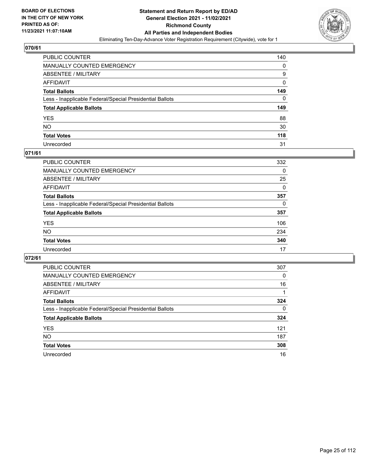

| PUBLIC COUNTER                                           | 140      |
|----------------------------------------------------------|----------|
| MANUALLY COUNTED EMERGENCY                               | 0        |
| ABSENTEE / MILITARY                                      | 9        |
| AFFIDAVIT                                                | 0        |
| Total Ballots                                            | 149      |
| Less - Inapplicable Federal/Special Presidential Ballots | $\Omega$ |
| <b>Total Applicable Ballots</b>                          | 149      |
| YES                                                      | 88       |
| NO.                                                      | 30       |
| <b>Total Votes</b>                                       | 118      |
| Unrecorded                                               | 31       |

#### **071/61**

| <b>PUBLIC COUNTER</b>                                    | 332      |
|----------------------------------------------------------|----------|
| <b>MANUALLY COUNTED EMERGENCY</b>                        | 0        |
| ABSENTEE / MILITARY                                      | 25       |
| AFFIDAVIT                                                | $\Omega$ |
| <b>Total Ballots</b>                                     | 357      |
| Less - Inapplicable Federal/Special Presidential Ballots | $\Omega$ |
| <b>Total Applicable Ballots</b>                          | 357      |
| <b>YES</b>                                               | 106      |
| <b>NO</b>                                                | 234      |
| <b>Total Votes</b>                                       | 340      |
| Unrecorded                                               | 17       |

| <b>PUBLIC COUNTER</b>                                    | 307      |
|----------------------------------------------------------|----------|
| MANUALLY COUNTED EMERGENCY                               | 0        |
| ABSENTEE / MILITARY                                      | 16       |
| AFFIDAVIT                                                |          |
| <b>Total Ballots</b>                                     | 324      |
| Less - Inapplicable Federal/Special Presidential Ballots | $\Omega$ |
| <b>Total Applicable Ballots</b>                          | 324      |
| <b>YES</b>                                               | 121      |
| <b>NO</b>                                                | 187      |
| <b>Total Votes</b>                                       | 308      |
| Unrecorded                                               | 16       |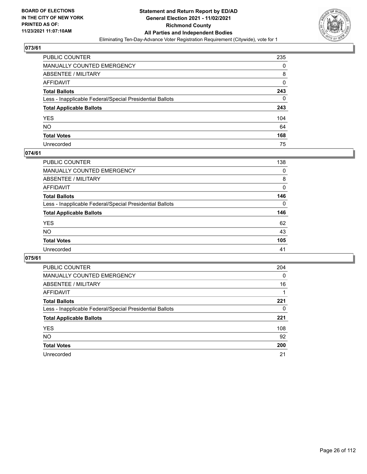

| PUBLIC COUNTER                                           | 235      |
|----------------------------------------------------------|----------|
| MANUALLY COUNTED EMERGENCY                               | 0        |
| ABSENTEE / MILITARY                                      | 8        |
| AFFIDAVIT                                                | 0        |
| <b>Total Ballots</b>                                     | 243      |
| Less - Inapplicable Federal/Special Presidential Ballots | $\Omega$ |
| <b>Total Applicable Ballots</b>                          | 243      |
| YES                                                      | 104      |
| NO.                                                      | 64       |
| <b>Total Votes</b>                                       | 168      |
| Unrecorded                                               | 75       |

#### **074/61**

| <b>PUBLIC COUNTER</b>                                    | 138      |
|----------------------------------------------------------|----------|
| <b>MANUALLY COUNTED EMERGENCY</b>                        | $\Omega$ |
| ABSENTEE / MILITARY                                      | 8        |
| AFFIDAVIT                                                | 0        |
| <b>Total Ballots</b>                                     | 146      |
| Less - Inapplicable Federal/Special Presidential Ballots | $\Omega$ |
| <b>Total Applicable Ballots</b>                          | 146      |
| <b>YES</b>                                               | 62       |
| <b>NO</b>                                                | 43       |
| <b>Total Votes</b>                                       | 105      |
| Unrecorded                                               | 41       |

| <b>PUBLIC COUNTER</b>                                    | 204 |
|----------------------------------------------------------|-----|
| MANUALLY COUNTED EMERGENCY                               | 0   |
| ABSENTEE / MILITARY                                      | 16  |
| AFFIDAVIT                                                |     |
| <b>Total Ballots</b>                                     | 221 |
| Less - Inapplicable Federal/Special Presidential Ballots | 0   |
| <b>Total Applicable Ballots</b>                          | 221 |
| <b>YES</b>                                               | 108 |
| <b>NO</b>                                                | 92  |
| <b>Total Votes</b>                                       | 200 |
| Unrecorded                                               | 21  |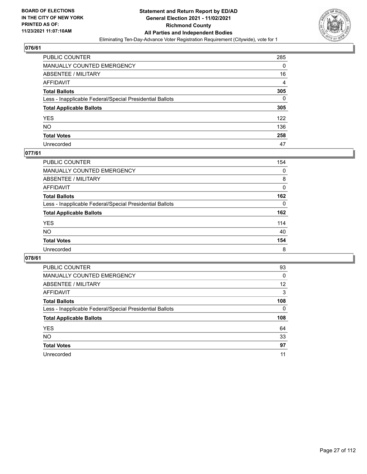

| PUBLIC COUNTER                                           | 285            |
|----------------------------------------------------------|----------------|
| MANUALLY COUNTED EMERGENCY                               | 0              |
| ABSENTEE / MILITARY                                      | 16             |
| AFFIDAVIT                                                | $\overline{4}$ |
| Total Ballots                                            | 305            |
| Less - Inapplicable Federal/Special Presidential Ballots | 0              |
| <b>Total Applicable Ballots</b>                          | 305            |
| YES                                                      | 122            |
| NO.                                                      | 136            |
| <b>Total Votes</b>                                       | 258            |
| Unrecorded                                               | 47             |

#### **077/61**

| <b>PUBLIC COUNTER</b>                                    | 154      |
|----------------------------------------------------------|----------|
| <b>MANUALLY COUNTED EMERGENCY</b>                        | $\Omega$ |
| ABSENTEE / MILITARY                                      | 8        |
| AFFIDAVIT                                                | 0        |
| <b>Total Ballots</b>                                     | 162      |
| Less - Inapplicable Federal/Special Presidential Ballots | $\Omega$ |
| <b>Total Applicable Ballots</b>                          | 162      |
| <b>YES</b>                                               | 114      |
| <b>NO</b>                                                | 40       |
| <b>Total Votes</b>                                       | 154      |
| Unrecorded                                               | 8        |

| <b>PUBLIC COUNTER</b>                                    | 93       |
|----------------------------------------------------------|----------|
| MANUALLY COUNTED EMERGENCY                               | 0        |
| ABSENTEE / MILITARY                                      | 12       |
| AFFIDAVIT                                                | 3        |
| <b>Total Ballots</b>                                     | 108      |
| Less - Inapplicable Federal/Special Presidential Ballots | $\Omega$ |
|                                                          |          |
| <b>Total Applicable Ballots</b>                          | 108      |
| <b>YES</b>                                               | 64       |
| <b>NO</b>                                                | 33       |
| <b>Total Votes</b>                                       | 97       |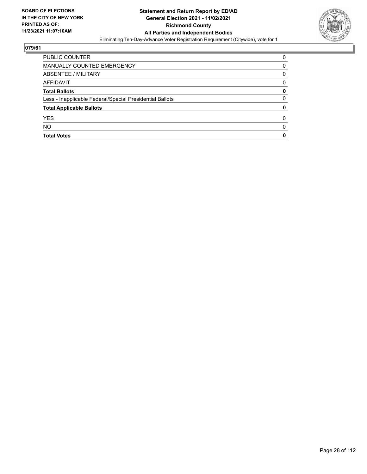

| PUBLIC COUNTER                                           | 0 |
|----------------------------------------------------------|---|
| MANUALLY COUNTED EMERGENCY                               | 0 |
| ABSENTEE / MILITARY                                      | 0 |
| AFFIDAVIT                                                | 0 |
| <b>Total Ballots</b>                                     | 0 |
| Less - Inapplicable Federal/Special Presidential Ballots | 0 |
| <b>Total Applicable Ballots</b>                          | 0 |
| <b>YES</b>                                               | O |
| <b>NO</b>                                                | 0 |
| <b>Total Votes</b>                                       | 0 |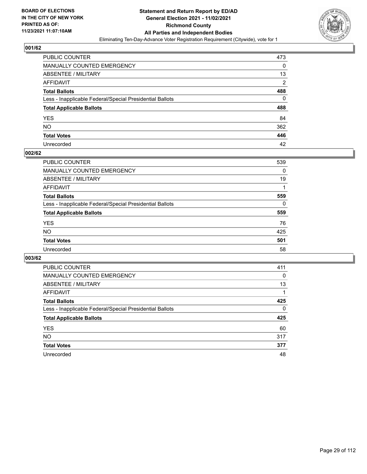

| PUBLIC COUNTER                                           | 473            |
|----------------------------------------------------------|----------------|
| MANUALLY COUNTED EMERGENCY                               | 0              |
| ABSENTEE / MILITARY                                      | 13             |
| AFFIDAVIT                                                | $\overline{2}$ |
| <b>Total Ballots</b>                                     | 488            |
| Less - Inapplicable Federal/Special Presidential Ballots | 0              |
| <b>Total Applicable Ballots</b>                          | 488            |
| YES                                                      | 84             |
| NO.                                                      | 362            |
| <b>Total Votes</b>                                       | 446            |
| Unrecorded                                               | 42             |

#### **002/62**

| <b>PUBLIC COUNTER</b>                                    | 539      |
|----------------------------------------------------------|----------|
| <b>MANUALLY COUNTED EMERGENCY</b>                        | $\Omega$ |
| ABSENTEE / MILITARY                                      | 19       |
| AFFIDAVIT                                                |          |
| <b>Total Ballots</b>                                     | 559      |
| Less - Inapplicable Federal/Special Presidential Ballots | $\Omega$ |
| <b>Total Applicable Ballots</b>                          | 559      |
| <b>YES</b>                                               | 76       |
| <b>NO</b>                                                | 425      |
| <b>Total Votes</b>                                       | 501      |
| Unrecorded                                               | 58       |

| <b>PUBLIC COUNTER</b>                                    | 411      |
|----------------------------------------------------------|----------|
| <b>MANUALLY COUNTED EMERGENCY</b>                        | $\Omega$ |
| ABSENTEE / MILITARY                                      | 13       |
| AFFIDAVIT                                                |          |
| <b>Total Ballots</b>                                     | 425      |
| Less - Inapplicable Federal/Special Presidential Ballots | $\Omega$ |
| <b>Total Applicable Ballots</b>                          | 425      |
| <b>YES</b>                                               | 60       |
| NO.                                                      | 317      |
| <b>Total Votes</b>                                       | 377      |
| Unrecorded                                               | 48       |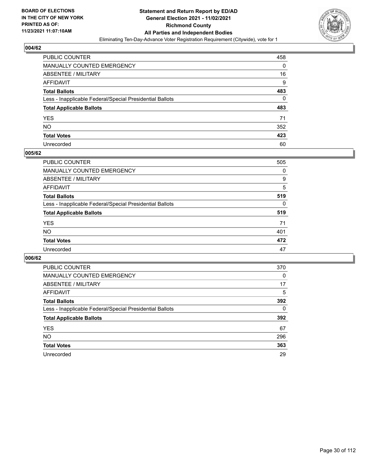

| PUBLIC COUNTER                                           | 458 |
|----------------------------------------------------------|-----|
| MANUALLY COUNTED EMERGENCY                               | 0   |
| ABSENTEE / MILITARY                                      | 16  |
| AFFIDAVIT                                                | 9   |
| <b>Total Ballots</b>                                     | 483 |
| Less - Inapplicable Federal/Special Presidential Ballots | 0   |
| <b>Total Applicable Ballots</b>                          | 483 |
| YES                                                      | 71  |
| NO.                                                      | 352 |
| <b>Total Votes</b>                                       | 423 |
| Unrecorded                                               | 60  |

#### **005/62**

| <b>PUBLIC COUNTER</b>                                    | 505      |
|----------------------------------------------------------|----------|
| <b>MANUALLY COUNTED EMERGENCY</b>                        | 0        |
| ABSENTEE / MILITARY                                      | 9        |
| AFFIDAVIT                                                | 5        |
| <b>Total Ballots</b>                                     | 519      |
| Less - Inapplicable Federal/Special Presidential Ballots | $\Omega$ |
| <b>Total Applicable Ballots</b>                          | 519      |
| <b>YES</b>                                               | 71       |
| <b>NO</b>                                                | 401      |
| <b>Total Votes</b>                                       | 472      |
| Unrecorded                                               | 47       |

| <b>PUBLIC COUNTER</b>                                    | 370 |
|----------------------------------------------------------|-----|
| MANUALLY COUNTED EMERGENCY                               | 0   |
| ABSENTEE / MILITARY                                      | 17  |
| AFFIDAVIT                                                | 5   |
| <b>Total Ballots</b>                                     | 392 |
| Less - Inapplicable Federal/Special Presidential Ballots | 0   |
| <b>Total Applicable Ballots</b>                          | 392 |
| <b>YES</b>                                               | 67  |
| NO.                                                      | 296 |
| <b>Total Votes</b>                                       | 363 |
| Unrecorded                                               | 29  |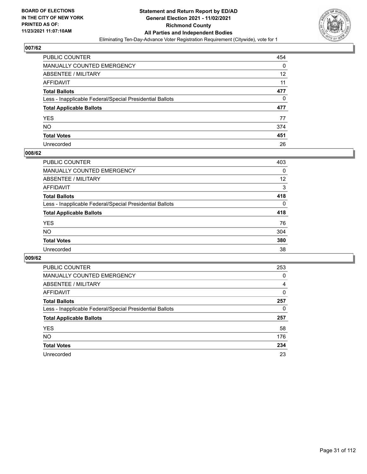

| PUBLIC COUNTER                                           | 454 |
|----------------------------------------------------------|-----|
| MANUALLY COUNTED EMERGENCY                               | 0   |
| <b>ABSENTEE / MILITARY</b>                               | 12  |
| AFFIDAVIT                                                | 11  |
| <b>Total Ballots</b>                                     | 477 |
| Less - Inapplicable Federal/Special Presidential Ballots | 0   |
| <b>Total Applicable Ballots</b>                          | 477 |
| YES                                                      | 77  |
| <b>NO</b>                                                | 374 |
| <b>Total Votes</b>                                       | 451 |
| Unrecorded                                               | 26  |

#### **008/62**

| <b>PUBLIC COUNTER</b>                                    | 403      |
|----------------------------------------------------------|----------|
| <b>MANUALLY COUNTED EMERGENCY</b>                        | $\Omega$ |
| ABSENTEE / MILITARY                                      | 12       |
| AFFIDAVIT                                                | 3        |
| <b>Total Ballots</b>                                     | 418      |
| Less - Inapplicable Federal/Special Presidential Ballots | $\Omega$ |
| <b>Total Applicable Ballots</b>                          | 418      |
| <b>YES</b>                                               | 76       |
| <b>NO</b>                                                | 304      |
| <b>Total Votes</b>                                       | 380      |
| Unrecorded                                               | 38       |

| <b>PUBLIC COUNTER</b>                                    | 253 |
|----------------------------------------------------------|-----|
| MANUALLY COUNTED EMERGENCY                               | 0   |
| ABSENTEE / MILITARY                                      | 4   |
| AFFIDAVIT                                                | 0   |
| <b>Total Ballots</b>                                     | 257 |
| Less - Inapplicable Federal/Special Presidential Ballots | 0   |
| <b>Total Applicable Ballots</b>                          | 257 |
| <b>YES</b>                                               | 58  |
| NO.                                                      | 176 |
| <b>Total Votes</b>                                       | 234 |
| Unrecorded                                               | 23  |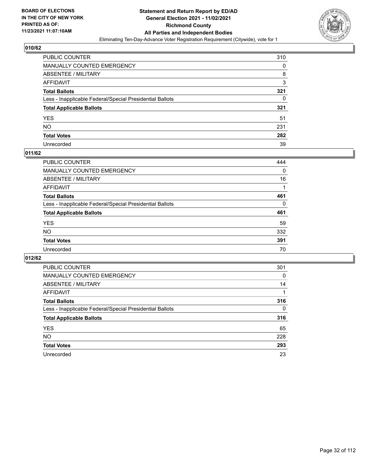

| PUBLIC COUNTER                                           | 310 |
|----------------------------------------------------------|-----|
| MANUALLY COUNTED EMERGENCY                               | 0   |
| ABSENTEE / MILITARY                                      | 8   |
| AFFIDAVIT                                                | 3   |
| <b>Total Ballots</b>                                     | 321 |
| Less - Inapplicable Federal/Special Presidential Ballots | 0   |
| <b>Total Applicable Ballots</b>                          | 321 |
| YES                                                      | 51  |
| NO.                                                      | 231 |
| <b>Total Votes</b>                                       | 282 |
| Unrecorded                                               | 39  |

#### **011/62**

| <b>PUBLIC COUNTER</b>                                    | 444      |
|----------------------------------------------------------|----------|
| <b>MANUALLY COUNTED EMERGENCY</b>                        | 0        |
| ABSENTEE / MILITARY                                      | 16       |
| AFFIDAVIT                                                |          |
| <b>Total Ballots</b>                                     | 461      |
| Less - Inapplicable Federal/Special Presidential Ballots | $\Omega$ |
| <b>Total Applicable Ballots</b>                          | 461      |
| <b>YES</b>                                               | 59       |
| <b>NO</b>                                                | 332      |
| <b>Total Votes</b>                                       | 391      |
| Unrecorded                                               | 70       |

| <b>PUBLIC COUNTER</b>                                    | 301          |
|----------------------------------------------------------|--------------|
| MANUALLY COUNTED EMERGENCY                               | 0            |
| ABSENTEE / MILITARY                                      | 14           |
| AFFIDAVIT                                                |              |
| <b>Total Ballots</b>                                     | 316          |
| Less - Inapplicable Federal/Special Presidential Ballots | $\mathbf{0}$ |
| <b>Total Applicable Ballots</b>                          | 316          |
| <b>YES</b>                                               | 65           |
| NO.                                                      | 228          |
| <b>Total Votes</b>                                       | 293          |
| Unrecorded                                               | 23           |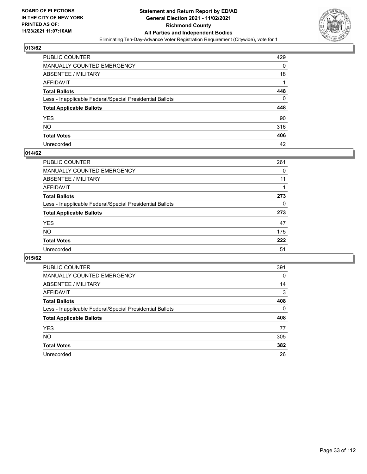

| PUBLIC COUNTER                                           | 429 |
|----------------------------------------------------------|-----|
| MANUALLY COUNTED EMERGENCY                               | 0   |
| ABSENTEE / MILITARY                                      | 18  |
| AFFIDAVIT                                                |     |
| <b>Total Ballots</b>                                     | 448 |
| Less - Inapplicable Federal/Special Presidential Ballots | 0   |
| <b>Total Applicable Ballots</b>                          | 448 |
| YES                                                      | 90  |
| NO.                                                      | 316 |
| <b>Total Votes</b>                                       | 406 |
| Unrecorded                                               | 42  |

#### **014/62**

| PUBLIC COUNTER                                           | 261 |
|----------------------------------------------------------|-----|
| <b>MANUALLY COUNTED EMERGENCY</b>                        | 0   |
| ABSENTEE / MILITARY                                      | 11  |
| AFFIDAVIT                                                |     |
| <b>Total Ballots</b>                                     | 273 |
| Less - Inapplicable Federal/Special Presidential Ballots | 0   |
| <b>Total Applicable Ballots</b>                          | 273 |
| <b>YES</b>                                               | 47  |
| <b>NO</b>                                                | 175 |
| <b>Total Votes</b>                                       | 222 |
| Unrecorded                                               | 51  |

| <b>PUBLIC COUNTER</b>                                    | 391      |
|----------------------------------------------------------|----------|
| MANUALLY COUNTED EMERGENCY                               | 0        |
| ABSENTEE / MILITARY                                      | 14       |
| AFFIDAVIT                                                | 3        |
| <b>Total Ballots</b>                                     | 408      |
| Less - Inapplicable Federal/Special Presidential Ballots | $\Omega$ |
| <b>Total Applicable Ballots</b>                          | 408      |
| <b>YES</b>                                               | 77       |
| NO.                                                      | 305      |
| <b>Total Votes</b>                                       | 382      |
| Unrecorded                                               | 26       |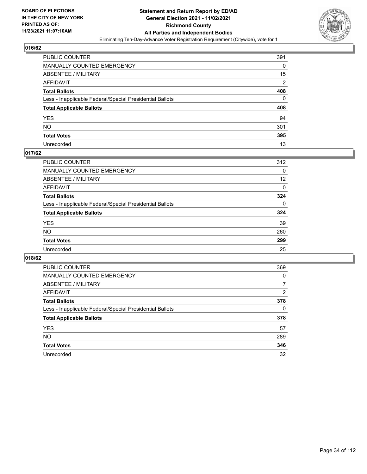

| PUBLIC COUNTER                                           | 391            |
|----------------------------------------------------------|----------------|
| MANUALLY COUNTED EMERGENCY                               | 0              |
| ABSENTEE / MILITARY                                      | 15             |
| AFFIDAVIT                                                | $\overline{2}$ |
| <b>Total Ballots</b>                                     | 408            |
| Less - Inapplicable Federal/Special Presidential Ballots | 0              |
| <b>Total Applicable Ballots</b>                          | 408            |
| YES                                                      | 94             |
| NO.                                                      | 301            |
| <b>Total Votes</b>                                       | 395            |
| Unrecorded                                               | 13             |

#### **017/62**

| <b>PUBLIC COUNTER</b>                                    | 312      |
|----------------------------------------------------------|----------|
| <b>MANUALLY COUNTED EMERGENCY</b>                        | $\Omega$ |
| ABSENTEE / MILITARY                                      | 12       |
| AFFIDAVIT                                                | 0        |
| <b>Total Ballots</b>                                     | 324      |
| Less - Inapplicable Federal/Special Presidential Ballots | $\Omega$ |
| <b>Total Applicable Ballots</b>                          | 324      |
| <b>YES</b>                                               | 39       |
| <b>NO</b>                                                | 260      |
| <b>Total Votes</b>                                       | 299      |
| Unrecorded                                               | 25       |

| <b>PUBLIC COUNTER</b>                                    | 369      |
|----------------------------------------------------------|----------|
| MANUALLY COUNTED EMERGENCY                               | $\Omega$ |
| ABSENTEE / MILITARY                                      | 7        |
| AFFIDAVIT                                                | 2        |
| <b>Total Ballots</b>                                     | 378      |
| Less - Inapplicable Federal/Special Presidential Ballots | 0        |
| <b>Total Applicable Ballots</b>                          | 378      |
| <b>YES</b>                                               | 57       |
| NO.                                                      | 289      |
| <b>Total Votes</b>                                       | 346      |
| Unrecorded                                               | 32       |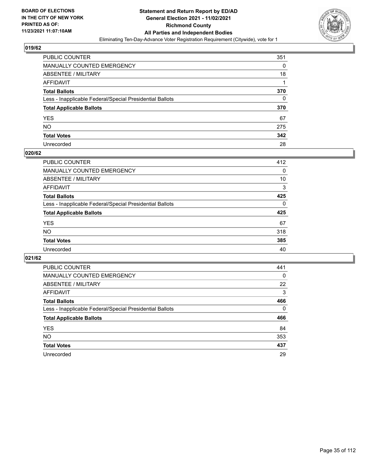

| PUBLIC COUNTER                                           | 351 |
|----------------------------------------------------------|-----|
| MANUALLY COUNTED EMERGENCY                               | 0   |
| ABSENTEE / MILITARY                                      | 18  |
| AFFIDAVIT                                                |     |
| <b>Total Ballots</b>                                     | 370 |
| Less - Inapplicable Federal/Special Presidential Ballots | 0   |
| <b>Total Applicable Ballots</b>                          | 370 |
| YES                                                      | 67  |
| NO.                                                      | 275 |
| <b>Total Votes</b>                                       | 342 |
| Unrecorded                                               | 28  |

#### **020/62**

| <b>PUBLIC COUNTER</b>                                    | 412      |
|----------------------------------------------------------|----------|
| <b>MANUALLY COUNTED EMERGENCY</b>                        | 0        |
| ABSENTEE / MILITARY                                      | 10       |
| AFFIDAVIT                                                | 3        |
| <b>Total Ballots</b>                                     | 425      |
| Less - Inapplicable Federal/Special Presidential Ballots | $\Omega$ |
| <b>Total Applicable Ballots</b>                          | 425      |
| <b>YES</b>                                               | 67       |
| <b>NO</b>                                                | 318      |
| <b>Total Votes</b>                                       | 385      |
| Unrecorded                                               | 40       |

| PUBLIC COUNTER                                           | 441      |
|----------------------------------------------------------|----------|
| MANUALLY COUNTED EMERGENCY                               | $\Omega$ |
| ABSENTEE / MILITARY                                      | 22       |
| AFFIDAVIT                                                | 3        |
| <b>Total Ballots</b>                                     | 466      |
| Less - Inapplicable Federal/Special Presidential Ballots | $\Omega$ |
| <b>Total Applicable Ballots</b>                          | 466      |
| <b>YES</b>                                               | 84       |
| <b>NO</b>                                                | 353      |
| <b>Total Votes</b>                                       | 437      |
| Unrecorded                                               | 29       |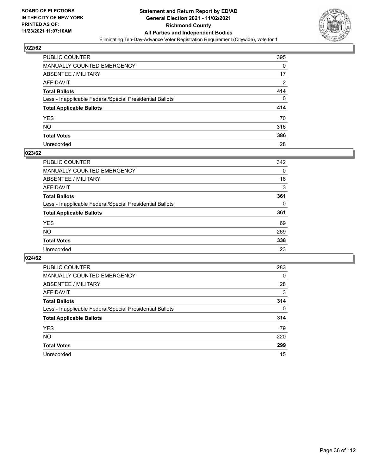

| PUBLIC COUNTER                                           | 395            |
|----------------------------------------------------------|----------------|
| MANUALLY COUNTED EMERGENCY                               | 0              |
| <b>ABSENTEE / MILITARY</b>                               | 17             |
| AFFIDAVIT                                                | $\overline{2}$ |
| <b>Total Ballots</b>                                     | 414            |
| Less - Inapplicable Federal/Special Presidential Ballots | 0              |
| <b>Total Applicable Ballots</b>                          | 414            |
| YES                                                      | 70             |
| NO.                                                      | 316            |
| <b>Total Votes</b>                                       | 386            |
| Unrecorded                                               | 28             |

#### **023/62**

| PUBLIC COUNTER                                           | 342      |
|----------------------------------------------------------|----------|
| MANUALLY COUNTED EMERGENCY                               | 0        |
| ABSENTEE / MILITARY                                      | 16       |
| AFFIDAVIT                                                | 3        |
| <b>Total Ballots</b>                                     | 361      |
| Less - Inapplicable Federal/Special Presidential Ballots | $\Omega$ |
| <b>Total Applicable Ballots</b>                          | 361      |
| <b>YES</b>                                               | 69       |
| <b>NO</b>                                                | 269      |
| <b>Total Votes</b>                                       | 338      |
| Unrecorded                                               | 23       |

| <b>PUBLIC COUNTER</b>                                    | 283      |
|----------------------------------------------------------|----------|
| <b>MANUALLY COUNTED EMERGENCY</b>                        | $\Omega$ |
| ABSENTEE / MILITARY                                      | 28       |
| AFFIDAVIT                                                | 3        |
| <b>Total Ballots</b>                                     | 314      |
| Less - Inapplicable Federal/Special Presidential Ballots | $\Omega$ |
| <b>Total Applicable Ballots</b>                          | 314      |
| <b>YES</b>                                               | 79       |
| NO.                                                      | 220      |
| <b>Total Votes</b>                                       | 299      |
| Unrecorded                                               | 15       |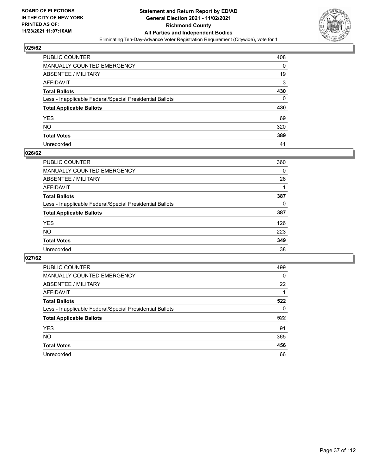

| PUBLIC COUNTER                                           | 408 |
|----------------------------------------------------------|-----|
| MANUALLY COUNTED EMERGENCY                               | 0   |
| <b>ABSENTEE / MILITARY</b>                               | 19  |
| AFFIDAVIT                                                | 3   |
| <b>Total Ballots</b>                                     | 430 |
| Less - Inapplicable Federal/Special Presidential Ballots | 0   |
| <b>Total Applicable Ballots</b>                          | 430 |
| YES                                                      | 69  |
| NO.                                                      | 320 |
| <b>Total Votes</b>                                       | 389 |
| Unrecorded                                               | 41  |

#### **026/62**

| PUBLIC COUNTER                                           | 360      |
|----------------------------------------------------------|----------|
| <b>MANUALLY COUNTED EMERGENCY</b>                        | $\Omega$ |
| ABSENTEE / MILITARY                                      | 26       |
| AFFIDAVIT                                                |          |
| <b>Total Ballots</b>                                     | 387      |
| Less - Inapplicable Federal/Special Presidential Ballots | 0        |
| <b>Total Applicable Ballots</b>                          | 387      |
| <b>YES</b>                                               | 126      |
| <b>NO</b>                                                | 223      |
| <b>Total Votes</b>                                       | 349      |
| Unrecorded                                               | 38       |

| PUBLIC COUNTER                                           | 499      |
|----------------------------------------------------------|----------|
| MANUALLY COUNTED EMERGENCY                               | $\Omega$ |
| ABSENTEE / MILITARY                                      | 22       |
| AFFIDAVIT                                                |          |
| <b>Total Ballots</b>                                     | 522      |
| Less - Inapplicable Federal/Special Presidential Ballots | 0        |
| <b>Total Applicable Ballots</b>                          | 522      |
| <b>YES</b>                                               | 91       |
| NO.                                                      | 365      |
| <b>Total Votes</b>                                       | 456      |
| Unrecorded                                               | 66       |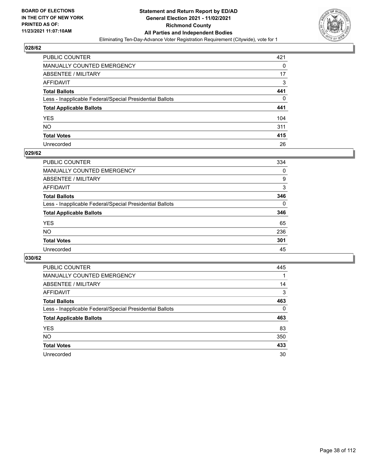

| PUBLIC COUNTER                                           | 421      |
|----------------------------------------------------------|----------|
| MANUALLY COUNTED EMERGENCY                               | 0        |
| <b>ABSENTEE / MILITARY</b>                               | 17       |
| AFFIDAVIT                                                | 3        |
| <b>Total Ballots</b>                                     | 441      |
| Less - Inapplicable Federal/Special Presidential Ballots | $\Omega$ |
| <b>Total Applicable Ballots</b>                          | 441      |
| YES                                                      | 104      |
| NO.                                                      | 311      |
| <b>Total Votes</b>                                       | 415      |
| Unrecorded                                               | 26       |

#### **029/62**

| <b>PUBLIC COUNTER</b>                                    | 334      |
|----------------------------------------------------------|----------|
| MANUALLY COUNTED EMERGENCY                               | 0        |
| ABSENTEE / MILITARY                                      | 9        |
| AFFIDAVIT                                                | 3        |
| <b>Total Ballots</b>                                     | 346      |
| Less - Inapplicable Federal/Special Presidential Ballots | $\Omega$ |
| <b>Total Applicable Ballots</b>                          | 346      |
| <b>YES</b>                                               | 65       |
| <b>NO</b>                                                | 236      |
| <b>Total Votes</b>                                       | 301      |
| Unrecorded                                               | 45       |

| PUBLIC COUNTER                                           | 445      |
|----------------------------------------------------------|----------|
| <b>MANUALLY COUNTED EMERGENCY</b>                        |          |
| ABSENTEE / MILITARY                                      | 14       |
| AFFIDAVIT                                                | 3        |
| <b>Total Ballots</b>                                     | 463      |
| Less - Inapplicable Federal/Special Presidential Ballots | $\Omega$ |
| <b>Total Applicable Ballots</b>                          | 463      |
| <b>YES</b>                                               | 83       |
| NO.                                                      | 350      |
| <b>Total Votes</b>                                       | 433      |
| Unrecorded                                               | 30       |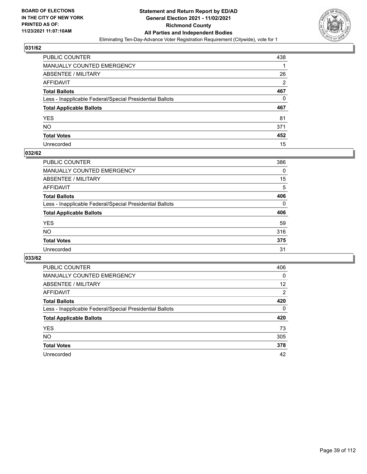

| PUBLIC COUNTER                                           | 438            |
|----------------------------------------------------------|----------------|
| MANUALLY COUNTED EMERGENCY                               |                |
| ABSENTEE / MILITARY                                      | 26             |
| AFFIDAVIT                                                | $\overline{2}$ |
| <b>Total Ballots</b>                                     | 467            |
| Less - Inapplicable Federal/Special Presidential Ballots | 0              |
| <b>Total Applicable Ballots</b>                          | 467            |
| YES                                                      | 81             |
| NO.                                                      | 371            |
| <b>Total Votes</b>                                       | 452            |
| Unrecorded                                               | 15             |

#### **032/62**

| PUBLIC COUNTER                                           | 386      |
|----------------------------------------------------------|----------|
| <b>MANUALLY COUNTED EMERGENCY</b>                        | $\Omega$ |
| ABSENTEE / MILITARY                                      | 15       |
| AFFIDAVIT                                                | 5        |
| <b>Total Ballots</b>                                     | 406      |
| Less - Inapplicable Federal/Special Presidential Ballots | $\Omega$ |
| <b>Total Applicable Ballots</b>                          | 406      |
| <b>YES</b>                                               | 59       |
| <b>NO</b>                                                | 316      |
| <b>Total Votes</b>                                       | 375      |
| Unrecorded                                               | 31       |

| PUBLIC COUNTER                                           | 406      |
|----------------------------------------------------------|----------|
| MANUALLY COUNTED EMERGENCY                               | 0        |
| ABSENTEE / MILITARY                                      | 12       |
| AFFIDAVIT                                                | 2        |
| <b>Total Ballots</b>                                     | 420      |
| Less - Inapplicable Federal/Special Presidential Ballots | $\Omega$ |
| <b>Total Applicable Ballots</b>                          | 420      |
| <b>YES</b>                                               | 73       |
| <b>NO</b>                                                | 305      |
| <b>Total Votes</b>                                       | 378      |
| Unrecorded                                               | 42       |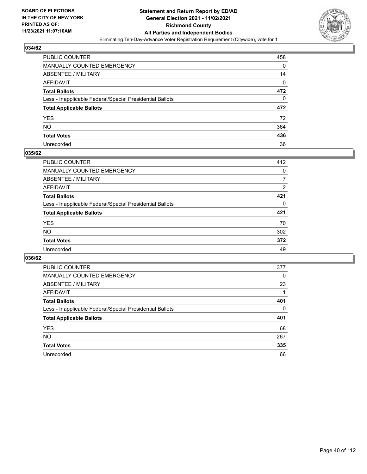

| PUBLIC COUNTER                                           | 458 |
|----------------------------------------------------------|-----|
| <b>MANUALLY COUNTED EMERGENCY</b>                        | 0   |
| ABSENTEE / MILITARY                                      | 14  |
| AFFIDAVIT                                                | 0   |
| <b>Total Ballots</b>                                     | 472 |
| Less - Inapplicable Federal/Special Presidential Ballots | 0   |
| <b>Total Applicable Ballots</b>                          | 472 |
| <b>YES</b>                                               | 72  |
| NO.                                                      | 364 |
| <b>Total Votes</b>                                       | 436 |
| Unrecorded                                               | 36  |

#### **035/62**

| <b>PUBLIC COUNTER</b>                                    | 412            |
|----------------------------------------------------------|----------------|
| <b>MANUALLY COUNTED EMERGENCY</b>                        | $\Omega$       |
| ABSENTEE / MILITARY                                      | 7              |
| AFFIDAVIT                                                | $\overline{2}$ |
| <b>Total Ballots</b>                                     | 421            |
| Less - Inapplicable Federal/Special Presidential Ballots | 0              |
| <b>Total Applicable Ballots</b>                          | 421            |
| <b>YES</b>                                               | 70             |
| <b>NO</b>                                                | 302            |
| <b>Total Votes</b>                                       | 372            |
| Unrecorded                                               | 49             |

| PUBLIC COUNTER                                           | 377      |
|----------------------------------------------------------|----------|
| MANUALLY COUNTED EMERGENCY                               | 0        |
| ABSENTEE / MILITARY                                      | 23       |
| AFFIDAVIT                                                |          |
| <b>Total Ballots</b>                                     | 401      |
| Less - Inapplicable Federal/Special Presidential Ballots | $\Omega$ |
| <b>Total Applicable Ballots</b>                          | 401      |
| <b>YES</b>                                               | 68       |
| <b>NO</b>                                                | 267      |
| <b>Total Votes</b>                                       | 335      |
| Unrecorded                                               | 66       |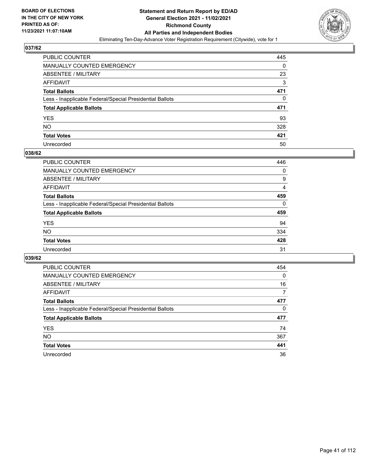

| PUBLIC COUNTER                                           | 445      |
|----------------------------------------------------------|----------|
| MANUALLY COUNTED EMERGENCY                               | 0        |
| <b>ABSENTEE / MILITARY</b>                               | 23       |
| AFFIDAVIT                                                | 3        |
| <b>Total Ballots</b>                                     | 471      |
| Less - Inapplicable Federal/Special Presidential Ballots | $\Omega$ |
| <b>Total Applicable Ballots</b>                          | 471      |
| YES                                                      | 93       |
| NO.                                                      | 328      |
| <b>Total Votes</b>                                       | 421      |
| Unrecorded                                               | 50       |

#### **038/62**

| <b>PUBLIC COUNTER</b>                                    | 446      |
|----------------------------------------------------------|----------|
| MANUALLY COUNTED EMERGENCY                               | 0        |
| ABSENTEE / MILITARY                                      | 9        |
| AFFIDAVIT                                                | 4        |
| <b>Total Ballots</b>                                     | 459      |
| Less - Inapplicable Federal/Special Presidential Ballots | $\Omega$ |
| <b>Total Applicable Ballots</b>                          | 459      |
| <b>YES</b>                                               | 94       |
| <b>NO</b>                                                | 334      |
| <b>Total Votes</b>                                       | 428      |
| Unrecorded                                               | 31       |

| PUBLIC COUNTER                                           | 454      |
|----------------------------------------------------------|----------|
| MANUALLY COUNTED EMERGENCY                               | $\Omega$ |
| ABSENTEE / MILITARY                                      | 16       |
| AFFIDAVIT                                                | 7        |
| <b>Total Ballots</b>                                     | 477      |
| Less - Inapplicable Federal/Special Presidential Ballots | 0        |
| <b>Total Applicable Ballots</b>                          | 477      |
| <b>YES</b>                                               | 74       |
| NO.                                                      | 367      |
| <b>Total Votes</b>                                       | 441      |
| Unrecorded                                               | 36       |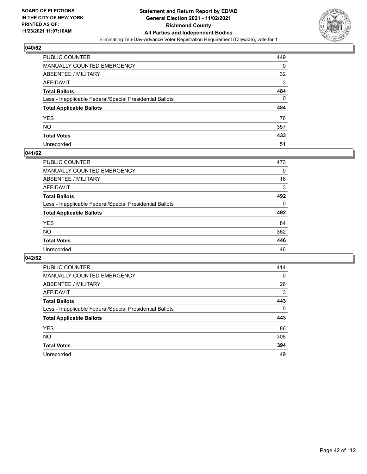

| PUBLIC COUNTER                                           | 449 |
|----------------------------------------------------------|-----|
| MANUALLY COUNTED EMERGENCY                               | 0   |
| ABSENTEE / MILITARY                                      | 32  |
| AFFIDAVIT                                                | 3   |
| <b>Total Ballots</b>                                     | 484 |
| Less - Inapplicable Federal/Special Presidential Ballots | 0   |
| <b>Total Applicable Ballots</b>                          | 484 |
| YES                                                      | 76  |
| NO.                                                      | 357 |
| <b>Total Votes</b>                                       | 433 |
| Unrecorded                                               | 51  |

#### **041/62**

| <b>PUBLIC COUNTER</b>                                    | 473      |
|----------------------------------------------------------|----------|
| <b>MANUALLY COUNTED EMERGENCY</b>                        | 0        |
| ABSENTEE / MILITARY                                      | 16       |
| AFFIDAVIT                                                | 3        |
| <b>Total Ballots</b>                                     | 492      |
| Less - Inapplicable Federal/Special Presidential Ballots | $\Omega$ |
| <b>Total Applicable Ballots</b>                          | 492      |
| <b>YES</b>                                               | 84       |
| <b>NO</b>                                                | 362      |
| <b>Total Votes</b>                                       | 446      |
| Unrecorded                                               | 46       |

| PUBLIC COUNTER                                           | 414      |
|----------------------------------------------------------|----------|
| <b>MANUALLY COUNTED EMERGENCY</b>                        | $\Omega$ |
| ABSENTEE / MILITARY                                      | 26       |
| AFFIDAVIT                                                | 3        |
| <b>Total Ballots</b>                                     | 443      |
| Less - Inapplicable Federal/Special Presidential Ballots | $\Omega$ |
| <b>Total Applicable Ballots</b>                          | 443      |
| <b>YES</b>                                               | 86       |
| NO.                                                      | 308      |
| <b>Total Votes</b>                                       | 394      |
| Unrecorded                                               | 49       |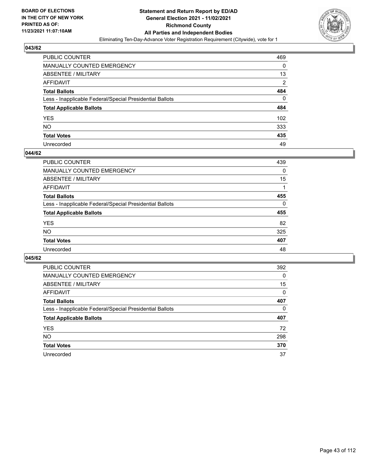

| PUBLIC COUNTER                                           | 469            |
|----------------------------------------------------------|----------------|
| MANUALLY COUNTED EMERGENCY                               | 0              |
| ABSENTEE / MILITARY                                      | 13             |
| AFFIDAVIT                                                | $\overline{2}$ |
| <b>Total Ballots</b>                                     | 484            |
| Less - Inapplicable Federal/Special Presidential Ballots | 0              |
| <b>Total Applicable Ballots</b>                          | 484            |
| YES                                                      | 102            |
| NO.                                                      | 333            |
| <b>Total Votes</b>                                       | 435            |
| Unrecorded                                               | 49             |

#### **044/62**

| <b>PUBLIC COUNTER</b>                                    | 439      |
|----------------------------------------------------------|----------|
| MANUALLY COUNTED EMERGENCY                               | 0        |
| ABSENTEE / MILITARY                                      | 15       |
| AFFIDAVIT                                                |          |
| <b>Total Ballots</b>                                     | 455      |
| Less - Inapplicable Federal/Special Presidential Ballots | $\Omega$ |
| <b>Total Applicable Ballots</b>                          | 455      |
| <b>YES</b>                                               | 82       |
| <b>NO</b>                                                | 325      |
| <b>Total Votes</b>                                       | 407      |
| Unrecorded                                               | 48       |

| PUBLIC COUNTER                                           | 392      |
|----------------------------------------------------------|----------|
| <b>MANUALLY COUNTED EMERGENCY</b>                        | 0        |
| ABSENTEE / MILITARY                                      | 15       |
| AFFIDAVIT                                                | $\Omega$ |
| <b>Total Ballots</b>                                     | 407      |
| Less - Inapplicable Federal/Special Presidential Ballots | $\Omega$ |
| <b>Total Applicable Ballots</b>                          | 407      |
| <b>YES</b>                                               | 72       |
| <b>NO</b>                                                | 298      |
| <b>Total Votes</b>                                       | 370      |
| Unrecorded                                               | 37       |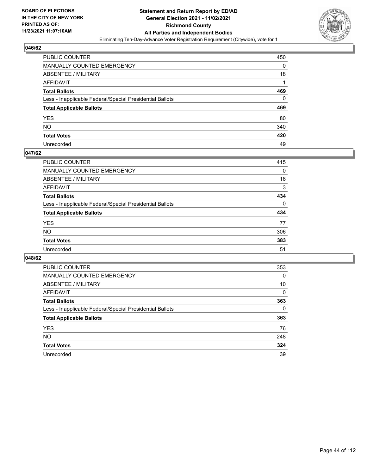

| PUBLIC COUNTER                                           | 450 |
|----------------------------------------------------------|-----|
| MANUALLY COUNTED EMERGENCY                               | 0   |
| <b>ABSENTEE / MILITARY</b>                               | 18  |
| AFFIDAVIT                                                |     |
| <b>Total Ballots</b>                                     | 469 |
| Less - Inapplicable Federal/Special Presidential Ballots | 0   |
| <b>Total Applicable Ballots</b>                          | 469 |
| YES                                                      | 80  |
| NO.                                                      | 340 |
| <b>Total Votes</b>                                       | 420 |
| Unrecorded                                               | 49  |

#### **047/62**

| <b>PUBLIC COUNTER</b>                                    | 415      |
|----------------------------------------------------------|----------|
| <b>MANUALLY COUNTED EMERGENCY</b>                        | 0        |
| ABSENTEE / MILITARY                                      | 16       |
| AFFIDAVIT                                                | 3        |
| <b>Total Ballots</b>                                     | 434      |
| Less - Inapplicable Federal/Special Presidential Ballots | $\Omega$ |
| <b>Total Applicable Ballots</b>                          | 434      |
| <b>YES</b>                                               | 77       |
| <b>NO</b>                                                | 306      |
| <b>Total Votes</b>                                       | 383      |
| Unrecorded                                               | 51       |

| PUBLIC COUNTER                                           | 353      |
|----------------------------------------------------------|----------|
| MANUALLY COUNTED EMERGENCY                               | 0        |
| ABSENTEE / MILITARY                                      | 10       |
| AFFIDAVIT                                                | $\Omega$ |
| <b>Total Ballots</b>                                     | 363      |
| Less - Inapplicable Federal/Special Presidential Ballots | $\Omega$ |
| <b>Total Applicable Ballots</b>                          | 363      |
| <b>YES</b>                                               | 76       |
| <b>NO</b>                                                | 248      |
| <b>Total Votes</b>                                       | 324      |
| Unrecorded                                               | 39       |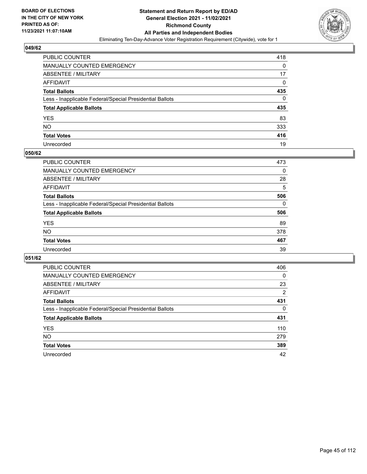

| PUBLIC COUNTER                                           | 418      |
|----------------------------------------------------------|----------|
| MANUALLY COUNTED EMERGENCY                               | 0        |
| <b>ABSENTEE / MILITARY</b>                               | 17       |
| AFFIDAVIT                                                | $\Omega$ |
| <b>Total Ballots</b>                                     | 435      |
| Less - Inapplicable Federal/Special Presidential Ballots | $\Omega$ |
| <b>Total Applicable Ballots</b>                          | 435      |
| YES                                                      | 83       |
| <b>NO</b>                                                | 333      |
| <b>Total Votes</b>                                       | 416      |
| Unrecorded                                               | 19       |

#### **050/62**

| <b>PUBLIC COUNTER</b>                                    | 473      |
|----------------------------------------------------------|----------|
| <b>MANUALLY COUNTED EMERGENCY</b>                        | $\Omega$ |
| ABSENTEE / MILITARY                                      | 28       |
| AFFIDAVIT                                                | 5        |
| <b>Total Ballots</b>                                     | 506      |
| Less - Inapplicable Federal/Special Presidential Ballots | $\Omega$ |
| <b>Total Applicable Ballots</b>                          | 506      |
| <b>YES</b>                                               | 89       |
| <b>NO</b>                                                | 378      |
| <b>Total Votes</b>                                       | 467      |
| Unrecorded                                               | 39       |

| PUBLIC COUNTER                                           | 406      |
|----------------------------------------------------------|----------|
| MANUALLY COUNTED EMERGENCY                               | $\Omega$ |
| ABSENTEE / MILITARY                                      | 23       |
| AFFIDAVIT                                                | 2        |
| <b>Total Ballots</b>                                     | 431      |
| Less - Inapplicable Federal/Special Presidential Ballots | $\Omega$ |
| <b>Total Applicable Ballots</b>                          | 431      |
| <b>YES</b>                                               | 110      |
| <b>NO</b>                                                | 279      |
| <b>Total Votes</b>                                       | 389      |
| Unrecorded                                               | 42       |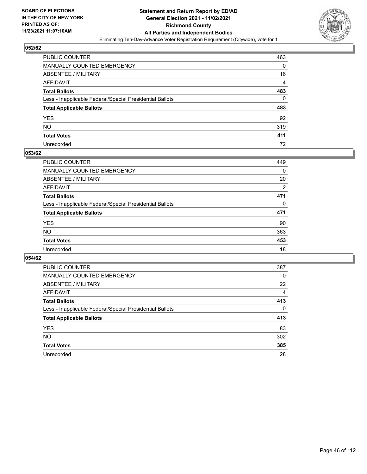

| PUBLIC COUNTER                                           | 463            |
|----------------------------------------------------------|----------------|
| MANUALLY COUNTED EMERGENCY                               | 0              |
| <b>ABSENTEE / MILITARY</b>                               | 16             |
| AFFIDAVIT                                                | $\overline{4}$ |
| <b>Total Ballots</b>                                     | 483            |
| Less - Inapplicable Federal/Special Presidential Ballots | 0              |
| <b>Total Applicable Ballots</b>                          | 483            |
| YES                                                      | 92             |
| <b>NO</b>                                                | 319            |
| <b>Total Votes</b>                                       | 411            |
| Unrecorded                                               | 72             |

#### **053/62**

| <b>PUBLIC COUNTER</b>                                    | 449      |
|----------------------------------------------------------|----------|
| MANUALLY COUNTED EMERGENCY                               | 0        |
| ABSENTEE / MILITARY                                      | 20       |
| AFFIDAVIT                                                | 2        |
| <b>Total Ballots</b>                                     | 471      |
| Less - Inapplicable Federal/Special Presidential Ballots | $\Omega$ |
| <b>Total Applicable Ballots</b>                          | 471      |
| <b>YES</b>                                               | 90       |
| <b>NO</b>                                                | 363      |
| <b>Total Votes</b>                                       | 453      |
| Unrecorded                                               | 18       |

| PUBLIC COUNTER                                           | 387      |
|----------------------------------------------------------|----------|
| <b>MANUALLY COUNTED EMERGENCY</b>                        | $\Omega$ |
| ABSENTEE / MILITARY                                      | 22       |
| AFFIDAVIT                                                | 4        |
| <b>Total Ballots</b>                                     | 413      |
| Less - Inapplicable Federal/Special Presidential Ballots | $\Omega$ |
| <b>Total Applicable Ballots</b>                          | 413      |
| <b>YES</b>                                               | 83       |
| NO.                                                      | 302      |
| <b>Total Votes</b>                                       | 385      |
| Unrecorded                                               | 28       |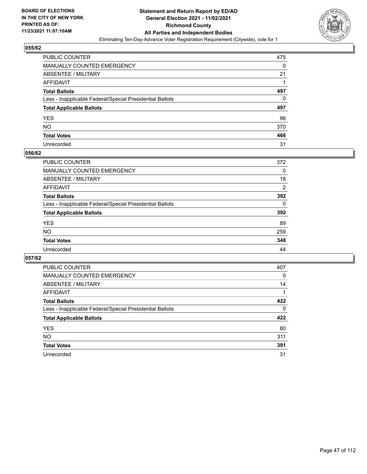

| PUBLIC COUNTER                                           | 475 |
|----------------------------------------------------------|-----|
| MANUALLY COUNTED EMERGENCY                               | 0   |
| ABSENTEE / MILITARY                                      | 21  |
| AFFIDAVIT                                                |     |
| <b>Total Ballots</b>                                     | 497 |
| Less - Inapplicable Federal/Special Presidential Ballots | 0   |
| <b>Total Applicable Ballots</b>                          | 497 |
| YES                                                      | 96  |
| NO.                                                      | 370 |
| <b>Total Votes</b>                                       | 466 |
| Unrecorded                                               | 31  |

#### **056/62**

| PUBLIC COUNTER                                           | 372 |
|----------------------------------------------------------|-----|
| <b>MANUALLY COUNTED EMERGENCY</b>                        | 0   |
| ABSENTEE / MILITARY                                      | 18  |
| AFFIDAVIT                                                | 2   |
| <b>Total Ballots</b>                                     | 392 |
| Less - Inapplicable Federal/Special Presidential Ballots | 0   |
| <b>Total Applicable Ballots</b>                          | 392 |
| <b>YES</b>                                               | 89  |
| <b>NO</b>                                                | 259 |
| <b>Total Votes</b>                                       | 348 |
| Unrecorded                                               | 44  |

| PUBLIC COUNTER                                           | 407      |
|----------------------------------------------------------|----------|
| MANUALLY COUNTED EMERGENCY                               | 0        |
| ABSENTEE / MILITARY                                      | 14       |
| AFFIDAVIT                                                |          |
| <b>Total Ballots</b>                                     | 422      |
| Less - Inapplicable Federal/Special Presidential Ballots | $\Omega$ |
| <b>Total Applicable Ballots</b>                          | 422      |
| <b>YES</b>                                               | 80       |
| NO.                                                      | 311      |
| <b>Total Votes</b>                                       | 391      |
| Unrecorded                                               | 31       |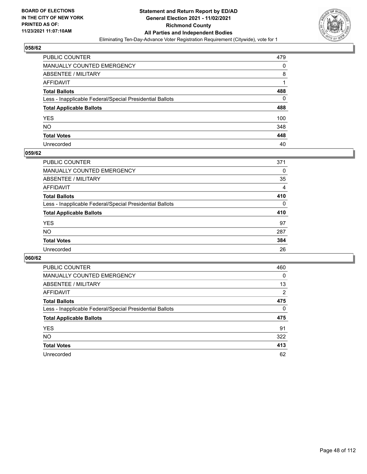

| PUBLIC COUNTER                                           | 479 |
|----------------------------------------------------------|-----|
| MANUALLY COUNTED EMERGENCY                               | 0   |
| ABSENTEE / MILITARY                                      | 8   |
| AFFIDAVIT                                                |     |
| <b>Total Ballots</b>                                     | 488 |
| Less - Inapplicable Federal/Special Presidential Ballots | 0   |
| <b>Total Applicable Ballots</b>                          | 488 |
| YES                                                      | 100 |
| NO.                                                      | 348 |
| <b>Total Votes</b>                                       | 448 |
| Unrecorded                                               | 40  |

#### **059/62**

| <b>PUBLIC COUNTER</b>                                    | 371            |
|----------------------------------------------------------|----------------|
| <b>MANUALLY COUNTED EMERGENCY</b>                        | 0              |
| ABSENTEE / MILITARY                                      | 35             |
| AFFIDAVIT                                                | $\overline{4}$ |
| <b>Total Ballots</b>                                     | 410            |
| Less - Inapplicable Federal/Special Presidential Ballots | $\Omega$       |
| <b>Total Applicable Ballots</b>                          | 410            |
| <b>YES</b>                                               | 97             |
| <b>NO</b>                                                | 287            |
| <b>Total Votes</b>                                       | 384            |
| Unrecorded                                               | 26             |

| PUBLIC COUNTER                                           | 460      |
|----------------------------------------------------------|----------|
| <b>MANUALLY COUNTED EMERGENCY</b>                        | $\Omega$ |
| ABSENTEE / MILITARY                                      | 13       |
| AFFIDAVIT                                                | 2        |
| <b>Total Ballots</b>                                     | 475      |
| Less - Inapplicable Federal/Special Presidential Ballots | $\Omega$ |
| <b>Total Applicable Ballots</b>                          | 475      |
| <b>YES</b>                                               | 91       |
| NO.                                                      | 322      |
| <b>Total Votes</b>                                       | 413      |
| Unrecorded                                               | 62       |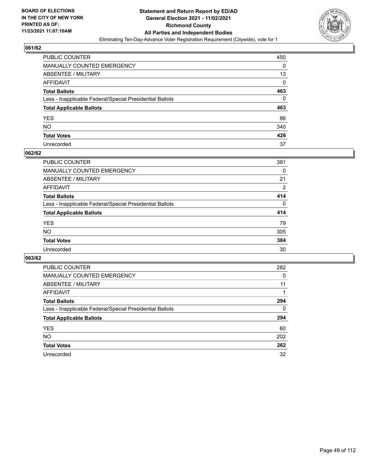

| PUBLIC COUNTER                                           | 450 |
|----------------------------------------------------------|-----|
| MANUALLY COUNTED EMERGENCY                               | 0   |
| <b>ABSENTEE / MILITARY</b>                               | 13  |
| AFFIDAVIT                                                | 0   |
| <b>Total Ballots</b>                                     | 463 |
| Less - Inapplicable Federal/Special Presidential Ballots | 0   |
| <b>Total Applicable Ballots</b>                          | 463 |
| YES                                                      | 86  |
| NO.                                                      | 340 |
| <b>Total Votes</b>                                       | 426 |
| Unrecorded                                               | 37  |

#### **062/62**

| <b>PUBLIC COUNTER</b>                                    | 391      |
|----------------------------------------------------------|----------|
| MANUALLY COUNTED EMERGENCY                               | 0        |
| ABSENTEE / MILITARY                                      | 21       |
| AFFIDAVIT                                                | 2        |
| <b>Total Ballots</b>                                     | 414      |
| Less - Inapplicable Federal/Special Presidential Ballots | $\Omega$ |
| <b>Total Applicable Ballots</b>                          | 414      |
| <b>YES</b>                                               | 79       |
| <b>NO</b>                                                | 305      |
| <b>Total Votes</b>                                       | 384      |
| Unrecorded                                               | 30       |

| PUBLIC COUNTER                                           | 282      |
|----------------------------------------------------------|----------|
| <b>MANUALLY COUNTED EMERGENCY</b>                        | 0        |
| ABSENTEE / MILITARY                                      | 11       |
| AFFIDAVIT                                                |          |
| <b>Total Ballots</b>                                     | 294      |
| Less - Inapplicable Federal/Special Presidential Ballots | $\Omega$ |
| <b>Total Applicable Ballots</b>                          | 294      |
| <b>YES</b>                                               | 60       |
| NO.                                                      | 202      |
| <b>Total Votes</b>                                       | 262      |
| Unrecorded                                               | 32       |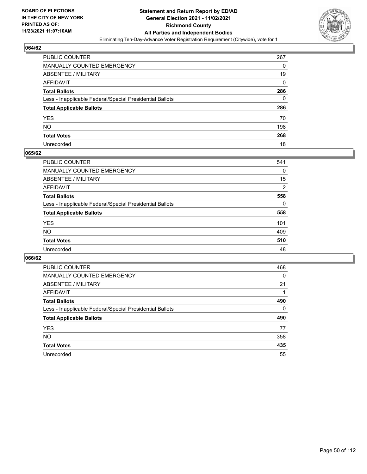

| PUBLIC COUNTER                                           | 267      |
|----------------------------------------------------------|----------|
| MANUALLY COUNTED EMERGENCY                               | 0        |
| <b>ABSENTEE / MILITARY</b>                               | 19       |
| AFFIDAVIT                                                | $\Omega$ |
| <b>Total Ballots</b>                                     | 286      |
| Less - Inapplicable Federal/Special Presidential Ballots | 0        |
| <b>Total Applicable Ballots</b>                          | 286      |
| YES                                                      | 70       |
| NO.                                                      | 198      |
| <b>Total Votes</b>                                       | 268      |
| Unrecorded                                               | 18       |

#### **065/62**

| <b>PUBLIC COUNTER</b>                                    | 541            |
|----------------------------------------------------------|----------------|
| <b>MANUALLY COUNTED EMERGENCY</b>                        | 0              |
| <b>ABSENTEE / MILITARY</b>                               | 15             |
| AFFIDAVIT                                                | $\overline{2}$ |
| <b>Total Ballots</b>                                     | 558            |
| Less - Inapplicable Federal/Special Presidential Ballots | $\Omega$       |
| <b>Total Applicable Ballots</b>                          | 558            |
| <b>YES</b>                                               | 101            |
| <b>NO</b>                                                | 409            |
| <b>Total Votes</b>                                       | 510            |
| Unrecorded                                               | 48             |

| PUBLIC COUNTER                                           | 468      |
|----------------------------------------------------------|----------|
| <b>MANUALLY COUNTED EMERGENCY</b>                        | 0        |
| ABSENTEE / MILITARY                                      | 21       |
| AFFIDAVIT                                                |          |
| <b>Total Ballots</b>                                     | 490      |
| Less - Inapplicable Federal/Special Presidential Ballots | $\Omega$ |
| <b>Total Applicable Ballots</b>                          | 490      |
| <b>YES</b>                                               | 77       |
| <b>NO</b>                                                | 358      |
| <b>Total Votes</b>                                       | 435      |
| Unrecorded                                               | 55       |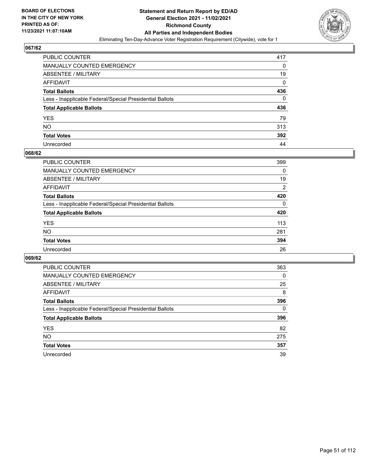

| PUBLIC COUNTER                                           | 417      |
|----------------------------------------------------------|----------|
| MANUALLY COUNTED EMERGENCY                               | 0        |
| ABSENTEE / MILITARY                                      | 19       |
| AFFIDAVIT                                                | 0        |
| <b>Total Ballots</b>                                     | 436      |
| Less - Inapplicable Federal/Special Presidential Ballots | $\Omega$ |
| <b>Total Applicable Ballots</b>                          | 436      |
| YES                                                      | 79       |
| NO.                                                      | 313      |
| <b>Total Votes</b>                                       | 392      |
| Unrecorded                                               | 44       |

#### **068/62**

| <b>PUBLIC COUNTER</b>                                    | 399      |
|----------------------------------------------------------|----------|
| <b>MANUALLY COUNTED EMERGENCY</b>                        | $\Omega$ |
| ABSENTEE / MILITARY                                      | 19       |
| AFFIDAVIT                                                | 2        |
| <b>Total Ballots</b>                                     | 420      |
| Less - Inapplicable Federal/Special Presidential Ballots | $\Omega$ |
| <b>Total Applicable Ballots</b>                          | 420      |
| <b>YES</b>                                               | 113      |
| <b>NO</b>                                                | 281      |
| <b>Total Votes</b>                                       | 394      |
| Unrecorded                                               | 26       |

| PUBLIC COUNTER                                           | 363 |
|----------------------------------------------------------|-----|
| <b>MANUALLY COUNTED EMERGENCY</b>                        | 0   |
| ABSENTEE / MILITARY                                      | 25  |
| AFFIDAVIT                                                | 8   |
| <b>Total Ballots</b>                                     | 396 |
| Less - Inapplicable Federal/Special Presidential Ballots | 0   |
| <b>Total Applicable Ballots</b>                          | 396 |
| <b>YES</b>                                               | 82  |
| NO.                                                      | 275 |
| <b>Total Votes</b>                                       | 357 |
| Unrecorded                                               | 39  |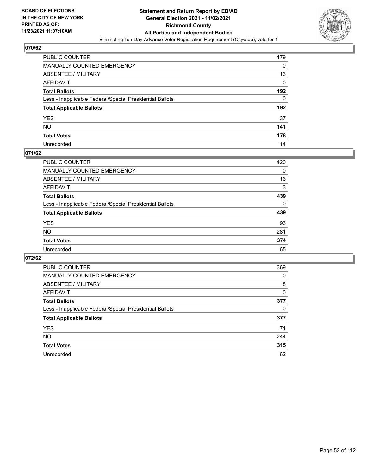

| PUBLIC COUNTER                                           | 179 |
|----------------------------------------------------------|-----|
| MANUALLY COUNTED EMERGENCY                               | 0   |
| <b>ABSENTEE / MILITARY</b>                               | 13  |
| <b>AFFIDAVIT</b>                                         | 0   |
| <b>Total Ballots</b>                                     | 192 |
| Less - Inapplicable Federal/Special Presidential Ballots | 0   |
| <b>Total Applicable Ballots</b>                          | 192 |
| YES                                                      | 37  |
| <b>NO</b>                                                | 141 |
| <b>Total Votes</b>                                       | 178 |
| Unrecorded                                               | 14  |

#### **071/62**

| <b>PUBLIC COUNTER</b>                                    | 420      |
|----------------------------------------------------------|----------|
| <b>MANUALLY COUNTED EMERGENCY</b>                        | 0        |
| <b>ABSENTEE / MILITARY</b>                               | 16       |
| AFFIDAVIT                                                | 3        |
| <b>Total Ballots</b>                                     | 439      |
| Less - Inapplicable Federal/Special Presidential Ballots | $\Omega$ |
| <b>Total Applicable Ballots</b>                          | 439      |
| <b>YES</b>                                               | 93       |
| NO                                                       | 281      |
| <b>Total Votes</b>                                       | 374      |
| Unrecorded                                               | 65       |

| PUBLIC COUNTER                                           | 369 |
|----------------------------------------------------------|-----|
| <b>MANUALLY COUNTED EMERGENCY</b>                        | 0   |
| ABSENTEE / MILITARY                                      | 8   |
| AFFIDAVIT                                                | 0   |
| <b>Total Ballots</b>                                     | 377 |
| Less - Inapplicable Federal/Special Presidential Ballots | 0   |
| <b>Total Applicable Ballots</b>                          | 377 |
| <b>YES</b>                                               | 71  |
| <b>NO</b>                                                | 244 |
| <b>Total Votes</b>                                       | 315 |
| Unrecorded                                               | 62  |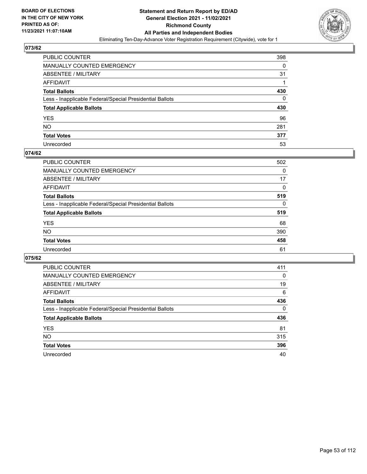

| PUBLIC COUNTER                                           | 398 |
|----------------------------------------------------------|-----|
| MANUALLY COUNTED EMERGENCY                               | 0   |
| ABSENTEE / MILITARY                                      | 31  |
| AFFIDAVIT                                                |     |
| <b>Total Ballots</b>                                     | 430 |
| Less - Inapplicable Federal/Special Presidential Ballots | 0   |
| <b>Total Applicable Ballots</b>                          | 430 |
| YES                                                      | 96  |
| NO.                                                      | 281 |
| <b>Total Votes</b>                                       | 377 |
| Unrecorded                                               | 53  |

#### **074/62**

| <b>PUBLIC COUNTER</b>                                    | 502      |
|----------------------------------------------------------|----------|
| MANUALLY COUNTED EMERGENCY                               | 0        |
| ABSENTEE / MILITARY                                      | 17       |
| AFFIDAVIT                                                | $\Omega$ |
| <b>Total Ballots</b>                                     | 519      |
| Less - Inapplicable Federal/Special Presidential Ballots | $\Omega$ |
| <b>Total Applicable Ballots</b>                          | 519      |
| <b>YES</b>                                               | 68       |
| <b>NO</b>                                                | 390      |
| <b>Total Votes</b>                                       | 458      |
| Unrecorded                                               | 61       |

| PUBLIC COUNTER                                           | 411      |
|----------------------------------------------------------|----------|
| <b>MANUALLY COUNTED EMERGENCY</b>                        | $\Omega$ |
| ABSENTEE / MILITARY                                      | 19       |
| AFFIDAVIT                                                | 6        |
| <b>Total Ballots</b>                                     | 436      |
| Less - Inapplicable Federal/Special Presidential Ballots | $\Omega$ |
| <b>Total Applicable Ballots</b>                          | 436      |
| <b>YES</b>                                               | 81       |
| <b>NO</b>                                                | 315      |
| <b>Total Votes</b>                                       | 396      |
| Unrecorded                                               | 40       |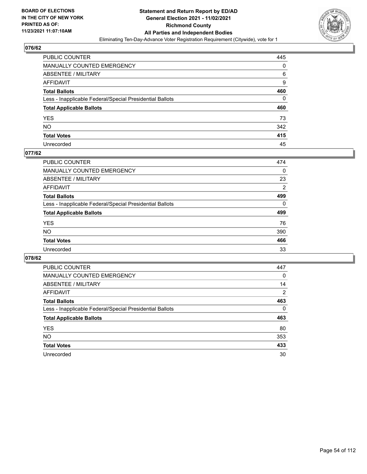

| PUBLIC COUNTER                                           | 445 |
|----------------------------------------------------------|-----|
| MANUALLY COUNTED EMERGENCY                               | 0   |
| ABSENTEE / MILITARY                                      | 6   |
| AFFIDAVIT                                                | 9   |
| <b>Total Ballots</b>                                     | 460 |
| Less - Inapplicable Federal/Special Presidential Ballots | 0   |
| <b>Total Applicable Ballots</b>                          | 460 |
| YES                                                      | 73  |
| NO.                                                      | 342 |
| <b>Total Votes</b>                                       | 415 |
| Unrecorded                                               | 45  |

#### **077/62**

| <b>PUBLIC COUNTER</b>                                    | 474            |
|----------------------------------------------------------|----------------|
| <b>MANUALLY COUNTED EMERGENCY</b>                        | $\Omega$       |
| ABSENTEE / MILITARY                                      | 23             |
| AFFIDAVIT                                                | $\overline{2}$ |
| <b>Total Ballots</b>                                     | 499            |
| Less - Inapplicable Federal/Special Presidential Ballots | $\Omega$       |
| <b>Total Applicable Ballots</b>                          | 499            |
| <b>YES</b>                                               | 76             |
| <b>NO</b>                                                | 390            |
| <b>Total Votes</b>                                       | 466            |
| Unrecorded                                               | 33             |

| PUBLIC COUNTER                                           | 447            |
|----------------------------------------------------------|----------------|
| <b>MANUALLY COUNTED EMERGENCY</b>                        | $\Omega$       |
| ABSENTEE / MILITARY                                      | 14             |
| AFFIDAVIT                                                | $\overline{2}$ |
| <b>Total Ballots</b>                                     | 463            |
| Less - Inapplicable Federal/Special Presidential Ballots | $\Omega$       |
| <b>Total Applicable Ballots</b>                          | 463            |
| <b>YES</b>                                               | 80             |
| <b>NO</b>                                                | 353            |
| <b>Total Votes</b>                                       | 433            |
| Unrecorded                                               | 30             |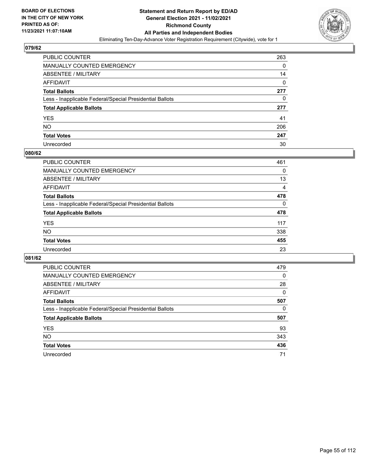

| PUBLIC COUNTER                                           | 263 |
|----------------------------------------------------------|-----|
| <b>MANUALLY COUNTED EMERGENCY</b>                        | 0   |
| ABSENTEE / MILITARY                                      | 14  |
| AFFIDAVIT                                                | 0   |
| <b>Total Ballots</b>                                     | 277 |
| Less - Inapplicable Federal/Special Presidential Ballots | 0   |
| <b>Total Applicable Ballots</b>                          | 277 |
| <b>YES</b>                                               | 41  |
| NO.                                                      | 206 |
| <b>Total Votes</b>                                       | 247 |
| Unrecorded                                               | 30  |

#### **080/62**

| <b>PUBLIC COUNTER</b>                                    | 461            |
|----------------------------------------------------------|----------------|
| <b>MANUALLY COUNTED EMERGENCY</b>                        | 0              |
| ABSENTEE / MILITARY                                      | 13             |
| AFFIDAVIT                                                | $\overline{4}$ |
| <b>Total Ballots</b>                                     | 478            |
| Less - Inapplicable Federal/Special Presidential Ballots | $\Omega$       |
| <b>Total Applicable Ballots</b>                          | 478            |
| <b>YES</b>                                               | 117            |
| <b>NO</b>                                                | 338            |
| <b>Total Votes</b>                                       | 455            |
| Unrecorded                                               | 23             |

| PUBLIC COUNTER                                           | 479      |
|----------------------------------------------------------|----------|
| MANUALLY COUNTED EMERGENCY                               | 0        |
| ABSENTEE / MILITARY                                      | 28       |
| AFFIDAVIT                                                | $\Omega$ |
| <b>Total Ballots</b>                                     | 507      |
| Less - Inapplicable Federal/Special Presidential Ballots | 0        |
| <b>Total Applicable Ballots</b>                          | 507      |
| <b>YES</b>                                               | 93       |
| <b>NO</b>                                                | 343      |
|                                                          |          |
| <b>Total Votes</b>                                       | 436      |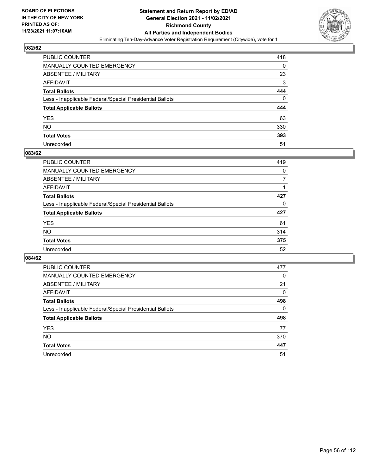

| PUBLIC COUNTER                                           | 418 |
|----------------------------------------------------------|-----|
| MANUALLY COUNTED EMERGENCY                               | 0   |
| ABSENTEE / MILITARY                                      | 23  |
| AFFIDAVIT                                                | 3   |
| <b>Total Ballots</b>                                     | 444 |
| Less - Inapplicable Federal/Special Presidential Ballots | 0   |
| <b>Total Applicable Ballots</b>                          | 444 |
| YES                                                      | 63  |
| NO.                                                      | 330 |
| <b>Total Votes</b>                                       | 393 |
| Unrecorded                                               | 51  |

#### **083/62**

| <b>PUBLIC COUNTER</b>                                    | 419      |
|----------------------------------------------------------|----------|
| <b>MANUALLY COUNTED EMERGENCY</b>                        | $\Omega$ |
| ABSENTEE / MILITARY                                      |          |
| AFFIDAVIT                                                |          |
| <b>Total Ballots</b>                                     | 427      |
| Less - Inapplicable Federal/Special Presidential Ballots | $\Omega$ |
| <b>Total Applicable Ballots</b>                          | 427      |
| <b>YES</b>                                               | 61       |
| <b>NO</b>                                                | 314      |
| <b>Total Votes</b>                                       | 375      |
| Unrecorded                                               | 52       |

| PUBLIC COUNTER                                           | 477      |
|----------------------------------------------------------|----------|
| <b>MANUALLY COUNTED EMERGENCY</b>                        | $\Omega$ |
| ABSENTEE / MILITARY                                      | 21       |
| AFFIDAVIT                                                | 0        |
| <b>Total Ballots</b>                                     | 498      |
| Less - Inapplicable Federal/Special Presidential Ballots | $\Omega$ |
| <b>Total Applicable Ballots</b>                          | 498      |
| <b>YES</b>                                               | 77       |
| <b>NO</b>                                                | 370      |
| <b>Total Votes</b>                                       | 447      |
| Unrecorded                                               | 51       |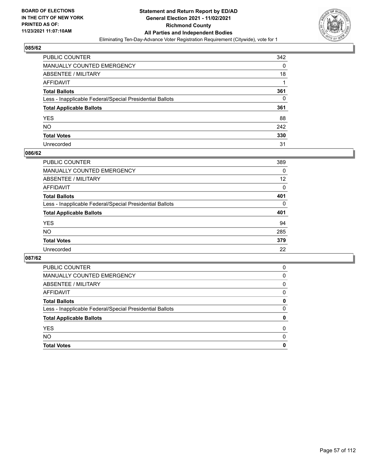

| PUBLIC COUNTER                                           | 342 |
|----------------------------------------------------------|-----|
| MANUALLY COUNTED EMERGENCY                               | 0   |
| <b>ABSENTEE / MILITARY</b>                               | 18  |
| AFFIDAVIT                                                |     |
| <b>Total Ballots</b>                                     | 361 |
| Less - Inapplicable Federal/Special Presidential Ballots | 0   |
| <b>Total Applicable Ballots</b>                          | 361 |
| YES                                                      | 88  |
| <b>NO</b>                                                | 242 |
| <b>Total Votes</b>                                       | 330 |
| Unrecorded                                               | 31  |

#### **086/62**

| <b>PUBLIC COUNTER</b>                                    | 389      |
|----------------------------------------------------------|----------|
| <b>MANUALLY COUNTED EMERGENCY</b>                        | 0        |
| ABSENTEE / MILITARY                                      | 12       |
| AFFIDAVIT                                                | $\Omega$ |
| <b>Total Ballots</b>                                     | 401      |
| Less - Inapplicable Federal/Special Presidential Ballots | $\Omega$ |
| <b>Total Applicable Ballots</b>                          | 401      |
| <b>YES</b>                                               | 94       |
| <b>NO</b>                                                | 285      |
| <b>Total Votes</b>                                       | 379      |
| Unrecorded                                               | 22       |

| PUBLIC COUNTER                                           | 0        |
|----------------------------------------------------------|----------|
| <b>MANUALLY COUNTED EMERGENCY</b>                        | 0        |
| ABSENTEE / MILITARY                                      | 0        |
| AFFIDAVIT                                                | 0        |
| <b>Total Ballots</b>                                     | 0        |
| Less - Inapplicable Federal/Special Presidential Ballots | $\Omega$ |
| <b>Total Applicable Ballots</b>                          | 0        |
| <b>YES</b>                                               | $\Omega$ |
| <b>NO</b>                                                | $\Omega$ |
| <b>Total Votes</b>                                       | 0        |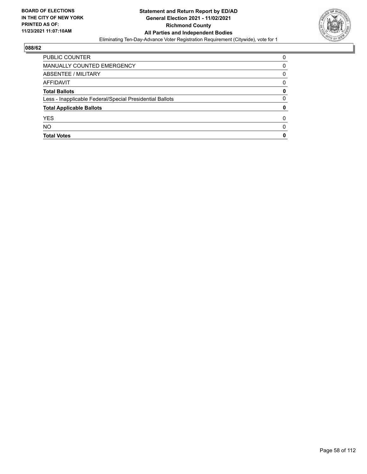

| <b>PUBLIC COUNTER</b>                                    | 0 |
|----------------------------------------------------------|---|
| MANUALLY COUNTED EMERGENCY                               | 0 |
| ABSENTEE / MILITARY                                      | 0 |
| AFFIDAVIT                                                | 0 |
| <b>Total Ballots</b>                                     | 0 |
| Less - Inapplicable Federal/Special Presidential Ballots | 0 |
| <b>Total Applicable Ballots</b>                          | 0 |
| <b>YES</b>                                               | O |
| <b>NO</b>                                                | 0 |
| <b>Total Votes</b>                                       | 0 |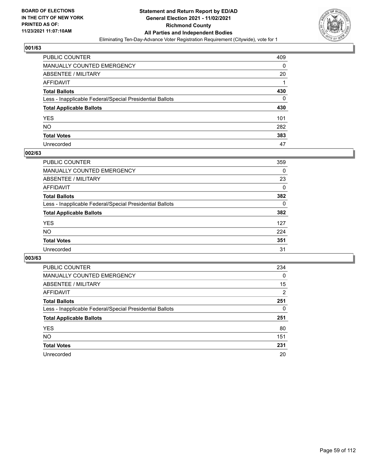

| PUBLIC COUNTER                                           | 409 |
|----------------------------------------------------------|-----|
| MANUALLY COUNTED EMERGENCY                               | 0   |
| ABSENTEE / MILITARY                                      | 20  |
| AFFIDAVIT                                                |     |
| Total Ballots                                            | 430 |
| Less - Inapplicable Federal/Special Presidential Ballots | 0   |
| <b>Total Applicable Ballots</b>                          | 430 |
| YES                                                      | 101 |
| NO.                                                      | 282 |
| <b>Total Votes</b>                                       | 383 |
| Unrecorded                                               | 47  |

#### **002/63**

| <b>PUBLIC COUNTER</b>                                    | 359      |
|----------------------------------------------------------|----------|
| <b>MANUALLY COUNTED EMERGENCY</b>                        | $\Omega$ |
| ABSENTEE / MILITARY                                      | 23       |
| AFFIDAVIT                                                | 0        |
| <b>Total Ballots</b>                                     | 382      |
| Less - Inapplicable Federal/Special Presidential Ballots | $\Omega$ |
| <b>Total Applicable Ballots</b>                          | 382      |
| <b>YES</b>                                               | 127      |
| <b>NO</b>                                                | 224      |
| <b>Total Votes</b>                                       | 351      |
| Unrecorded                                               | 31       |

| PUBLIC COUNTER                                           | 234      |
|----------------------------------------------------------|----------|
| <b>MANUALLY COUNTED EMERGENCY</b>                        | $\Omega$ |
| ABSENTEE / MILITARY                                      | 15       |
| AFFIDAVIT                                                | 2        |
| <b>Total Ballots</b>                                     | 251      |
| Less - Inapplicable Federal/Special Presidential Ballots | 0        |
| <b>Total Applicable Ballots</b>                          | 251      |
| <b>YES</b>                                               | 80       |
| NO.                                                      | 151      |
| <b>Total Votes</b>                                       | 231      |
| Unrecorded                                               | 20       |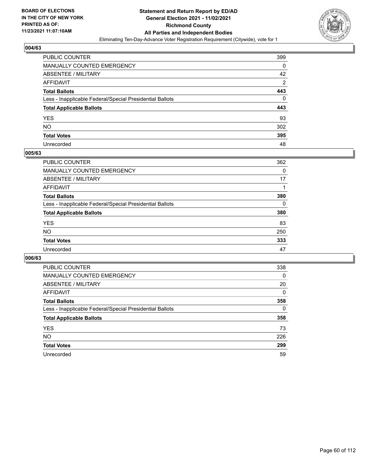

| PUBLIC COUNTER                                           | 399            |
|----------------------------------------------------------|----------------|
| MANUALLY COUNTED EMERGENCY                               | 0              |
| <b>ABSENTEE / MILITARY</b>                               | 42             |
| AFFIDAVIT                                                | $\overline{2}$ |
| <b>Total Ballots</b>                                     | 443            |
| Less - Inapplicable Federal/Special Presidential Ballots | 0              |
| <b>Total Applicable Ballots</b>                          | 443            |
| YES                                                      | 93             |
| <b>NO</b>                                                | 302            |
| <b>Total Votes</b>                                       | 395            |
| Unrecorded                                               | 48             |

#### **005/63**

| <b>PUBLIC COUNTER</b>                                    | 362      |
|----------------------------------------------------------|----------|
| MANUALLY COUNTED EMERGENCY                               | 0        |
| ABSENTEE / MILITARY                                      | 17       |
| AFFIDAVIT                                                |          |
| <b>Total Ballots</b>                                     | 380      |
| Less - Inapplicable Federal/Special Presidential Ballots | $\Omega$ |
| <b>Total Applicable Ballots</b>                          | 380      |
| <b>YES</b>                                               | 83       |
| <b>NO</b>                                                | 250      |
| <b>Total Votes</b>                                       | 333      |
| Unrecorded                                               | 47       |

| PUBLIC COUNTER                                           | 338      |
|----------------------------------------------------------|----------|
| MANUALLY COUNTED EMERGENCY                               | $\Omega$ |
| ABSENTEE / MILITARY                                      | 20       |
| AFFIDAVIT                                                | 0        |
| <b>Total Ballots</b>                                     | 358      |
| Less - Inapplicable Federal/Special Presidential Ballots | 0        |
| <b>Total Applicable Ballots</b>                          | 358      |
| <b>YES</b>                                               | 73       |
| NO.                                                      | 226      |
| <b>Total Votes</b>                                       | 299      |
| Unrecorded                                               | 59       |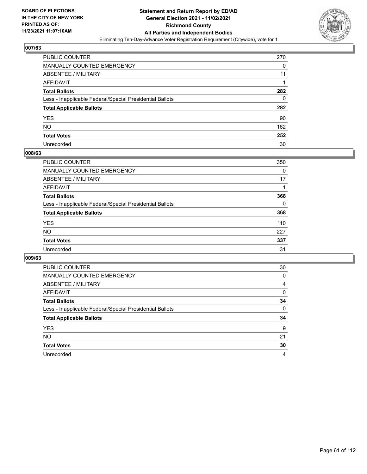

| PUBLIC COUNTER                                           | 270 |
|----------------------------------------------------------|-----|
| <b>MANUALLY COUNTED EMERGENCY</b>                        | 0   |
| ABSENTEE / MILITARY                                      | 11  |
| AFFIDAVIT                                                |     |
| <b>Total Ballots</b>                                     | 282 |
| Less - Inapplicable Federal/Special Presidential Ballots | 0   |
| <b>Total Applicable Ballots</b>                          | 282 |
| <b>YES</b>                                               | 90  |
| NO.                                                      | 162 |
| <b>Total Votes</b>                                       | 252 |
| Unrecorded                                               | 30  |

#### **008/63**

| <b>PUBLIC COUNTER</b>                                    | 350      |
|----------------------------------------------------------|----------|
| <b>MANUALLY COUNTED EMERGENCY</b>                        | 0        |
| ABSENTEE / MILITARY                                      | 17       |
| AFFIDAVIT                                                |          |
| <b>Total Ballots</b>                                     | 368      |
| Less - Inapplicable Federal/Special Presidential Ballots | $\Omega$ |
| <b>Total Applicable Ballots</b>                          | 368      |
| <b>YES</b>                                               | 110      |
| <b>NO</b>                                                | 227      |
| <b>Total Votes</b>                                       | 337      |
| Unrecorded                                               | 31       |

| PUBLIC COUNTER                                           | 30       |
|----------------------------------------------------------|----------|
| <b>MANUALLY COUNTED EMERGENCY</b>                        | 0        |
| ABSENTEE / MILITARY                                      | 4        |
| AFFIDAVIT                                                | $\Omega$ |
| <b>Total Ballots</b>                                     | 34       |
| Less - Inapplicable Federal/Special Presidential Ballots | $\Omega$ |
| <b>Total Applicable Ballots</b>                          | 34       |
| <b>YES</b>                                               | 9        |
| <b>NO</b>                                                | 21       |
| <b>Total Votes</b>                                       | 30       |
| Unrecorded                                               | 4        |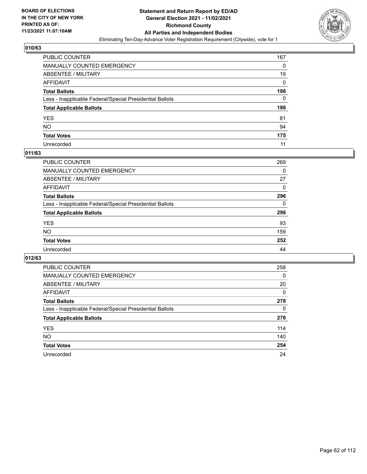

| PUBLIC COUNTER                                           | 167 |
|----------------------------------------------------------|-----|
| MANUALLY COUNTED EMERGENCY                               | 0   |
| ABSENTEE / MILITARY                                      | 19  |
| AFFIDAVIT                                                | 0   |
| <b>Total Ballots</b>                                     | 186 |
| Less - Inapplicable Federal/Special Presidential Ballots | 0   |
| <b>Total Applicable Ballots</b>                          | 186 |
| YES                                                      | 81  |
| NO.                                                      | 94  |
| <b>Total Votes</b>                                       | 175 |
| Unrecorded                                               | 11  |

#### **011/63**

| <b>PUBLIC COUNTER</b>                                    | 269      |
|----------------------------------------------------------|----------|
| MANUALLY COUNTED EMERGENCY                               | 0        |
| ABSENTEE / MILITARY                                      | 27       |
| AFFIDAVIT                                                | $\Omega$ |
| <b>Total Ballots</b>                                     | 296      |
| Less - Inapplicable Federal/Special Presidential Ballots | $\Omega$ |
| <b>Total Applicable Ballots</b>                          | 296      |
| <b>YES</b>                                               | 93       |
| <b>NO</b>                                                | 159      |
| <b>Total Votes</b>                                       | 252      |
| Unrecorded                                               | 44       |

| PUBLIC COUNTER                                           | 258      |
|----------------------------------------------------------|----------|
| MANUALLY COUNTED EMERGENCY                               | $\Omega$ |
| ABSENTEE / MILITARY                                      | 20       |
| AFFIDAVIT                                                | 0        |
| <b>Total Ballots</b>                                     | 278      |
| Less - Inapplicable Federal/Special Presidential Ballots | 0        |
| <b>Total Applicable Ballots</b>                          | 278      |
| <b>YES</b>                                               | 114      |
| <b>NO</b>                                                | 140      |
| <b>Total Votes</b>                                       | 254      |
| Unrecorded                                               | 24       |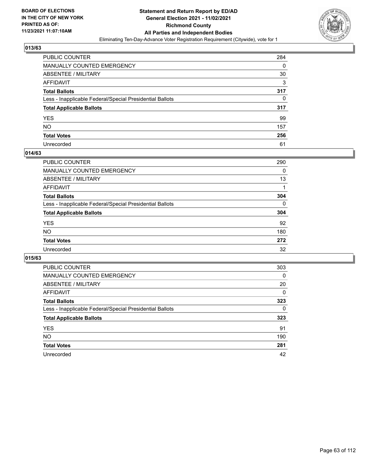

| PUBLIC COUNTER                                           | 284 |
|----------------------------------------------------------|-----|
| MANUALLY COUNTED EMERGENCY                               | 0   |
| <b>ABSENTEE / MILITARY</b>                               | 30  |
| AFFIDAVIT                                                | 3   |
| <b>Total Ballots</b>                                     | 317 |
| Less - Inapplicable Federal/Special Presidential Ballots | 0   |
| <b>Total Applicable Ballots</b>                          | 317 |
| YES                                                      | 99  |
| NO.                                                      | 157 |
| <b>Total Votes</b>                                       | 256 |
| Unrecorded                                               | 61  |

#### **014/63**

| PUBLIC COUNTER                                           | 290      |
|----------------------------------------------------------|----------|
| <b>MANUALLY COUNTED EMERGENCY</b>                        | 0        |
| ABSENTEE / MILITARY                                      | 13       |
| AFFIDAVIT                                                |          |
| <b>Total Ballots</b>                                     | 304      |
| Less - Inapplicable Federal/Special Presidential Ballots | $\Omega$ |
| <b>Total Applicable Ballots</b>                          | 304      |
| <b>YES</b>                                               | 92       |
| <b>NO</b>                                                | 180      |
| <b>Total Votes</b>                                       | 272      |
| Unrecorded                                               | 32       |

| PUBLIC COUNTER                                           | 303      |
|----------------------------------------------------------|----------|
| MANUALLY COUNTED EMERGENCY                               | 0        |
| ABSENTEE / MILITARY                                      | 20       |
| AFFIDAVIT                                                | $\Omega$ |
| <b>Total Ballots</b>                                     | 323      |
| Less - Inapplicable Federal/Special Presidential Ballots | $\Omega$ |
| <b>Total Applicable Ballots</b>                          | 323      |
| <b>YES</b>                                               | 91       |
| <b>NO</b>                                                | 190      |
| <b>Total Votes</b>                                       | 281      |
| Unrecorded                                               | 42       |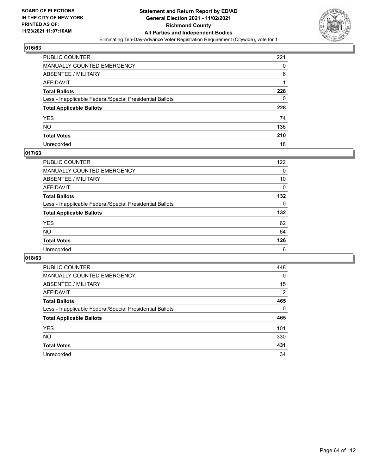

| PUBLIC COUNTER                                           | 221 |
|----------------------------------------------------------|-----|
| MANUALLY COUNTED EMERGENCY                               | 0   |
| ABSENTEE / MILITARY                                      | 6   |
| AFFIDAVIT                                                |     |
| <b>Total Ballots</b>                                     | 228 |
| Less - Inapplicable Federal/Special Presidential Ballots | 0   |
| <b>Total Applicable Ballots</b>                          | 228 |
| YES                                                      | 74  |
| NO.                                                      | 136 |
| <b>Total Votes</b>                                       | 210 |
| Unrecorded                                               | 18  |

#### **017/63**

| <b>PUBLIC COUNTER</b>                                    | 122      |
|----------------------------------------------------------|----------|
| <b>MANUALLY COUNTED EMERGENCY</b>                        | $\Omega$ |
| ABSENTEE / MILITARY                                      | 10       |
| AFFIDAVIT                                                | 0        |
| <b>Total Ballots</b>                                     | 132      |
| Less - Inapplicable Federal/Special Presidential Ballots | $\Omega$ |
| <b>Total Applicable Ballots</b>                          | 132      |
| <b>YES</b>                                               | 62       |
| <b>NO</b>                                                | 64       |
| <b>Total Votes</b>                                       | 126      |
| Unrecorded                                               | 6        |

| PUBLIC COUNTER                                           | 448            |
|----------------------------------------------------------|----------------|
| <b>MANUALLY COUNTED EMERGENCY</b>                        | 0              |
| ABSENTEE / MILITARY                                      | 15             |
| AFFIDAVIT                                                | $\overline{2}$ |
| <b>Total Ballots</b>                                     | 465            |
| Less - Inapplicable Federal/Special Presidential Ballots | $\Omega$       |
| <b>Total Applicable Ballots</b>                          | 465            |
| <b>YES</b>                                               | 101            |
| <b>NO</b>                                                | 330            |
| <b>Total Votes</b>                                       | 431            |
| Unrecorded                                               | 34             |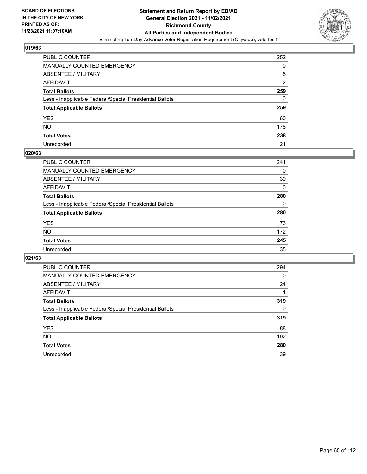

| PUBLIC COUNTER                                           | 252      |
|----------------------------------------------------------|----------|
| MANUALLY COUNTED EMERGENCY                               | 0        |
| ABSENTEE / MILITARY                                      | 5        |
| AFFIDAVIT                                                | 2        |
| <b>Total Ballots</b>                                     | 259      |
| Less - Inapplicable Federal/Special Presidential Ballots | $\Omega$ |
| <b>Total Applicable Ballots</b>                          | 259      |
| YES                                                      | 60       |
| NO.                                                      | 178      |
| <b>Total Votes</b>                                       | 238      |
| Unrecorded                                               | 21       |

#### **020/63**

| <b>PUBLIC COUNTER</b>                                    | 241      |
|----------------------------------------------------------|----------|
| <b>MANUALLY COUNTED EMERGENCY</b>                        | 0        |
| ABSENTEE / MILITARY                                      | 39       |
| AFFIDAVIT                                                | 0        |
| <b>Total Ballots</b>                                     | 280      |
| Less - Inapplicable Federal/Special Presidential Ballots | $\Omega$ |
| <b>Total Applicable Ballots</b>                          | 280      |
| <b>YES</b>                                               | 73       |
| <b>NO</b>                                                | 172      |
| <b>Total Votes</b>                                       | 245      |
| Unrecorded                                               | 35       |

| PUBLIC COUNTER                                           | 294      |
|----------------------------------------------------------|----------|
| <b>MANUALLY COUNTED EMERGENCY</b>                        | 0        |
| ABSENTEE / MILITARY                                      | 24       |
| AFFIDAVIT                                                |          |
| <b>Total Ballots</b>                                     | 319      |
| Less - Inapplicable Federal/Special Presidential Ballots | $\Omega$ |
| <b>Total Applicable Ballots</b>                          | 319      |
| <b>YES</b>                                               | 88       |
| NO.                                                      | 192      |
| <b>Total Votes</b>                                       | 280      |
| Unrecorded                                               | 39       |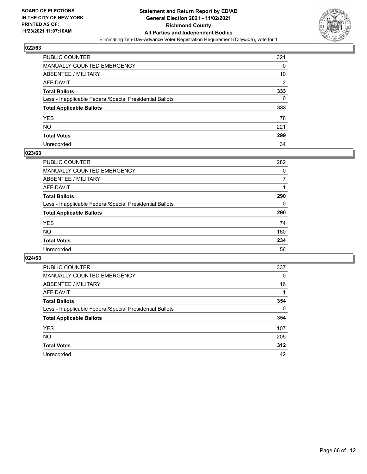

| PUBLIC COUNTER                                           | 321            |
|----------------------------------------------------------|----------------|
| MANUALLY COUNTED EMERGENCY                               | 0              |
| <b>ABSENTEE / MILITARY</b>                               | 10             |
| AFFIDAVIT                                                | $\overline{2}$ |
| <b>Total Ballots</b>                                     | 333            |
| Less - Inapplicable Federal/Special Presidential Ballots | 0              |
| <b>Total Applicable Ballots</b>                          | 333            |
| YES                                                      | 78             |
| NO.                                                      | 221            |
| <b>Total Votes</b>                                       | 299            |
| Unrecorded                                               | 34             |

#### **023/63**

| <b>PUBLIC COUNTER</b>                                    | 282      |
|----------------------------------------------------------|----------|
| MANUALLY COUNTED EMERGENCY                               | 0        |
| ABSENTEE / MILITARY                                      |          |
| AFFIDAVIT                                                |          |
| <b>Total Ballots</b>                                     | 290      |
| Less - Inapplicable Federal/Special Presidential Ballots | $\Omega$ |
| <b>Total Applicable Ballots</b>                          | 290      |
| <b>YES</b>                                               | 74       |
| <b>NO</b>                                                | 160      |
| <b>Total Votes</b>                                       | 234      |
| Unrecorded                                               | 56       |

| PUBLIC COUNTER                                           | 337      |
|----------------------------------------------------------|----------|
| <b>MANUALLY COUNTED EMERGENCY</b>                        | $\Omega$ |
| ABSENTEE / MILITARY                                      | 16       |
| AFFIDAVIT                                                |          |
| <b>Total Ballots</b>                                     | 354      |
| Less - Inapplicable Federal/Special Presidential Ballots | $\Omega$ |
| <b>Total Applicable Ballots</b>                          | 354      |
| <b>YES</b>                                               | 107      |
| NO.                                                      | 205      |
| <b>Total Votes</b>                                       | 312      |
| Unrecorded                                               | 42       |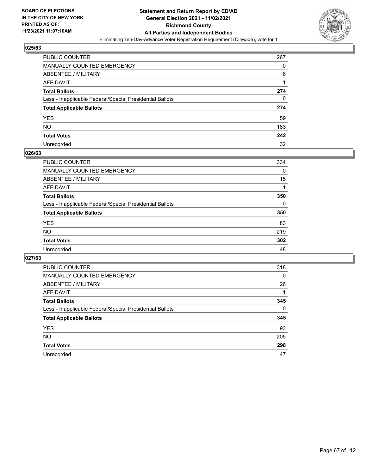

| PUBLIC COUNTER                                           | 267 |
|----------------------------------------------------------|-----|
| MANUALLY COUNTED EMERGENCY                               | 0   |
| <b>ABSENTEE / MILITARY</b>                               | 6   |
| <b>AFFIDAVIT</b>                                         |     |
| <b>Total Ballots</b>                                     | 274 |
| Less - Inapplicable Federal/Special Presidential Ballots | 0   |
| <b>Total Applicable Ballots</b>                          | 274 |
| YES                                                      | 59  |
| NO.                                                      | 183 |
| <b>Total Votes</b>                                       | 242 |
| Unrecorded                                               | 32  |

#### **026/63**

| <b>PUBLIC COUNTER</b>                                    | 334      |
|----------------------------------------------------------|----------|
| <b>MANUALLY COUNTED EMERGENCY</b>                        | $\Omega$ |
| <b>ABSENTEE / MILITARY</b>                               | 15       |
| AFFIDAVIT                                                |          |
| <b>Total Ballots</b>                                     | 350      |
| Less - Inapplicable Federal/Special Presidential Ballots | $\Omega$ |
| <b>Total Applicable Ballots</b>                          | 350      |
| <b>YES</b>                                               | 83       |
| <b>NO</b>                                                | 219      |
| <b>Total Votes</b>                                       | 302      |
| Unrecorded                                               | 48       |

| PUBLIC COUNTER                                           | 318      |
|----------------------------------------------------------|----------|
| <b>MANUALLY COUNTED EMERGENCY</b>                        | $\Omega$ |
| ABSENTEE / MILITARY                                      | 26       |
| AFFIDAVIT                                                |          |
| <b>Total Ballots</b>                                     | 345      |
| Less - Inapplicable Federal/Special Presidential Ballots | $\Omega$ |
| <b>Total Applicable Ballots</b>                          | 345      |
| <b>YES</b>                                               | 93       |
| <b>NO</b>                                                | 205      |
| <b>Total Votes</b>                                       | 298      |
| Unrecorded                                               | 47       |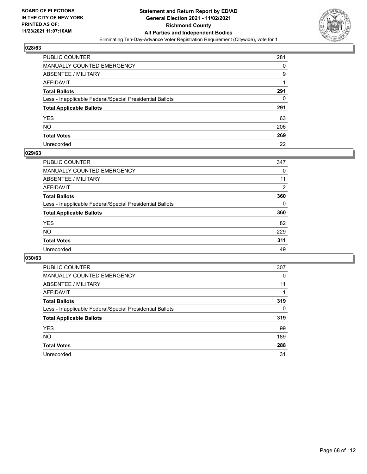

| PUBLIC COUNTER                                           | 281 |
|----------------------------------------------------------|-----|
| MANUALLY COUNTED EMERGENCY                               | 0   |
| <b>ABSENTEE / MILITARY</b>                               | 9   |
| <b>AFFIDAVIT</b>                                         |     |
| <b>Total Ballots</b>                                     | 291 |
| Less - Inapplicable Federal/Special Presidential Ballots | 0   |
| <b>Total Applicable Ballots</b>                          | 291 |
| YES                                                      | 63  |
| NO.                                                      | 206 |
| <b>Total Votes</b>                                       | 269 |
| Unrecorded                                               | 22  |

#### **029/63**

| PUBLIC COUNTER                                           | 347            |
|----------------------------------------------------------|----------------|
| <b>MANUALLY COUNTED EMERGENCY</b>                        | 0              |
| <b>ABSENTEE / MILITARY</b>                               | 11             |
| AFFIDAVIT                                                | $\overline{2}$ |
| <b>Total Ballots</b>                                     | 360            |
| Less - Inapplicable Federal/Special Presidential Ballots | $\Omega$       |
| <b>Total Applicable Ballots</b>                          | 360            |
| <b>YES</b>                                               | 82             |
| NO                                                       | 229            |
| <b>Total Votes</b>                                       | 311            |
| Unrecorded                                               | 49             |

| PUBLIC COUNTER                                           | 307      |
|----------------------------------------------------------|----------|
| MANUALLY COUNTED EMERGENCY                               | 0        |
| ABSENTEE / MILITARY                                      | 11       |
| AFFIDAVIT                                                |          |
| <b>Total Ballots</b>                                     | 319      |
| Less - Inapplicable Federal/Special Presidential Ballots | $\Omega$ |
| <b>Total Applicable Ballots</b>                          | 319      |
| <b>YES</b>                                               | 99       |
| <b>NO</b>                                                | 189      |
| <b>Total Votes</b>                                       | 288      |
| Unrecorded                                               | 31       |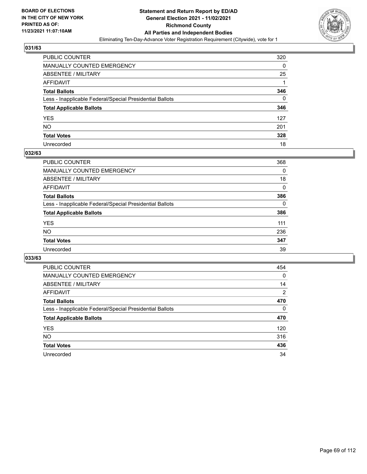

| PUBLIC COUNTER                                           | 320      |
|----------------------------------------------------------|----------|
| MANUALLY COUNTED EMERGENCY                               | 0        |
| <b>ABSENTEE / MILITARY</b>                               | 25       |
| AFFIDAVIT                                                |          |
| <b>Total Ballots</b>                                     | 346      |
| Less - Inapplicable Federal/Special Presidential Ballots | $\Omega$ |
| <b>Total Applicable Ballots</b>                          | 346      |
| YES                                                      | 127      |
| NO.                                                      | 201      |
| <b>Total Votes</b>                                       | 328      |
| Unrecorded                                               | 18       |

#### **032/63**

| PUBLIC COUNTER                                           | 368      |
|----------------------------------------------------------|----------|
| <b>MANUALLY COUNTED EMERGENCY</b>                        | $\Omega$ |
| ABSENTEE / MILITARY                                      | 18       |
| AFFIDAVIT                                                | 0        |
| <b>Total Ballots</b>                                     | 386      |
| Less - Inapplicable Federal/Special Presidential Ballots | $\Omega$ |
| <b>Total Applicable Ballots</b>                          | 386      |
| <b>YES</b>                                               | 111      |
| <b>NO</b>                                                | 236      |
| <b>Total Votes</b>                                       | 347      |
| Unrecorded                                               | 39       |

| PUBLIC COUNTER                                           | 454            |
|----------------------------------------------------------|----------------|
| <b>MANUALLY COUNTED EMERGENCY</b>                        | 0              |
| ABSENTEE / MILITARY                                      | 14             |
| AFFIDAVIT                                                | $\overline{2}$ |
| <b>Total Ballots</b>                                     | 470            |
| Less - Inapplicable Federal/Special Presidential Ballots | $\Omega$       |
| <b>Total Applicable Ballots</b>                          | 470            |
| <b>YES</b>                                               | 120            |
| <b>NO</b>                                                | 316            |
| <b>Total Votes</b>                                       | 436            |
| Unrecorded                                               | 34             |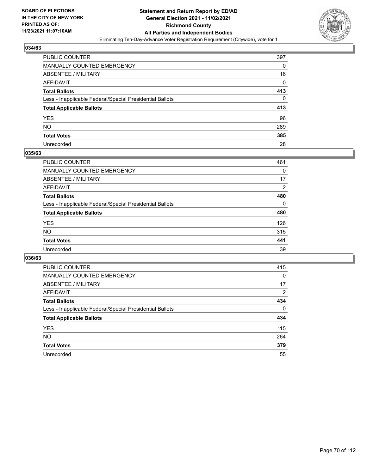

| PUBLIC COUNTER                                           | 397 |
|----------------------------------------------------------|-----|
| MANUALLY COUNTED EMERGENCY                               | 0   |
| <b>ABSENTEE / MILITARY</b>                               | 16  |
| AFFIDAVIT                                                | 0   |
| <b>Total Ballots</b>                                     | 413 |
| Less - Inapplicable Federal/Special Presidential Ballots | 0   |
| <b>Total Applicable Ballots</b>                          | 413 |
| YES                                                      | 96  |
| NO.                                                      | 289 |
| <b>Total Votes</b>                                       | 385 |
| Unrecorded                                               | 28  |

#### **035/63**

| <b>PUBLIC COUNTER</b>                                    | 461            |
|----------------------------------------------------------|----------------|
| <b>MANUALLY COUNTED EMERGENCY</b>                        | 0              |
| ABSENTEE / MILITARY                                      | 17             |
| AFFIDAVIT                                                | $\overline{2}$ |
| <b>Total Ballots</b>                                     | 480            |
| Less - Inapplicable Federal/Special Presidential Ballots | $\Omega$       |
| <b>Total Applicable Ballots</b>                          | 480            |
| <b>YES</b>                                               | 126            |
| <b>NO</b>                                                | 315            |
| <b>Total Votes</b>                                       | 441            |
| Unrecorded                                               | 39             |

| PUBLIC COUNTER                                           | 415            |
|----------------------------------------------------------|----------------|
| <b>MANUALLY COUNTED EMERGENCY</b>                        | 0              |
| ABSENTEE / MILITARY                                      | 17             |
| AFFIDAVIT                                                | $\overline{2}$ |
| <b>Total Ballots</b>                                     | 434            |
| Less - Inapplicable Federal/Special Presidential Ballots | $\Omega$       |
| <b>Total Applicable Ballots</b>                          | 434            |
| <b>YES</b>                                               | 115            |
| NO.                                                      | 264            |
| <b>Total Votes</b>                                       | 379            |
|                                                          |                |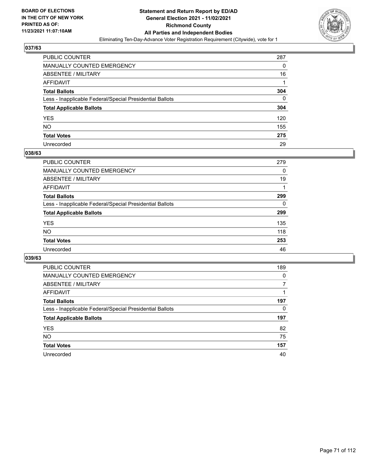

| PUBLIC COUNTER                                           | 287 |
|----------------------------------------------------------|-----|
| MANUALLY COUNTED EMERGENCY                               | 0   |
| ABSENTEE / MILITARY                                      | 16  |
| <b>AFFIDAVIT</b>                                         |     |
| <b>Total Ballots</b>                                     | 304 |
| Less - Inapplicable Federal/Special Presidential Ballots | 0   |
| <b>Total Applicable Ballots</b>                          | 304 |
| YES                                                      | 120 |
| NO.                                                      | 155 |
| <b>Total Votes</b>                                       | 275 |
| Unrecorded                                               | 29  |

#### **038/63**

| <b>PUBLIC COUNTER</b>                                    | 279      |
|----------------------------------------------------------|----------|
| <b>MANUALLY COUNTED EMERGENCY</b>                        | 0        |
| <b>ABSENTEE / MILITARY</b>                               | 19       |
| AFFIDAVIT                                                |          |
| <b>Total Ballots</b>                                     | 299      |
| Less - Inapplicable Federal/Special Presidential Ballots | $\Omega$ |
| <b>Total Applicable Ballots</b>                          | 299      |
| <b>YES</b>                                               | 135      |
| NO                                                       | 118      |
| <b>Total Votes</b>                                       | 253      |
| Unrecorded                                               | 46       |

| PUBLIC COUNTER                                           | 189      |
|----------------------------------------------------------|----------|
| <b>MANUALLY COUNTED EMERGENCY</b>                        | $\Omega$ |
| ABSENTEE / MILITARY                                      | 7        |
| AFFIDAVIT                                                |          |
| <b>Total Ballots</b>                                     | 197      |
| Less - Inapplicable Federal/Special Presidential Ballots | 0        |
| <b>Total Applicable Ballots</b>                          | 197      |
| <b>YES</b>                                               | 82       |
| <b>NO</b>                                                | 75       |
| <b>Total Votes</b>                                       | 157      |
| Unrecorded                                               | 40       |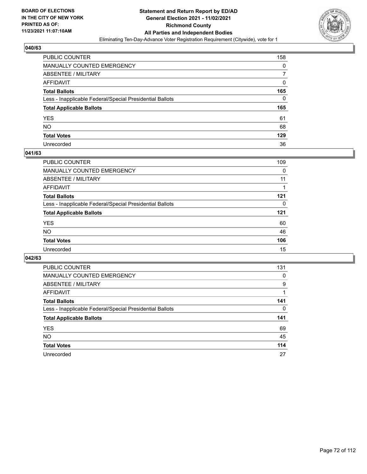

| PUBLIC COUNTER                                           | 158 |
|----------------------------------------------------------|-----|
| MANUALLY COUNTED EMERGENCY                               | 0   |
| <b>ABSENTEE / MILITARY</b>                               |     |
| <b>AFFIDAVIT</b>                                         | 0   |
| <b>Total Ballots</b>                                     | 165 |
| Less - Inapplicable Federal/Special Presidential Ballots | 0   |
| <b>Total Applicable Ballots</b>                          | 165 |
| <b>YES</b>                                               | 61  |
| <b>NO</b>                                                | 68  |
| <b>Total Votes</b>                                       | 129 |
| Unrecorded                                               | 36  |

#### **041/63**

| <b>PUBLIC COUNTER</b>                                    | 109      |
|----------------------------------------------------------|----------|
| MANUALLY COUNTED EMERGENCY                               | 0        |
| ABSENTEE / MILITARY                                      | 11       |
| AFFIDAVIT                                                |          |
| <b>Total Ballots</b>                                     | 121      |
| Less - Inapplicable Federal/Special Presidential Ballots | $\Omega$ |
| <b>Total Applicable Ballots</b>                          | 121      |
| <b>YES</b>                                               | 60       |
| <b>NO</b>                                                | 46       |
| <b>Total Votes</b>                                       | 106      |
| Unrecorded                                               | 15       |

| PUBLIC COUNTER                                           | 131 |
|----------------------------------------------------------|-----|
| <b>MANUALLY COUNTED EMERGENCY</b>                        | 0   |
| ABSENTEE / MILITARY                                      | 9   |
| AFFIDAVIT                                                |     |
| <b>Total Ballots</b>                                     | 141 |
| Less - Inapplicable Federal/Special Presidential Ballots | 0   |
| <b>Total Applicable Ballots</b>                          | 141 |
| <b>YES</b>                                               | 69  |
| <b>NO</b>                                                | 45  |
| <b>Total Votes</b>                                       | 114 |
| Unrecorded                                               | 27  |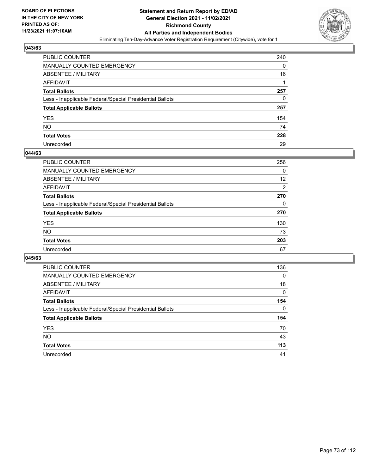

| PUBLIC COUNTER                                           | 240 |
|----------------------------------------------------------|-----|
| <b>MANUALLY COUNTED EMERGENCY</b>                        | 0   |
| ABSENTEE / MILITARY                                      | 16  |
| AFFIDAVIT                                                |     |
| <b>Total Ballots</b>                                     | 257 |
| Less - Inapplicable Federal/Special Presidential Ballots | 0   |
| <b>Total Applicable Ballots</b>                          | 257 |
| <b>YES</b>                                               | 154 |
| NO.                                                      | 74  |
| <b>Total Votes</b>                                       | 228 |
| Unrecorded                                               | 29  |

#### **044/63**

| <b>PUBLIC COUNTER</b>                                    | 256      |
|----------------------------------------------------------|----------|
| MANUALLY COUNTED EMERGENCY                               | 0        |
| ABSENTEE / MILITARY                                      | 12       |
| AFFIDAVIT                                                | 2        |
| <b>Total Ballots</b>                                     | 270      |
| Less - Inapplicable Federal/Special Presidential Ballots | $\Omega$ |
| <b>Total Applicable Ballots</b>                          | 270      |
| <b>YES</b>                                               | 130      |
| <b>NO</b>                                                | 73       |
| <b>Total Votes</b>                                       | 203      |
| Unrecorded                                               | 67       |

| <b>PUBLIC COUNTER</b>                                    | 136      |
|----------------------------------------------------------|----------|
| <b>MANUALLY COUNTED EMERGENCY</b>                        | $\Omega$ |
| ABSENTEE / MILITARY                                      | 18       |
| AFFIDAVIT                                                | 0        |
| <b>Total Ballots</b>                                     | 154      |
| Less - Inapplicable Federal/Special Presidential Ballots | $\Omega$ |
| <b>Total Applicable Ballots</b>                          | 154      |
| <b>YES</b>                                               | 70       |
| <b>NO</b>                                                | 43       |
| <b>Total Votes</b>                                       | 113      |
| Unrecorded                                               | 41       |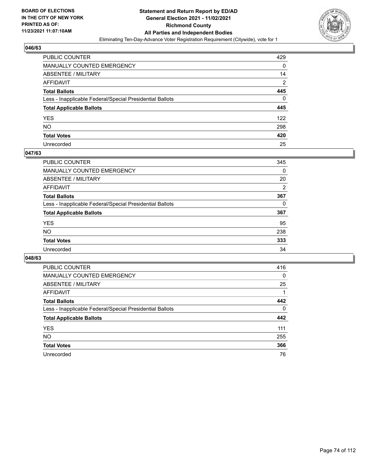

| PUBLIC COUNTER                                           | 429            |
|----------------------------------------------------------|----------------|
| MANUALLY COUNTED EMERGENCY                               | 0              |
| <b>ABSENTEE / MILITARY</b>                               | 14             |
| AFFIDAVIT                                                | $\overline{2}$ |
| <b>Total Ballots</b>                                     | 445            |
| Less - Inapplicable Federal/Special Presidential Ballots | 0              |
| <b>Total Applicable Ballots</b>                          | 445            |
| YES                                                      | 122            |
| NO.                                                      | 298            |
| <b>Total Votes</b>                                       | 420            |
| Unrecorded                                               | 25             |

#### **047/63**

| <b>PUBLIC COUNTER</b>                                    | 345            |
|----------------------------------------------------------|----------------|
| <b>MANUALLY COUNTED EMERGENCY</b>                        | 0              |
| ABSENTEE / MILITARY                                      | 20             |
| AFFIDAVIT                                                | $\overline{2}$ |
| <b>Total Ballots</b>                                     | 367            |
| Less - Inapplicable Federal/Special Presidential Ballots | $\Omega$       |
| <b>Total Applicable Ballots</b>                          | 367            |
| <b>YES</b>                                               | 95             |
| <b>NO</b>                                                | 238            |
| <b>Total Votes</b>                                       | 333            |
| Unrecorded                                               | 34             |

| <b>PUBLIC COUNTER</b>                                    | 416      |
|----------------------------------------------------------|----------|
| MANUALLY COUNTED EMERGENCY                               | 0        |
| ABSENTEE / MILITARY                                      | 25       |
| AFFIDAVIT                                                |          |
| <b>Total Ballots</b>                                     | 442      |
| Less - Inapplicable Federal/Special Presidential Ballots | $\Omega$ |
| <b>Total Applicable Ballots</b>                          | 442      |
| <b>YES</b>                                               | 111      |
| <b>NO</b>                                                | 255      |
| <b>Total Votes</b>                                       | 366      |
| Unrecorded                                               | 76       |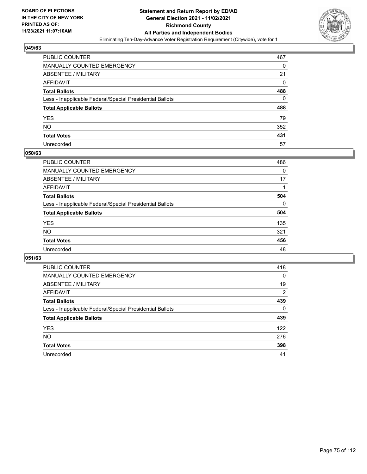

| PUBLIC COUNTER                                           | 467      |
|----------------------------------------------------------|----------|
| MANUALLY COUNTED EMERGENCY                               | 0        |
| ABSENTEE / MILITARY                                      | 21       |
| AFFIDAVIT                                                | $\Omega$ |
| <b>Total Ballots</b>                                     | 488      |
| Less - Inapplicable Federal/Special Presidential Ballots | 0        |
| <b>Total Applicable Ballots</b>                          | 488      |
| YES                                                      | 79       |
| NO.                                                      | 352      |
| <b>Total Votes</b>                                       | 431      |
| Unrecorded                                               | 57       |

#### **050/63**

| <b>PUBLIC COUNTER</b>                                    | 486      |
|----------------------------------------------------------|----------|
| <b>MANUALLY COUNTED EMERGENCY</b>                        | 0        |
| ABSENTEE / MILITARY                                      | 17       |
| AFFIDAVIT                                                |          |
| <b>Total Ballots</b>                                     | 504      |
| Less - Inapplicable Federal/Special Presidential Ballots | $\Omega$ |
| <b>Total Applicable Ballots</b>                          | 504      |
| <b>YES</b>                                               | 135      |
| <b>NO</b>                                                | 321      |
| <b>Total Votes</b>                                       | 456      |
| Unrecorded                                               | 48       |

| <b>PUBLIC COUNTER</b>                                    | 418            |
|----------------------------------------------------------|----------------|
| <b>MANUALLY COUNTED EMERGENCY</b>                        | $\Omega$       |
| ABSENTEE / MILITARY                                      | 19             |
| AFFIDAVIT                                                | $\overline{2}$ |
| <b>Total Ballots</b>                                     | 439            |
| Less - Inapplicable Federal/Special Presidential Ballots | $\Omega$       |
| <b>Total Applicable Ballots</b>                          | 439            |
| <b>YES</b>                                               | 122            |
| <b>NO</b>                                                | 276            |
| <b>Total Votes</b>                                       | 398            |
| Unrecorded                                               | 41             |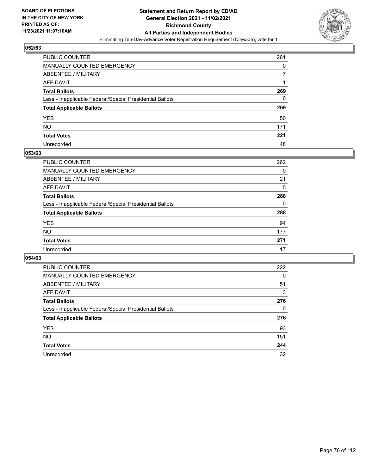

| PUBLIC COUNTER                                           | 261      |
|----------------------------------------------------------|----------|
| MANUALLY COUNTED EMERGENCY                               | 0        |
| ABSENTEE / MILITARY                                      |          |
| AFFIDAVIT                                                |          |
| <b>Total Ballots</b>                                     | 269      |
| Less - Inapplicable Federal/Special Presidential Ballots | $\Omega$ |
| <b>Total Applicable Ballots</b>                          | 269      |
| YES                                                      | 50       |
| NO.                                                      | 171      |
| <b>Total Votes</b>                                       | 221      |
| Unrecorded                                               | 48       |

#### **053/63**

| PUBLIC COUNTER                                           | 262      |
|----------------------------------------------------------|----------|
| <b>MANUALLY COUNTED EMERGENCY</b>                        | 0        |
| <b>ABSENTEE / MILITARY</b>                               | 21       |
| <b>AFFIDAVIT</b>                                         | 5        |
| <b>Total Ballots</b>                                     | 288      |
| Less - Inapplicable Federal/Special Presidential Ballots | $\Omega$ |
| <b>Total Applicable Ballots</b>                          | 288      |
| <b>YES</b>                                               | 94       |
| <b>NO</b>                                                | 177      |
| <b>Total Votes</b>                                       | 271      |
| Unrecorded                                               | 17       |

| <b>PUBLIC COUNTER</b>                                    | 222      |
|----------------------------------------------------------|----------|
| MANUALLY COUNTED EMERGENCY                               | $\Omega$ |
| ABSENTEE / MILITARY                                      | 51       |
| AFFIDAVIT                                                | 3        |
| <b>Total Ballots</b>                                     | 276      |
| Less - Inapplicable Federal/Special Presidential Ballots | 0        |
| <b>Total Applicable Ballots</b>                          | 276      |
| <b>YES</b>                                               | 93       |
| NO.                                                      | 151      |
| <b>Total Votes</b>                                       | 244      |
| Unrecorded                                               | 32       |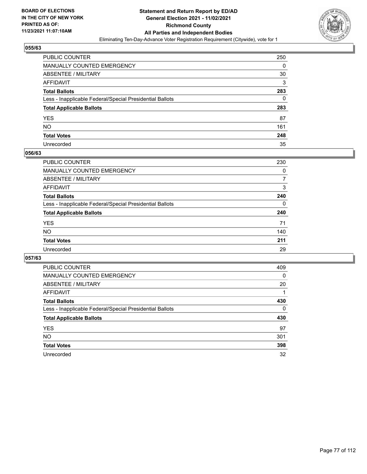

| PUBLIC COUNTER                                           | 250 |
|----------------------------------------------------------|-----|
| <b>MANUALLY COUNTED EMERGENCY</b>                        | 0   |
| ABSENTEE / MILITARY                                      | 30  |
| AFFIDAVIT                                                | 3   |
| <b>Total Ballots</b>                                     | 283 |
| Less - Inapplicable Federal/Special Presidential Ballots | 0   |
| <b>Total Applicable Ballots</b>                          | 283 |
| <b>YES</b>                                               | 87  |
| NO.                                                      | 161 |
| <b>Total Votes</b>                                       | 248 |
| Unrecorded                                               | 35  |

#### **056/63**

| PUBLIC COUNTER                                           | 230 |
|----------------------------------------------------------|-----|
| <b>MANUALLY COUNTED EMERGENCY</b>                        | 0   |
| ABSENTEE / MILITARY                                      | 7   |
| AFFIDAVIT                                                | 3   |
| <b>Total Ballots</b>                                     | 240 |
| Less - Inapplicable Federal/Special Presidential Ballots | 0   |
| <b>Total Applicable Ballots</b>                          | 240 |
| <b>YES</b>                                               | 71  |
| <b>NO</b>                                                | 140 |
| <b>Total Votes</b>                                       | 211 |
| Unrecorded                                               | 29  |

| <b>PUBLIC COUNTER</b>                                    | 409      |
|----------------------------------------------------------|----------|
| MANUALLY COUNTED EMERGENCY                               | $\Omega$ |
| ABSENTEE / MILITARY                                      | 20       |
| AFFIDAVIT                                                |          |
| <b>Total Ballots</b>                                     | 430      |
| Less - Inapplicable Federal/Special Presidential Ballots | $\Omega$ |
| <b>Total Applicable Ballots</b>                          | 430      |
| <b>YES</b>                                               | 97       |
| NO.                                                      | 301      |
| <b>Total Votes</b>                                       | 398      |
| Unrecorded                                               | 32       |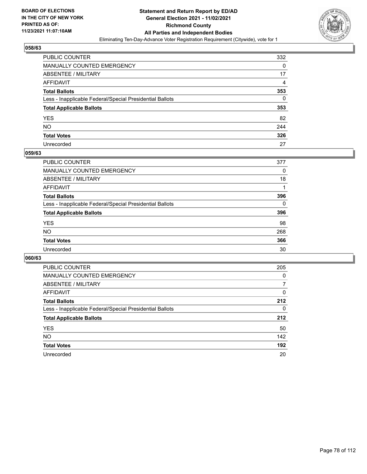

| PUBLIC COUNTER                                           | 332 |
|----------------------------------------------------------|-----|
| MANUALLY COUNTED EMERGENCY                               | 0   |
| <b>ABSENTEE / MILITARY</b>                               | 17  |
| AFFIDAVIT                                                | 4   |
| <b>Total Ballots</b>                                     | 353 |
| Less - Inapplicable Federal/Special Presidential Ballots | 0   |
| <b>Total Applicable Ballots</b>                          | 353 |
| YES                                                      | 82  |
| <b>NO</b>                                                | 244 |
| <b>Total Votes</b>                                       | 326 |
| Unrecorded                                               | 27  |

#### **059/63**

| <b>PUBLIC COUNTER</b>                                    | 377      |
|----------------------------------------------------------|----------|
| <b>MANUALLY COUNTED EMERGENCY</b>                        | 0        |
| ABSENTEE / MILITARY                                      | 18       |
| AFFIDAVIT                                                |          |
| <b>Total Ballots</b>                                     | 396      |
| Less - Inapplicable Federal/Special Presidential Ballots | $\Omega$ |
| <b>Total Applicable Ballots</b>                          | 396      |
| <b>YES</b>                                               | 98       |
| <b>NO</b>                                                | 268      |
| <b>Total Votes</b>                                       | 366      |
| Unrecorded                                               | 30       |

| <b>PUBLIC COUNTER</b>                                    | 205      |
|----------------------------------------------------------|----------|
| MANUALLY COUNTED EMERGENCY                               | 0        |
| ABSENTEE / MILITARY                                      | 7        |
| AFFIDAVIT                                                | $\Omega$ |
| <b>Total Ballots</b>                                     | 212      |
| Less - Inapplicable Federal/Special Presidential Ballots | $\Omega$ |
| <b>Total Applicable Ballots</b>                          | 212      |
| <b>YES</b>                                               | 50       |
| NO.                                                      | 142      |
| <b>Total Votes</b>                                       | 192      |
| Unrecorded                                               | 20       |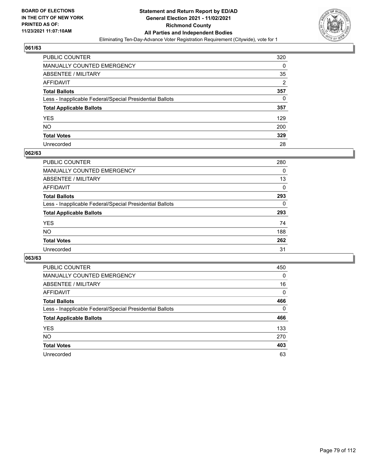

| PUBLIC COUNTER                                           | 320            |
|----------------------------------------------------------|----------------|
| MANUALLY COUNTED EMERGENCY                               | 0              |
| <b>ABSENTEE / MILITARY</b>                               | 35             |
| AFFIDAVIT                                                | $\overline{2}$ |
| <b>Total Ballots</b>                                     | 357            |
| Less - Inapplicable Federal/Special Presidential Ballots | 0              |
| <b>Total Applicable Ballots</b>                          | 357            |
| YES                                                      | 129            |
| NO.                                                      | 200            |
| <b>Total Votes</b>                                       | 329            |
| Unrecorded                                               | 28             |

#### **062/63**

| PUBLIC COUNTER                                           | 280      |
|----------------------------------------------------------|----------|
| <b>MANUALLY COUNTED EMERGENCY</b>                        | 0        |
| ABSENTEE / MILITARY                                      | 13       |
| AFFIDAVIT                                                | $\Omega$ |
| <b>Total Ballots</b>                                     | 293      |
| Less - Inapplicable Federal/Special Presidential Ballots | 0        |
| <b>Total Applicable Ballots</b>                          | 293      |
| <b>YES</b>                                               | 74       |
| <b>NO</b>                                                | 188      |
| <b>Total Votes</b>                                       | 262      |
| Unrecorded                                               | 31       |

| <b>PUBLIC COUNTER</b>                                    | 450      |
|----------------------------------------------------------|----------|
| MANUALLY COUNTED EMERGENCY                               | $\Omega$ |
| ABSENTEE / MILITARY                                      | 16       |
| AFFIDAVIT                                                | 0        |
| <b>Total Ballots</b>                                     | 466      |
| Less - Inapplicable Federal/Special Presidential Ballots | $\Omega$ |
| <b>Total Applicable Ballots</b>                          | 466      |
| <b>YES</b>                                               | 133      |
| NO.                                                      | 270      |
| <b>Total Votes</b>                                       | 403      |
| Unrecorded                                               | 63       |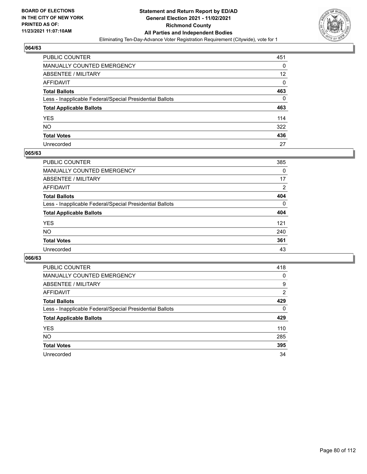

| PUBLIC COUNTER                                           | 451      |
|----------------------------------------------------------|----------|
| MANUALLY COUNTED EMERGENCY                               | 0        |
| ABSENTEE / MILITARY                                      | 12       |
| AFFIDAVIT                                                | $\Omega$ |
| <b>Total Ballots</b>                                     | 463      |
| Less - Inapplicable Federal/Special Presidential Ballots | 0        |
| <b>Total Applicable Ballots</b>                          | 463      |
| YES                                                      | 114      |
| NΟ                                                       | 322      |
| <b>Total Votes</b>                                       | 436      |
| Unrecorded                                               | 27       |

#### **065/63**

| <b>PUBLIC COUNTER</b>                                    | 385      |
|----------------------------------------------------------|----------|
| <b>MANUALLY COUNTED EMERGENCY</b>                        | 0        |
| ABSENTEE / MILITARY                                      | 17       |
| AFFIDAVIT                                                | 2        |
| <b>Total Ballots</b>                                     | 404      |
| Less - Inapplicable Federal/Special Presidential Ballots | $\Omega$ |
| <b>Total Applicable Ballots</b>                          | 404      |
| <b>YES</b>                                               | 121      |
| <b>NO</b>                                                | 240      |
| <b>Total Votes</b>                                       | 361      |
| Unrecorded                                               | 43       |

| PUBLIC COUNTER                                           | 418      |
|----------------------------------------------------------|----------|
| <b>MANUALLY COUNTED EMERGENCY</b>                        | 0        |
| ABSENTEE / MILITARY                                      | 9        |
| <b>AFFIDAVIT</b>                                         | 2        |
| <b>Total Ballots</b>                                     | 429      |
| Less - Inapplicable Federal/Special Presidential Ballots | $\Omega$ |
| <b>Total Applicable Ballots</b>                          | 429      |
| <b>YES</b>                                               | 110      |
| <b>NO</b>                                                | 285      |
|                                                          |          |
| <b>Total Votes</b>                                       | 395      |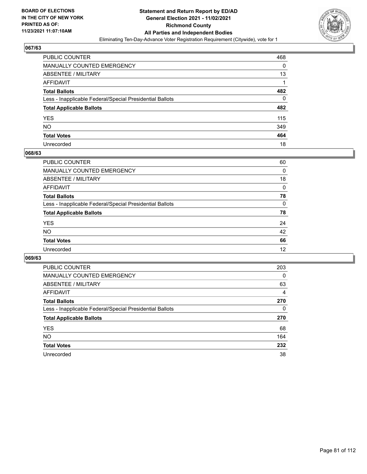

| PUBLIC COUNTER                                           | 468 |
|----------------------------------------------------------|-----|
| <b>MANUALLY COUNTED EMERGENCY</b>                        | 0   |
| <b>ABSENTEE / MILITARY</b>                               | 13  |
| <b>AFFIDAVIT</b>                                         |     |
| <b>Total Ballots</b>                                     | 482 |
| Less - Inapplicable Federal/Special Presidential Ballots | 0   |
| <b>Total Applicable Ballots</b>                          | 482 |
| YES                                                      | 115 |
| NO.                                                      | 349 |
| <b>Total Votes</b>                                       | 464 |
| Unrecorded                                               | 18  |

#### **068/63**

| <b>PUBLIC COUNTER</b>                                    | 60       |
|----------------------------------------------------------|----------|
| MANUALLY COUNTED EMERGENCY                               | 0        |
| ABSENTEE / MILITARY                                      | 18       |
| AFFIDAVIT                                                | $\Omega$ |
| <b>Total Ballots</b>                                     | 78       |
| Less - Inapplicable Federal/Special Presidential Ballots | $\Omega$ |
| <b>Total Applicable Ballots</b>                          | 78       |
| <b>YES</b>                                               | 24       |
| <b>NO</b>                                                | 42       |
| <b>Total Votes</b>                                       | 66       |
| Unrecorded                                               | 12       |

| <b>PUBLIC COUNTER</b>                                    | 203      |
|----------------------------------------------------------|----------|
| MANUALLY COUNTED EMERGENCY                               | $\Omega$ |
| ABSENTEE / MILITARY                                      | 63       |
| AFFIDAVIT                                                | 4        |
| <b>Total Ballots</b>                                     | 270      |
| Less - Inapplicable Federal/Special Presidential Ballots | 0        |
| <b>Total Applicable Ballots</b>                          | 270      |
| <b>YES</b>                                               | 68       |
| NO.                                                      | 164      |
| <b>Total Votes</b>                                       | 232      |
|                                                          |          |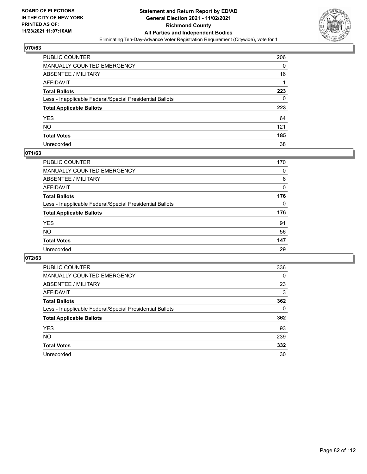

| PUBLIC COUNTER                                           | 206 |
|----------------------------------------------------------|-----|
| MANUALLY COUNTED EMERGENCY                               | 0   |
| <b>ABSENTEE / MILITARY</b>                               | 16  |
| AFFIDAVIT                                                |     |
| <b>Total Ballots</b>                                     | 223 |
| Less - Inapplicable Federal/Special Presidential Ballots | 0   |
| <b>Total Applicable Ballots</b>                          | 223 |
| YES                                                      | 64  |
| NO.                                                      | 121 |
| <b>Total Votes</b>                                       | 185 |
| Unrecorded                                               | 38  |

#### **071/63**

| <b>PUBLIC COUNTER</b>                                    | 170      |
|----------------------------------------------------------|----------|
| MANUALLY COUNTED EMERGENCY                               | 0        |
| ABSENTEE / MILITARY                                      | 6        |
| AFFIDAVIT                                                | 0        |
| <b>Total Ballots</b>                                     | 176      |
| Less - Inapplicable Federal/Special Presidential Ballots | $\Omega$ |
| <b>Total Applicable Ballots</b>                          | 176      |
| <b>YES</b>                                               | 91       |
| <b>NO</b>                                                | 56       |
| <b>Total Votes</b>                                       | 147      |
| Unrecorded                                               | 29       |

| PUBLIC COUNTER                                           | 336      |
|----------------------------------------------------------|----------|
| MANUALLY COUNTED EMERGENCY                               | $\Omega$ |
| ABSENTEE / MILITARY                                      | 23       |
| AFFIDAVIT                                                | 3        |
| <b>Total Ballots</b>                                     | 362      |
| Less - Inapplicable Federal/Special Presidential Ballots | $\Omega$ |
| <b>Total Applicable Ballots</b>                          | 362      |
| <b>YES</b>                                               | 93       |
| <b>NO</b>                                                | 239      |
| <b>Total Votes</b>                                       | 332      |
| Unrecorded                                               | 30       |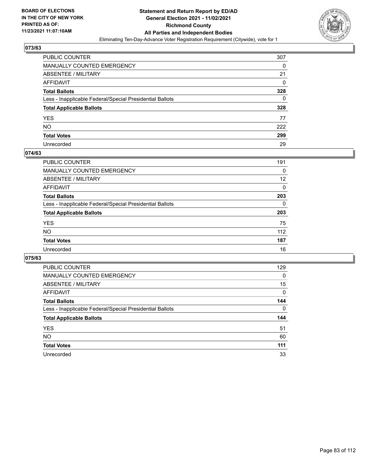

| PUBLIC COUNTER                                           | 307      |
|----------------------------------------------------------|----------|
| MANUALLY COUNTED EMERGENCY                               | 0        |
| ABSENTEE / MILITARY                                      | 21       |
| AFFIDAVIT                                                | $\Omega$ |
| <b>Total Ballots</b>                                     | 328      |
| Less - Inapplicable Federal/Special Presidential Ballots | 0        |
| <b>Total Applicable Ballots</b>                          | 328      |
| YES                                                      | 77       |
| NO.                                                      | 222      |
| <b>Total Votes</b>                                       | 299      |
| Unrecorded                                               | 29       |

#### **074/63**

| <b>PUBLIC COUNTER</b>                                    | 191      |
|----------------------------------------------------------|----------|
| <b>MANUALLY COUNTED EMERGENCY</b>                        | $\Omega$ |
| ABSENTEE / MILITARY                                      | 12       |
| AFFIDAVIT                                                | 0        |
| <b>Total Ballots</b>                                     | 203      |
| Less - Inapplicable Federal/Special Presidential Ballots | $\Omega$ |
| <b>Total Applicable Ballots</b>                          | 203      |
| <b>YES</b>                                               | 75       |
| <b>NO</b>                                                | 112      |
| <b>Total Votes</b>                                       | 187      |
| Unrecorded                                               | 16       |

| <b>PUBLIC COUNTER</b>                                    | 129      |
|----------------------------------------------------------|----------|
| MANUALLY COUNTED EMERGENCY                               | $\Omega$ |
| ABSENTEE / MILITARY                                      | 15       |
| AFFIDAVIT                                                | 0        |
| <b>Total Ballots</b>                                     | 144      |
| Less - Inapplicable Federal/Special Presidential Ballots | $\Omega$ |
| <b>Total Applicable Ballots</b>                          | 144      |
| <b>YES</b>                                               | 51       |
| NO.                                                      | 60       |
|                                                          |          |
| <b>Total Votes</b>                                       | 111      |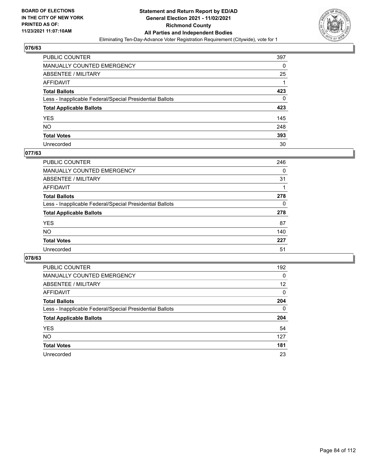

| PUBLIC COUNTER                                           | 397 |
|----------------------------------------------------------|-----|
| MANUALLY COUNTED EMERGENCY                               | 0   |
| ABSENTEE / MILITARY                                      | 25  |
| AFFIDAVIT                                                |     |
| <b>Total Ballots</b>                                     | 423 |
| Less - Inapplicable Federal/Special Presidential Ballots | 0   |
| <b>Total Applicable Ballots</b>                          | 423 |
| YES                                                      | 145 |
| NO.                                                      | 248 |
| <b>Total Votes</b>                                       | 393 |
| Unrecorded                                               | 30  |

#### **077/63**

| PUBLIC COUNTER                                           | 246      |
|----------------------------------------------------------|----------|
| <b>MANUALLY COUNTED EMERGENCY</b>                        | 0        |
| <b>ABSENTEE / MILITARY</b>                               | 31       |
| AFFIDAVIT                                                |          |
| <b>Total Ballots</b>                                     | 278      |
| Less - Inapplicable Federal/Special Presidential Ballots | $\Omega$ |
| <b>Total Applicable Ballots</b>                          | 278      |
| <b>YES</b>                                               | 87       |
| NO.                                                      | 140      |
| <b>Total Votes</b>                                       | 227      |
| Unrecorded                                               | 51       |

| <b>PUBLIC COUNTER</b>                                    | 192 |
|----------------------------------------------------------|-----|
| <b>MANUALLY COUNTED EMERGENCY</b>                        | 0   |
| ABSENTEE / MILITARY                                      | 12  |
| AFFIDAVIT                                                | 0   |
| <b>Total Ballots</b>                                     | 204 |
| Less - Inapplicable Federal/Special Presidential Ballots | 0   |
| <b>Total Applicable Ballots</b>                          | 204 |
| <b>YES</b>                                               | 54  |
| NO.                                                      | 127 |
| <b>Total Votes</b>                                       | 181 |
| Unrecorded                                               | 23  |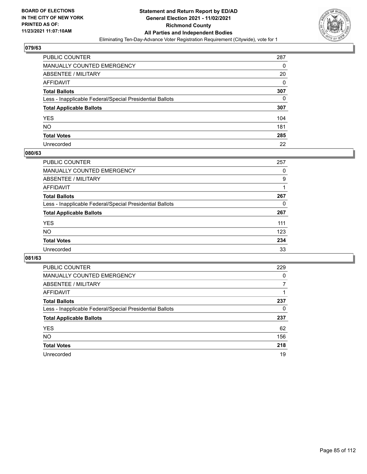

| PUBLIC COUNTER                                           | 287 |
|----------------------------------------------------------|-----|
| MANUALLY COUNTED EMERGENCY                               | 0   |
| ABSENTEE / MILITARY                                      | 20  |
| AFFIDAVIT                                                | 0   |
| <b>Total Ballots</b>                                     | 307 |
| Less - Inapplicable Federal/Special Presidential Ballots | 0   |
| <b>Total Applicable Ballots</b>                          | 307 |
| YES                                                      | 104 |
| NO.                                                      | 181 |
| <b>Total Votes</b>                                       | 285 |
| Unrecorded                                               | 22  |

#### **080/63**

| PUBLIC COUNTER                                           | 257 |
|----------------------------------------------------------|-----|
| <b>MANUALLY COUNTED EMERGENCY</b>                        | 0   |
| ABSENTEE / MILITARY                                      | 9   |
| AFFIDAVIT                                                |     |
| <b>Total Ballots</b>                                     | 267 |
| Less - Inapplicable Federal/Special Presidential Ballots | 0   |
| <b>Total Applicable Ballots</b>                          | 267 |
| <b>YES</b>                                               | 111 |
| <b>NO</b>                                                | 123 |
| <b>Total Votes</b>                                       | 234 |
| Unrecorded                                               | 33  |

| <b>PUBLIC COUNTER</b>                                    | 229      |
|----------------------------------------------------------|----------|
| MANUALLY COUNTED EMERGENCY                               | $\Omega$ |
| ABSENTEE / MILITARY                                      |          |
| AFFIDAVIT                                                |          |
| <b>Total Ballots</b>                                     | 237      |
| Less - Inapplicable Federal/Special Presidential Ballots | 0        |
| <b>Total Applicable Ballots</b>                          | 237      |
| <b>YES</b>                                               | 62       |
| NO.                                                      | 156      |
| <b>Total Votes</b>                                       | 218      |
| Unrecorded                                               | 19       |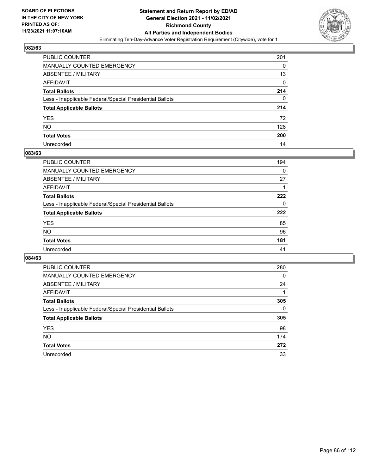

| PUBLIC COUNTER                                           | 201      |
|----------------------------------------------------------|----------|
| MANUALLY COUNTED EMERGENCY                               | 0        |
| <b>ABSENTEE / MILITARY</b>                               | 13       |
| AFFIDAVIT                                                | $\Omega$ |
| <b>Total Ballots</b>                                     | 214      |
| Less - Inapplicable Federal/Special Presidential Ballots | 0        |
| <b>Total Applicable Ballots</b>                          | 214      |
| YES                                                      | 72       |
| NO.                                                      | 128      |
| <b>Total Votes</b>                                       | 200      |
| Unrecorded                                               | 14       |

#### **083/63**

| <b>PUBLIC COUNTER</b>                                    | 194      |
|----------------------------------------------------------|----------|
| <b>MANUALLY COUNTED EMERGENCY</b>                        | 0        |
| ABSENTEE / MILITARY                                      | 27       |
| AFFIDAVIT                                                |          |
| <b>Total Ballots</b>                                     | 222      |
| Less - Inapplicable Federal/Special Presidential Ballots | $\Omega$ |
| <b>Total Applicable Ballots</b>                          | 222      |
| <b>YES</b>                                               | 85       |
| <b>NO</b>                                                | 96       |
| <b>Total Votes</b>                                       | 181      |
| Unrecorded                                               | 41       |

| <b>PUBLIC COUNTER</b>                                    | 280 |
|----------------------------------------------------------|-----|
| MANUALLY COUNTED EMERGENCY                               | 0   |
| ABSENTEE / MILITARY                                      | 24  |
| AFFIDAVIT                                                |     |
| <b>Total Ballots</b>                                     | 305 |
| Less - Inapplicable Federal/Special Presidential Ballots | 0   |
| <b>Total Applicable Ballots</b>                          | 305 |
| <b>YES</b>                                               | 98  |
| NO.                                                      | 174 |
| <b>Total Votes</b>                                       | 272 |
| Unrecorded                                               | 33  |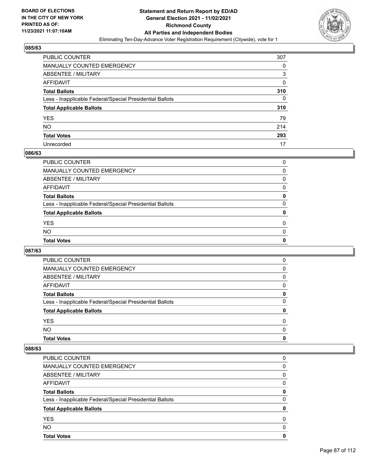

| PUBLIC COUNTER                                           | 307 |
|----------------------------------------------------------|-----|
| MANUALLY COUNTED EMERGENCY                               | 0   |
| ABSENTEE / MILITARY                                      | 3   |
| AFFIDAVIT                                                | 0   |
| <b>Total Ballots</b>                                     | 310 |
| Less - Inapplicable Federal/Special Presidential Ballots | 0   |
| <b>Total Applicable Ballots</b>                          | 310 |
| YES                                                      | 79  |
| NO.                                                      | 214 |
| <b>Total Votes</b>                                       | 293 |
| Unrecorded                                               | 17  |

#### **086/63**

| PUBLIC COUNTER                                           | O |
|----------------------------------------------------------|---|
| MANUALLY COUNTED EMERGENCY                               | 0 |
| ABSENTEE / MILITARY                                      | 0 |
| AFFIDAVIT                                                | 0 |
| <b>Total Ballots</b>                                     | 0 |
| Less - Inapplicable Federal/Special Presidential Ballots | 0 |
| <b>Total Applicable Ballots</b>                          | 0 |
| <b>YES</b>                                               | 0 |
| <b>NO</b>                                                | 0 |
| <b>Total Votes</b>                                       | 0 |
|                                                          |   |

# **087/63**

| <b>PUBLIC COUNTER</b>                                    | 0        |
|----------------------------------------------------------|----------|
| <b>MANUALLY COUNTED EMERGENCY</b>                        | 0        |
| ABSENTEE / MILITARY                                      | 0        |
| AFFIDAVIT                                                | 0        |
| <b>Total Ballots</b>                                     | 0        |
| Less - Inapplicable Federal/Special Presidential Ballots | $\Omega$ |
| <b>Total Applicable Ballots</b>                          | 0        |
| <b>YES</b>                                               | 0        |
| <b>NO</b>                                                | 0        |
| <b>Total Votes</b>                                       | 0        |

| <b>YES</b><br><b>NO</b>                                  | 0<br>$\Omega$ |
|----------------------------------------------------------|---------------|
| <b>Total Applicable Ballots</b>                          | 0             |
| Less - Inapplicable Federal/Special Presidential Ballots | $\Omega$      |
| <b>Total Ballots</b>                                     | 0             |
| AFFIDAVIT                                                | $\Omega$      |
| ABSENTEE / MILITARY                                      | 0             |
| MANUALLY COUNTED EMERGENCY                               | 0             |
| <b>PUBLIC COUNTER</b>                                    | 0             |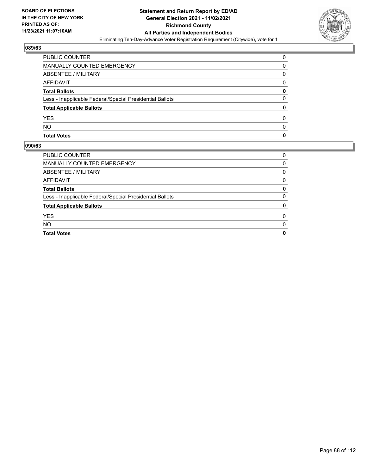

| PUBLIC COUNTER                                           | 0 |
|----------------------------------------------------------|---|
| <b>MANUALLY COUNTED EMERGENCY</b>                        | 0 |
| <b>ABSENTEE / MILITARY</b>                               | 0 |
| AFFIDAVIT                                                | 0 |
| <b>Total Ballots</b>                                     | 0 |
| Less - Inapplicable Federal/Special Presidential Ballots | 0 |
| <b>Total Applicable Ballots</b>                          |   |
| <b>YES</b>                                               | 0 |
| <b>NO</b>                                                | O |
| <b>Total Votes</b>                                       | O |

| <b>PUBLIC COUNTER</b>                                    | 0 |
|----------------------------------------------------------|---|
| MANUALLY COUNTED EMERGENCY                               | 0 |
| ABSENTEE / MILITARY                                      | 0 |
| AFFIDAVIT                                                | 0 |
| <b>Total Ballots</b>                                     | 0 |
| Less - Inapplicable Federal/Special Presidential Ballots | 0 |
| <b>Total Applicable Ballots</b>                          | 0 |
| <b>YES</b>                                               | 0 |
| <b>NO</b>                                                | 0 |
| <b>Total Votes</b>                                       | 0 |
|                                                          |   |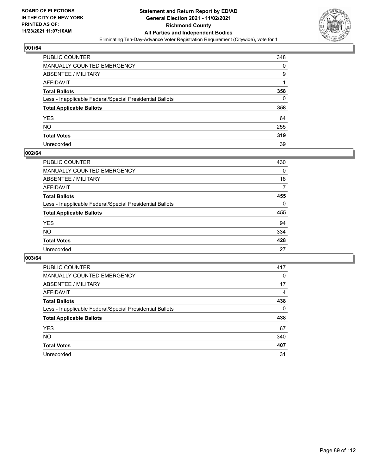

| PUBLIC COUNTER                                           | 348 |
|----------------------------------------------------------|-----|
| MANUALLY COUNTED EMERGENCY                               | 0   |
| ABSENTEE / MILITARY                                      | 9   |
| AFFIDAVIT                                                | 1   |
| Total Ballots                                            | 358 |
| Less - Inapplicable Federal/Special Presidential Ballots | 0   |
| <b>Total Applicable Ballots</b>                          | 358 |
| YES                                                      | 64  |
| NO.                                                      | 255 |
| <b>Total Votes</b>                                       | 319 |
| Unrecorded                                               | 39  |

#### **002/64**

| <b>PUBLIC COUNTER</b>                                    | 430      |
|----------------------------------------------------------|----------|
| MANUALLY COUNTED EMERGENCY                               | 0        |
| ABSENTEE / MILITARY                                      | 18       |
| AFFIDAVIT                                                | 7        |
| <b>Total Ballots</b>                                     | 455      |
| Less - Inapplicable Federal/Special Presidential Ballots | $\Omega$ |
| <b>Total Applicable Ballots</b>                          | 455      |
| <b>YES</b>                                               | 94       |
| <b>NO</b>                                                | 334      |
| <b>Total Votes</b>                                       | 428      |
| Unrecorded                                               | 27       |

| <b>PUBLIC COUNTER</b>                                    | 417      |
|----------------------------------------------------------|----------|
| <b>MANUALLY COUNTED EMERGENCY</b>                        | $\Omega$ |
| ABSENTEE / MILITARY                                      | 17       |
| AFFIDAVIT                                                | 4        |
| <b>Total Ballots</b>                                     | 438      |
| Less - Inapplicable Federal/Special Presidential Ballots | $\Omega$ |
| <b>Total Applicable Ballots</b>                          | 438      |
| <b>YES</b>                                               | 67       |
| <b>NO</b>                                                | 340      |
| <b>Total Votes</b>                                       | 407      |
| Unrecorded                                               | 31       |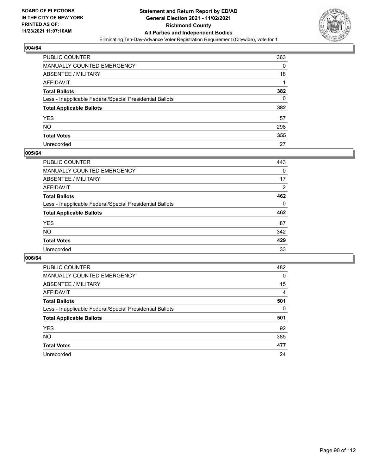

| PUBLIC COUNTER                                           | 363      |
|----------------------------------------------------------|----------|
| MANUALLY COUNTED EMERGENCY                               | 0        |
| ABSENTEE / MILITARY                                      | 18       |
| AFFIDAVIT                                                |          |
| <b>Total Ballots</b>                                     | 382      |
| Less - Inapplicable Federal/Special Presidential Ballots | $\Omega$ |
| <b>Total Applicable Ballots</b>                          | 382      |
| YES                                                      | 57       |
| NO.                                                      | 298      |
| <b>Total Votes</b>                                       | 355      |
| Unrecorded                                               | 27       |

#### **005/64**

| <b>PUBLIC COUNTER</b>                                    | 443      |
|----------------------------------------------------------|----------|
| <b>MANUALLY COUNTED EMERGENCY</b>                        | 0        |
| ABSENTEE / MILITARY                                      | 17       |
| AFFIDAVIT                                                | 2        |
| <b>Total Ballots</b>                                     | 462      |
| Less - Inapplicable Federal/Special Presidential Ballots | $\Omega$ |
| <b>Total Applicable Ballots</b>                          | 462      |
| <b>YES</b>                                               | 87       |
| <b>NO</b>                                                | 342      |
| <b>Total Votes</b>                                       | 429      |
| Unrecorded                                               | 33       |

| <b>PUBLIC COUNTER</b>                                    | 482      |
|----------------------------------------------------------|----------|
| <b>MANUALLY COUNTED EMERGENCY</b>                        | $\Omega$ |
| ABSENTEE / MILITARY                                      | 15       |
| AFFIDAVIT                                                | 4        |
| <b>Total Ballots</b>                                     | 501      |
| Less - Inapplicable Federal/Special Presidential Ballots | $\Omega$ |
| <b>Total Applicable Ballots</b>                          | 501      |
| <b>YES</b>                                               | 92       |
| <b>NO</b>                                                | 385      |
| <b>Total Votes</b>                                       | 477      |
| Unrecorded                                               | 24       |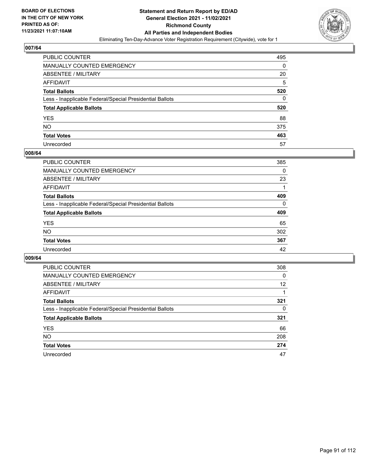

| PUBLIC COUNTER                                           | 495 |
|----------------------------------------------------------|-----|
| MANUALLY COUNTED EMERGENCY                               | 0   |
| <b>ABSENTEE / MILITARY</b>                               | 20  |
| AFFIDAVIT                                                | 5   |
| <b>Total Ballots</b>                                     | 520 |
| Less - Inapplicable Federal/Special Presidential Ballots | 0   |
| <b>Total Applicable Ballots</b>                          | 520 |
| YES                                                      | 88  |
| <b>NO</b>                                                | 375 |
| <b>Total Votes</b>                                       | 463 |
| Unrecorded                                               | 57  |

#### **008/64**

| <b>PUBLIC COUNTER</b>                                    | 385      |
|----------------------------------------------------------|----------|
| <b>MANUALLY COUNTED EMERGENCY</b>                        | 0        |
| <b>ABSENTEE / MILITARY</b>                               | 23       |
| AFFIDAVIT                                                |          |
| <b>Total Ballots</b>                                     | 409      |
| Less - Inapplicable Federal/Special Presidential Ballots | $\Omega$ |
| <b>Total Applicable Ballots</b>                          | 409      |
| <b>YES</b>                                               | 65       |
| NO                                                       | 302      |
| <b>Total Votes</b>                                       | 367      |
| Unrecorded                                               | 42       |

| <b>PUBLIC COUNTER</b>                                    | 308      |
|----------------------------------------------------------|----------|
| <b>MANUALLY COUNTED EMERGENCY</b>                        | $\Omega$ |
| ABSENTEE / MILITARY                                      | 12       |
| AFFIDAVIT                                                |          |
| <b>Total Ballots</b>                                     | 321      |
| Less - Inapplicable Federal/Special Presidential Ballots | 0        |
| <b>Total Applicable Ballots</b>                          | 321      |
| <b>YES</b>                                               | 66       |
| <b>NO</b>                                                | 208      |
| <b>Total Votes</b>                                       | 274      |
| Unrecorded                                               | 47       |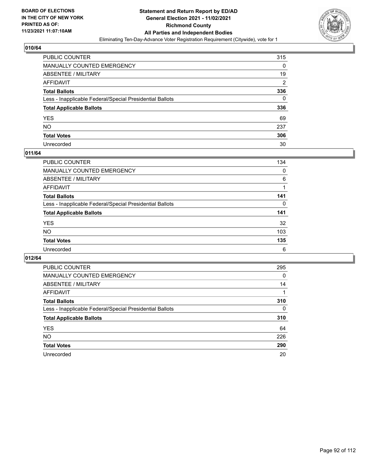

| PUBLIC COUNTER                                           | 315            |
|----------------------------------------------------------|----------------|
| MANUALLY COUNTED EMERGENCY                               | 0              |
| <b>ABSENTEE / MILITARY</b>                               | 19             |
| AFFIDAVIT                                                | $\overline{2}$ |
| <b>Total Ballots</b>                                     | 336            |
| Less - Inapplicable Federal/Special Presidential Ballots | $\Omega$       |
| <b>Total Applicable Ballots</b>                          | 336            |
| YES                                                      | 69             |
| NO.                                                      | 237            |
| <b>Total Votes</b>                                       | 306            |
| Unrecorded                                               | 30             |

#### **011/64**

| <b>PUBLIC COUNTER</b>                                    | 134      |
|----------------------------------------------------------|----------|
| MANUALLY COUNTED EMERGENCY                               | $\Omega$ |
| ABSENTEE / MILITARY                                      | 6        |
| AFFIDAVIT                                                |          |
| <b>Total Ballots</b>                                     | 141      |
| Less - Inapplicable Federal/Special Presidential Ballots | 0        |
| <b>Total Applicable Ballots</b>                          | 141      |
| <b>YES</b>                                               | 32       |
| <b>NO</b>                                                | 103      |
| <b>Total Votes</b>                                       | 135      |
| Unrecorded                                               | 6        |

| <b>PUBLIC COUNTER</b>                                    | 295      |
|----------------------------------------------------------|----------|
| <b>MANUALLY COUNTED EMERGENCY</b>                        | 0        |
| ABSENTEE / MILITARY                                      | 14       |
| AFFIDAVIT                                                |          |
| <b>Total Ballots</b>                                     | 310      |
| Less - Inapplicable Federal/Special Presidential Ballots | $\Omega$ |
| <b>Total Applicable Ballots</b>                          | 310      |
| <b>YES</b>                                               | 64       |
| NO.                                                      | 226      |
| <b>Total Votes</b>                                       | 290      |
| Unrecorded                                               | 20       |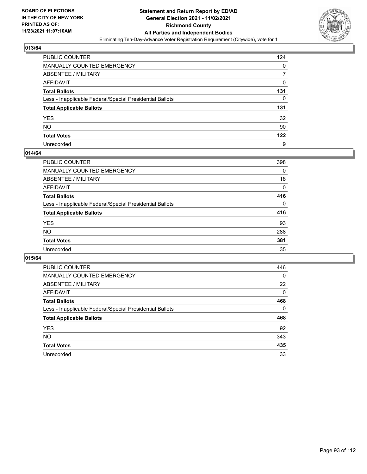

| PUBLIC COUNTER                                           | 124 |
|----------------------------------------------------------|-----|
| MANUALLY COUNTED EMERGENCY                               | 0   |
| <b>ABSENTEE / MILITARY</b>                               |     |
| <b>AFFIDAVIT</b>                                         | 0   |
| <b>Total Ballots</b>                                     | 131 |
| Less - Inapplicable Federal/Special Presidential Ballots | 0   |
| <b>Total Applicable Ballots</b>                          | 131 |
| YES                                                      | 32  |
| <b>NO</b>                                                | 90  |
| <b>Total Votes</b>                                       | 122 |
| Unrecorded                                               | 9   |

#### **014/64**

| <b>PUBLIC COUNTER</b>                                    | 398      |
|----------------------------------------------------------|----------|
| <b>MANUALLY COUNTED EMERGENCY</b>                        | 0        |
| <b>ABSENTEE / MILITARY</b>                               | 18       |
| AFFIDAVIT                                                | 0        |
| <b>Total Ballots</b>                                     | 416      |
| Less - Inapplicable Federal/Special Presidential Ballots | $\Omega$ |
| <b>Total Applicable Ballots</b>                          | 416      |
| <b>YES</b>                                               | 93       |
| NO                                                       | 288      |
| <b>Total Votes</b>                                       | 381      |
| Unrecorded                                               | 35       |

| <b>PUBLIC COUNTER</b>                                    | 446      |
|----------------------------------------------------------|----------|
| <b>MANUALLY COUNTED EMERGENCY</b>                        | $\Omega$ |
| ABSENTEE / MILITARY                                      | 22       |
| AFFIDAVIT                                                | 0        |
| <b>Total Ballots</b>                                     | 468      |
| Less - Inapplicable Federal/Special Presidential Ballots | 0        |
| <b>Total Applicable Ballots</b>                          | 468      |
| <b>YES</b>                                               | 92       |
| NO.                                                      | 343      |
| <b>Total Votes</b>                                       | 435      |
| Unrecorded                                               | 33       |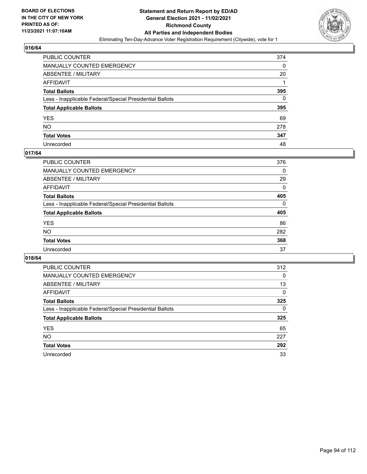

| PUBLIC COUNTER                                           | 374      |
|----------------------------------------------------------|----------|
| MANUALLY COUNTED EMERGENCY                               | 0        |
| ABSENTEE / MILITARY                                      | 20       |
| AFFIDAVIT                                                |          |
| <b>Total Ballots</b>                                     | 395      |
| Less - Inapplicable Federal/Special Presidential Ballots | $\Omega$ |
| <b>Total Applicable Ballots</b>                          | 395      |
| YES                                                      | 69       |
| NO.                                                      | 278      |
| <b>Total Votes</b>                                       | 347      |
| Unrecorded                                               | 48       |

#### **017/64**

| <b>PUBLIC COUNTER</b>                                    | 376      |
|----------------------------------------------------------|----------|
| <b>MANUALLY COUNTED EMERGENCY</b>                        | $\Omega$ |
| ABSENTEE / MILITARY                                      | 29       |
| AFFIDAVIT                                                | 0        |
| <b>Total Ballots</b>                                     | 405      |
| Less - Inapplicable Federal/Special Presidential Ballots | $\Omega$ |
| <b>Total Applicable Ballots</b>                          | 405      |
| <b>YES</b>                                               | 86       |
| <b>NO</b>                                                | 282      |
| <b>Total Votes</b>                                       | 368      |
| Unrecorded                                               | 37       |

| <b>PUBLIC COUNTER</b>                                    | 312      |
|----------------------------------------------------------|----------|
| MANUALLY COUNTED EMERGENCY                               | $\Omega$ |
| ABSENTEE / MILITARY                                      | 13       |
| AFFIDAVIT                                                | 0        |
| <b>Total Ballots</b>                                     | 325      |
| Less - Inapplicable Federal/Special Presidential Ballots | 0        |
| <b>Total Applicable Ballots</b>                          | 325      |
| <b>YES</b>                                               | 65       |
| NO.                                                      | 227      |
| <b>Total Votes</b>                                       | 292      |
| Unrecorded                                               |          |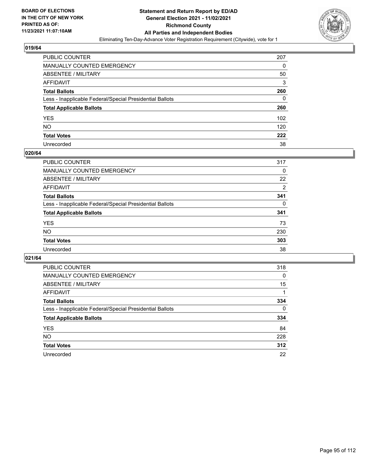

| PUBLIC COUNTER                                           | 207 |
|----------------------------------------------------------|-----|
| MANUALLY COUNTED EMERGENCY                               | 0   |
| ABSENTEE / MILITARY                                      | 50  |
| AFFIDAVIT                                                | 3   |
| <b>Total Ballots</b>                                     | 260 |
| Less - Inapplicable Federal/Special Presidential Ballots | 0   |
| <b>Total Applicable Ballots</b>                          | 260 |
| YES                                                      | 102 |
| NO.                                                      | 120 |
| <b>Total Votes</b>                                       | 222 |
| Unrecorded                                               | 38  |

#### **020/64**

| <b>PUBLIC COUNTER</b>                                    | 317            |
|----------------------------------------------------------|----------------|
| MANUALLY COUNTED EMERGENCY                               | $\Omega$       |
| ABSENTEE / MILITARY                                      | 22             |
| AFFIDAVIT                                                | $\overline{2}$ |
| <b>Total Ballots</b>                                     | 341            |
| Less - Inapplicable Federal/Special Presidential Ballots | 0              |
| <b>Total Applicable Ballots</b>                          | 341            |
| <b>YES</b>                                               | 73             |
| <b>NO</b>                                                | 230            |
| <b>Total Votes</b>                                       | 303            |
| Unrecorded                                               | 38             |

| <b>PUBLIC COUNTER</b>                                    | 318      |
|----------------------------------------------------------|----------|
| <b>MANUALLY COUNTED EMERGENCY</b>                        | 0        |
| ABSENTEE / MILITARY                                      | 15       |
| AFFIDAVIT                                                |          |
| <b>Total Ballots</b>                                     | 334      |
| Less - Inapplicable Federal/Special Presidential Ballots | $\Omega$ |
| <b>Total Applicable Ballots</b>                          | 334      |
| <b>YES</b>                                               | 84       |
| NO.                                                      | 228      |
| <b>Total Votes</b>                                       | 312      |
| Unrecorded                                               | 22       |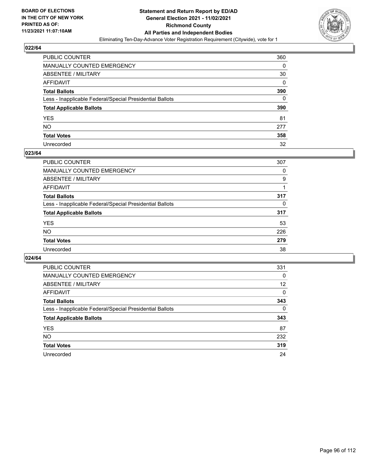

| PUBLIC COUNTER                                           | 360 |
|----------------------------------------------------------|-----|
| MANUALLY COUNTED EMERGENCY                               | 0   |
| ABSENTEE / MILITARY                                      | 30  |
| AFFIDAVIT                                                | 0   |
| <b>Total Ballots</b>                                     | 390 |
| Less - Inapplicable Federal/Special Presidential Ballots | 0   |
| <b>Total Applicable Ballots</b>                          | 390 |
| YES                                                      | 81  |
| NO.                                                      | 277 |
| <b>Total Votes</b>                                       | 358 |
| Unrecorded                                               | 32  |

#### **023/64**

| <b>PUBLIC COUNTER</b>                                    | 307      |
|----------------------------------------------------------|----------|
| MANUALLY COUNTED EMERGENCY                               | 0        |
| ABSENTEE / MILITARY                                      | 9        |
| AFFIDAVIT                                                |          |
| <b>Total Ballots</b>                                     | 317      |
| Less - Inapplicable Federal/Special Presidential Ballots | $\Omega$ |
| <b>Total Applicable Ballots</b>                          | 317      |
| <b>YES</b>                                               | 53       |
| <b>NO</b>                                                | 226      |
| <b>Total Votes</b>                                       | 279      |
| Unrecorded                                               | 38       |

| <b>PUBLIC COUNTER</b>                                    | 331      |
|----------------------------------------------------------|----------|
| <b>MANUALLY COUNTED EMERGENCY</b>                        | $\Omega$ |
| ABSENTEE / MILITARY                                      | 12       |
| AFFIDAVIT                                                | 0        |
| <b>Total Ballots</b>                                     | 343      |
| Less - Inapplicable Federal/Special Presidential Ballots | $\Omega$ |
| <b>Total Applicable Ballots</b>                          | 343      |
| <b>YES</b>                                               | 87       |
| <b>NO</b>                                                | 232      |
| <b>Total Votes</b>                                       | 319      |
| Unrecorded                                               | 24       |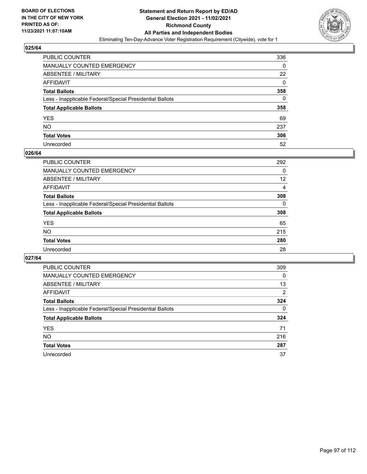

| PUBLIC COUNTER                                           | 336      |
|----------------------------------------------------------|----------|
| MANUALLY COUNTED EMERGENCY                               | 0        |
| ABSENTEE / MILITARY                                      | 22       |
| AFFIDAVIT                                                | $\Omega$ |
| <b>Total Ballots</b>                                     | 358      |
| Less - Inapplicable Federal/Special Presidential Ballots | 0        |
| <b>Total Applicable Ballots</b>                          | 358      |
| YES                                                      | 69       |
| NO.                                                      | 237      |
| <b>Total Votes</b>                                       | 306      |
| Unrecorded                                               | 52       |

#### **026/64**

| PUBLIC COUNTER                                           | 292      |
|----------------------------------------------------------|----------|
| <b>MANUALLY COUNTED EMERGENCY</b>                        | 0        |
| <b>ABSENTEE / MILITARY</b>                               | 12       |
| AFFIDAVIT                                                | 4        |
| <b>Total Ballots</b>                                     | 308      |
| Less - Inapplicable Federal/Special Presidential Ballots | $\Omega$ |
| <b>Total Applicable Ballots</b>                          | 308      |
| <b>YES</b>                                               | 65       |
| NO                                                       | 215      |
| <b>Total Votes</b>                                       | 280      |
| Unrecorded                                               | 28       |

| <b>PUBLIC COUNTER</b>                                    | 309      |
|----------------------------------------------------------|----------|
| <b>MANUALLY COUNTED EMERGENCY</b>                        | 0        |
| ABSENTEE / MILITARY                                      | 13       |
| AFFIDAVIT                                                | 2        |
| <b>Total Ballots</b>                                     | 324      |
| Less - Inapplicable Federal/Special Presidential Ballots | $\Omega$ |
| <b>Total Applicable Ballots</b>                          | 324      |
| <b>YES</b>                                               | 71       |
| NO.                                                      | 216      |
| <b>Total Votes</b>                                       | 287      |
| Unrecorded                                               | 37       |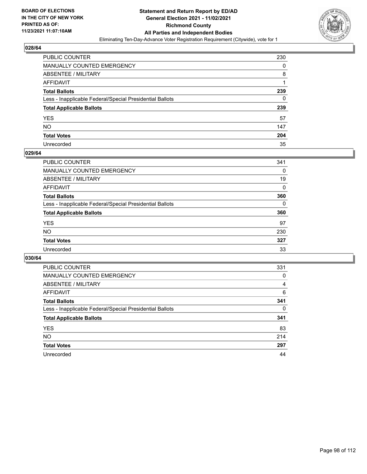

| PUBLIC COUNTER                                           | 230 |
|----------------------------------------------------------|-----|
| MANUALLY COUNTED EMERGENCY                               | 0   |
| ABSENTEE / MILITARY                                      | 8   |
| AFFIDAVIT                                                |     |
| Total Ballots                                            | 239 |
| Less - Inapplicable Federal/Special Presidential Ballots | 0   |
| <b>Total Applicable Ballots</b>                          | 239 |
| YES                                                      | 57  |
| NO.                                                      | 147 |
| <b>Total Votes</b>                                       | 204 |
| Unrecorded                                               | 35  |

#### **029/64**

| PUBLIC COUNTER                                           | 341      |
|----------------------------------------------------------|----------|
| <b>MANUALLY COUNTED EMERGENCY</b>                        | 0        |
| ABSENTEE / MILITARY                                      | 19       |
| AFFIDAVIT                                                | 0        |
| <b>Total Ballots</b>                                     | 360      |
| Less - Inapplicable Federal/Special Presidential Ballots | $\Omega$ |
| <b>Total Applicable Ballots</b>                          | 360      |
| <b>YES</b>                                               | 97       |
| <b>NO</b>                                                | 230      |
| <b>Total Votes</b>                                       | 327      |
| Unrecorded                                               | 33       |

| <b>PUBLIC COUNTER</b>                                    | 331      |
|----------------------------------------------------------|----------|
| <b>MANUALLY COUNTED EMERGENCY</b>                        | 0        |
| ABSENTEE / MILITARY                                      | 4        |
| AFFIDAVIT                                                | 6        |
| <b>Total Ballots</b>                                     | 341      |
| Less - Inapplicable Federal/Special Presidential Ballots | $\Omega$ |
| <b>Total Applicable Ballots</b>                          | 341      |
| <b>YES</b>                                               | 83       |
| <b>NO</b>                                                | 214      |
| <b>Total Votes</b>                                       | 297      |
| Unrecorded                                               | 44       |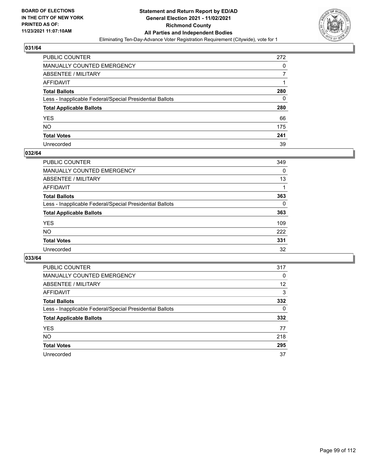

| PUBLIC COUNTER                                           | 272 |
|----------------------------------------------------------|-----|
| MANUALLY COUNTED EMERGENCY                               | 0   |
| ABSENTEE / MILITARY                                      |     |
| AFFIDAVIT                                                |     |
| <b>Total Ballots</b>                                     | 280 |
| Less - Inapplicable Federal/Special Presidential Ballots | 0   |
| <b>Total Applicable Ballots</b>                          | 280 |
| YES                                                      | 66  |
| NO.                                                      | 175 |
| <b>Total Votes</b>                                       | 241 |
| Unrecorded                                               | 39  |

#### **032/64**

| PUBLIC COUNTER                                           | 349 |
|----------------------------------------------------------|-----|
| <b>MANUALLY COUNTED EMERGENCY</b>                        | 0   |
| ABSENTEE / MILITARY                                      | 13  |
| AFFIDAVIT                                                |     |
| <b>Total Ballots</b>                                     | 363 |
| Less - Inapplicable Federal/Special Presidential Ballots | 0   |
| <b>Total Applicable Ballots</b>                          | 363 |
| <b>YES</b>                                               | 109 |
| <b>NO</b>                                                | 222 |
| <b>Total Votes</b>                                       | 331 |
| Unrecorded                                               | 32  |

| <b>PUBLIC COUNTER</b>                                    | 317      |
|----------------------------------------------------------|----------|
| MANUALLY COUNTED EMERGENCY                               | 0        |
| ABSENTEE / MILITARY                                      | 12       |
| AFFIDAVIT                                                | 3        |
| <b>Total Ballots</b>                                     | 332      |
| Less - Inapplicable Federal/Special Presidential Ballots | $\Omega$ |
| <b>Total Applicable Ballots</b>                          | 332      |
| <b>YES</b>                                               | 77       |
| <b>NO</b>                                                | 218      |
| <b>Total Votes</b>                                       | 295      |
| Unrecorded                                               | 37       |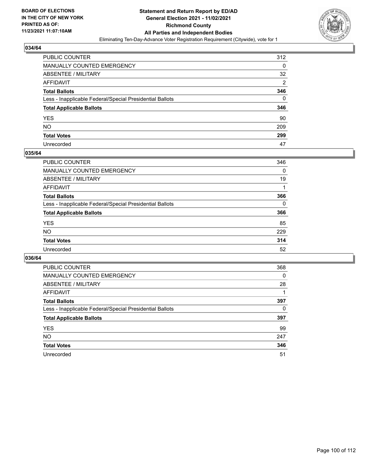

| PUBLIC COUNTER                                           | 312            |
|----------------------------------------------------------|----------------|
| MANUALLY COUNTED EMERGENCY                               | 0              |
| ABSENTEE / MILITARY                                      | 32             |
| AFFIDAVIT                                                | $\overline{2}$ |
| <b>Total Ballots</b>                                     | 346            |
| Less - Inapplicable Federal/Special Presidential Ballots | 0              |
| <b>Total Applicable Ballots</b>                          | 346            |
| YES                                                      | 90             |
| NO.                                                      | 209            |
| <b>Total Votes</b>                                       | 299            |
| Unrecorded                                               | 47             |

#### **035/64**

| PUBLIC COUNTER                                           | 346      |
|----------------------------------------------------------|----------|
| <b>MANUALLY COUNTED EMERGENCY</b>                        | 0        |
| <b>ABSENTEE / MILITARY</b>                               | 19       |
| AFFIDAVIT                                                |          |
| <b>Total Ballots</b>                                     | 366      |
| Less - Inapplicable Federal/Special Presidential Ballots | $\Omega$ |
| <b>Total Applicable Ballots</b>                          | 366      |
| <b>YES</b>                                               | 85       |
| NO                                                       | 229      |
| <b>Total Votes</b>                                       | 314      |
| Unrecorded                                               | 52       |

| <b>PUBLIC COUNTER</b>                                    | 368      |
|----------------------------------------------------------|----------|
| <b>MANUALLY COUNTED EMERGENCY</b>                        | $\Omega$ |
| ABSENTEE / MILITARY                                      | 28       |
| AFFIDAVIT                                                |          |
| <b>Total Ballots</b>                                     | 397      |
| Less - Inapplicable Federal/Special Presidential Ballots | 0        |
| <b>Total Applicable Ballots</b>                          | 397      |
| <b>YES</b>                                               | 99       |
| <b>NO</b>                                                | 247      |
| <b>Total Votes</b>                                       | 346      |
| Unrecorded                                               | 51       |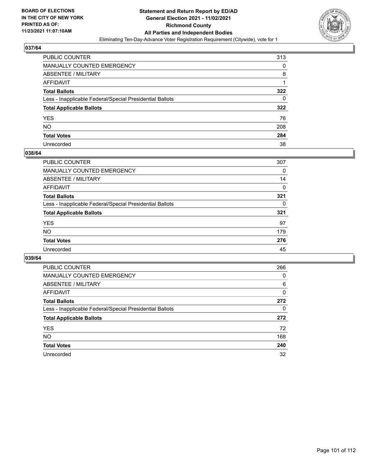

| PUBLIC COUNTER                                           | 313 |
|----------------------------------------------------------|-----|
| <b>MANUALLY COUNTED EMERGENCY</b>                        | 0   |
| <b>ABSENTEE / MILITARY</b>                               | 8   |
| <b>AFFIDAVIT</b>                                         |     |
| <b>Total Ballots</b>                                     | 322 |
| Less - Inapplicable Federal/Special Presidential Ballots | 0   |
| <b>Total Applicable Ballots</b>                          | 322 |
| <b>YES</b>                                               | 76  |
| <b>NO</b>                                                | 208 |
| <b>Total Votes</b>                                       | 284 |
| Unrecorded                                               | 38  |

#### **038/64**

| <b>PUBLIC COUNTER</b>                                    | 307      |
|----------------------------------------------------------|----------|
| <b>MANUALLY COUNTED EMERGENCY</b>                        | 0        |
| ABSENTEE / MILITARY                                      | 14       |
| AFFIDAVIT                                                | $\Omega$ |
| <b>Total Ballots</b>                                     | 321      |
| Less - Inapplicable Federal/Special Presidential Ballots | 0        |
| <b>Total Applicable Ballots</b>                          | 321      |
| <b>YES</b>                                               | 97       |
| <b>NO</b>                                                | 179      |
| <b>Total Votes</b>                                       | 276      |
| Unrecorded                                               | 45       |

| <b>PUBLIC COUNTER</b>                                    | 266 |
|----------------------------------------------------------|-----|
| MANUALLY COUNTED EMERGENCY                               | 0   |
| ABSENTEE / MILITARY                                      | 6   |
| AFFIDAVIT                                                | 0   |
| <b>Total Ballots</b>                                     | 272 |
| Less - Inapplicable Federal/Special Presidential Ballots | 0   |
| <b>Total Applicable Ballots</b>                          | 272 |
| <b>YES</b>                                               | 72  |
| NO.                                                      | 168 |
| <b>Total Votes</b>                                       | 240 |
| Unrecorded                                               | 32  |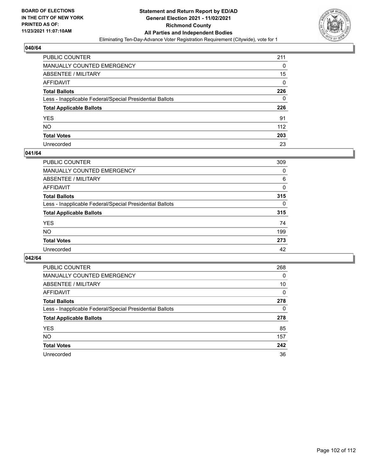

| PUBLIC COUNTER                                           | 211      |
|----------------------------------------------------------|----------|
| MANUALLY COUNTED EMERGENCY                               | 0        |
| <b>ABSENTEE / MILITARY</b>                               | 15       |
| AFFIDAVIT                                                | $\Omega$ |
| <b>Total Ballots</b>                                     | 226      |
| Less - Inapplicable Federal/Special Presidential Ballots | 0        |
| <b>Total Applicable Ballots</b>                          | 226      |
| YES                                                      | 91       |
| NO.                                                      | 112      |
| <b>Total Votes</b>                                       | 203      |
| Unrecorded                                               | 23       |

#### **041/64**

| <b>PUBLIC COUNTER</b>                                    | 309      |
|----------------------------------------------------------|----------|
| MANUALLY COUNTED EMERGENCY                               | 0        |
| ABSENTEE / MILITARY                                      | 6        |
| AFFIDAVIT                                                | 0        |
| <b>Total Ballots</b>                                     | 315      |
| Less - Inapplicable Federal/Special Presidential Ballots | $\Omega$ |
| <b>Total Applicable Ballots</b>                          | 315      |
| <b>YES</b>                                               | 74       |
| <b>NO</b>                                                | 199      |
| <b>Total Votes</b>                                       | 273      |
| Unrecorded                                               | 42       |

| <b>PUBLIC COUNTER</b>                                    | 268 |
|----------------------------------------------------------|-----|
| MANUALLY COUNTED EMERGENCY                               | 0   |
| ABSENTEE / MILITARY                                      | 10  |
| AFFIDAVIT                                                | 0   |
| <b>Total Ballots</b>                                     | 278 |
| Less - Inapplicable Federal/Special Presidential Ballots | 0   |
| <b>Total Applicable Ballots</b>                          | 278 |
| <b>YES</b>                                               | 85  |
| NO.                                                      | 157 |
| <b>Total Votes</b>                                       | 242 |
| Unrecorded                                               | 36  |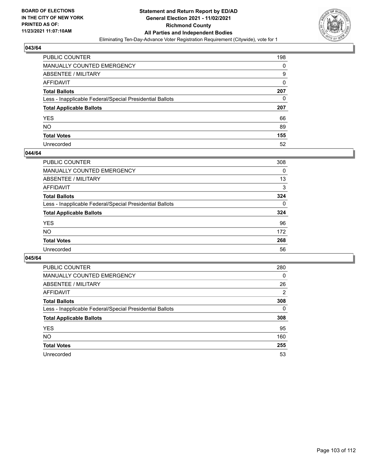

| PUBLIC COUNTER                                           | 198 |
|----------------------------------------------------------|-----|
| MANUALLY COUNTED EMERGENCY                               | 0   |
| <b>ABSENTEE / MILITARY</b>                               | 9   |
| <b>AFFIDAVIT</b>                                         | 0   |
| <b>Total Ballots</b>                                     | 207 |
| Less - Inapplicable Federal/Special Presidential Ballots | 0   |
| <b>Total Applicable Ballots</b>                          | 207 |
| YES                                                      | 66  |
| <b>NO</b>                                                | 89  |
| <b>Total Votes</b>                                       | 155 |
| Unrecorded                                               | 52  |

#### **044/64**

| PUBLIC COUNTER                                           | 308      |
|----------------------------------------------------------|----------|
| <b>MANUALLY COUNTED EMERGENCY</b>                        | 0        |
| ABSENTEE / MILITARY                                      | 13       |
| AFFIDAVIT                                                | 3        |
| <b>Total Ballots</b>                                     | 324      |
| Less - Inapplicable Federal/Special Presidential Ballots | $\Omega$ |
| <b>Total Applicable Ballots</b>                          | 324      |
| <b>YES</b>                                               | 96       |
| <b>NO</b>                                                | 172      |
| <b>Total Votes</b>                                       | 268      |
| Unrecorded                                               | 56       |

| <b>PUBLIC COUNTER</b>                                    | 280      |
|----------------------------------------------------------|----------|
| MANUALLY COUNTED EMERGENCY                               | $\Omega$ |
| ABSENTEE / MILITARY                                      | 26       |
| AFFIDAVIT                                                | 2        |
| <b>Total Ballots</b>                                     | 308      |
| Less - Inapplicable Federal/Special Presidential Ballots | $\Omega$ |
| <b>Total Applicable Ballots</b>                          | 308      |
| <b>YES</b>                                               | 95       |
| NO.                                                      | 160      |
| <b>Total Votes</b>                                       | 255      |
| Unrecorded                                               | 53       |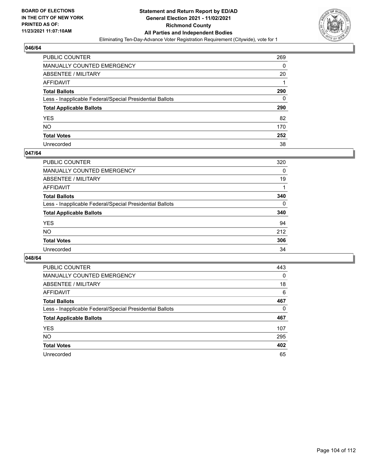

| PUBLIC COUNTER                                           | 269 |
|----------------------------------------------------------|-----|
| MANUALLY COUNTED EMERGENCY                               | 0   |
| ABSENTEE / MILITARY                                      | 20  |
| AFFIDAVIT                                                |     |
| <b>Total Ballots</b>                                     | 290 |
| Less - Inapplicable Federal/Special Presidential Ballots | 0   |
| <b>Total Applicable Ballots</b>                          | 290 |
| YES                                                      | 82  |
| NO.                                                      | 170 |
| <b>Total Votes</b>                                       | 252 |
| Unrecorded                                               | 38  |

#### **047/64**

| <b>PUBLIC COUNTER</b>                                    | 320      |
|----------------------------------------------------------|----------|
| <b>MANUALLY COUNTED EMERGENCY</b>                        | 0        |
| ABSENTEE / MILITARY                                      | 19       |
| <b>AFFIDAVIT</b>                                         |          |
| <b>Total Ballots</b>                                     | 340      |
| Less - Inapplicable Federal/Special Presidential Ballots | $\Omega$ |
| <b>Total Applicable Ballots</b>                          | 340      |
| <b>YES</b>                                               | 94       |
| <b>NO</b>                                                | 212      |
| <b>Total Votes</b>                                       | 306      |
| Unrecorded                                               | 34       |

| <b>PUBLIC COUNTER</b>                                    | 443      |
|----------------------------------------------------------|----------|
| MANUALLY COUNTED EMERGENCY                               | 0        |
| ABSENTEE / MILITARY                                      | 18       |
| AFFIDAVIT                                                | 6        |
| <b>Total Ballots</b>                                     | 467      |
| Less - Inapplicable Federal/Special Presidential Ballots | $\Omega$ |
| <b>Total Applicable Ballots</b>                          | 467      |
| <b>YES</b>                                               | 107      |
| <b>NO</b>                                                | 295      |
| <b>Total Votes</b>                                       | 402      |
| Unrecorded                                               | 65       |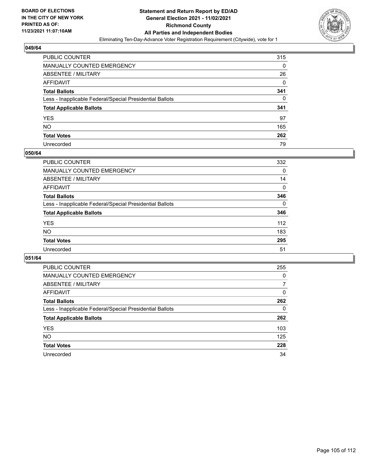

| PUBLIC COUNTER                                           | 315 |
|----------------------------------------------------------|-----|
| <b>MANUALLY COUNTED EMERGENCY</b>                        | 0   |
| ABSENTEE / MILITARY                                      | 26  |
| AFFIDAVIT                                                | 0   |
| <b>Total Ballots</b>                                     | 341 |
| Less - Inapplicable Federal/Special Presidential Ballots | 0   |
| <b>Total Applicable Ballots</b>                          | 341 |
| <b>YES</b>                                               | 97  |
| NO.                                                      | 165 |
| <b>Total Votes</b>                                       | 262 |
| Unrecorded                                               | 79  |

#### **050/64**

| <b>PUBLIC COUNTER</b>                                    | 332      |
|----------------------------------------------------------|----------|
| <b>MANUALLY COUNTED EMERGENCY</b>                        | 0        |
| ABSENTEE / MILITARY                                      | 14       |
| AFFIDAVIT                                                | 0        |
| <b>Total Ballots</b>                                     | 346      |
| Less - Inapplicable Federal/Special Presidential Ballots | $\Omega$ |
| <b>Total Applicable Ballots</b>                          | 346      |
| <b>YES</b>                                               | 112      |
| <b>NO</b>                                                | 183      |
| <b>Total Votes</b>                                       | 295      |
| Unrecorded                                               | 51       |

| <b>PUBLIC COUNTER</b>                                    | 255      |
|----------------------------------------------------------|----------|
| <b>MANUALLY COUNTED EMERGENCY</b>                        | $\Omega$ |
| ABSENTEE / MILITARY                                      | 7        |
| AFFIDAVIT                                                | $\Omega$ |
| <b>Total Ballots</b>                                     | 262      |
| Less - Inapplicable Federal/Special Presidential Ballots | 0        |
| <b>Total Applicable Ballots</b>                          | 262      |
| <b>YES</b>                                               | 103      |
| <b>NO</b>                                                | 125      |
| <b>Total Votes</b>                                       | 228      |
| Unrecorded                                               | 34       |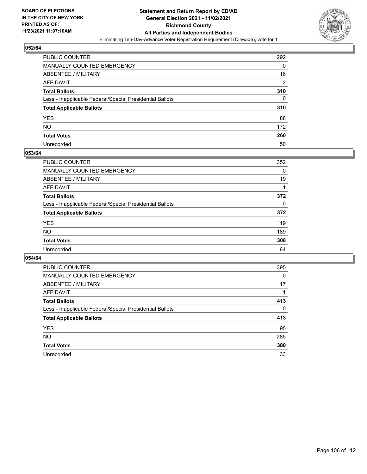

| PUBLIC COUNTER                                           | 292            |
|----------------------------------------------------------|----------------|
| MANUALLY COUNTED EMERGENCY                               | 0              |
| <b>ABSENTEE / MILITARY</b>                               | 16             |
| AFFIDAVIT                                                | $\overline{2}$ |
| <b>Total Ballots</b>                                     | 310            |
| Less - Inapplicable Federal/Special Presidential Ballots | 0              |
| <b>Total Applicable Ballots</b>                          | 310            |
| YES                                                      | 88             |
| <b>NO</b>                                                | 172            |
| <b>Total Votes</b>                                       | 260            |
| Unrecorded                                               | 50             |

#### **053/64**

| PUBLIC COUNTER                                           | 352      |
|----------------------------------------------------------|----------|
| <b>MANUALLY COUNTED EMERGENCY</b>                        | $\Omega$ |
| ABSENTEE / MILITARY                                      | 19       |
| AFFIDAVIT                                                |          |
| <b>Total Ballots</b>                                     | 372      |
| Less - Inapplicable Federal/Special Presidential Ballots | $\Omega$ |
| <b>Total Applicable Ballots</b>                          | 372      |
| <b>YES</b>                                               | 119      |
| <b>NO</b>                                                | 189      |
| <b>Total Votes</b>                                       | 308      |
| Unrecorded                                               | 64       |

| <b>PUBLIC COUNTER</b>                                    | 395      |
|----------------------------------------------------------|----------|
| MANUALLY COUNTED EMERGENCY                               | 0        |
| ABSENTEE / MILITARY                                      | 17       |
| AFFIDAVIT                                                |          |
| <b>Total Ballots</b>                                     | 413      |
| Less - Inapplicable Federal/Special Presidential Ballots | $\Omega$ |
| <b>Total Applicable Ballots</b>                          | 413      |
| <b>YES</b>                                               | 95       |
| <b>NO</b>                                                | 285      |
| <b>Total Votes</b>                                       | 380      |
| Unrecorded                                               | 33       |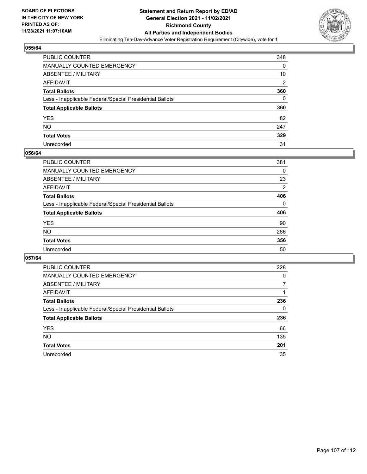

| PUBLIC COUNTER                                           | 348 |
|----------------------------------------------------------|-----|
| MANUALLY COUNTED EMERGENCY                               | 0   |
| <b>ABSENTEE / MILITARY</b>                               | 10  |
| AFFIDAVIT                                                | 2   |
| <b>Total Ballots</b>                                     | 360 |
| Less - Inapplicable Federal/Special Presidential Ballots | 0   |
| <b>Total Applicable Ballots</b>                          | 360 |
| YES                                                      | 82  |
| NO.                                                      | 247 |
| <b>Total Votes</b>                                       | 329 |
| Unrecorded                                               | 31  |

#### **056/64**

| <b>PUBLIC COUNTER</b>                                    | 381            |
|----------------------------------------------------------|----------------|
| <b>MANUALLY COUNTED EMERGENCY</b>                        | $\Omega$       |
| ABSENTEE / MILITARY                                      | 23             |
| AFFIDAVIT                                                | $\overline{2}$ |
| <b>Total Ballots</b>                                     | 406            |
| Less - Inapplicable Federal/Special Presidential Ballots | $\Omega$       |
| <b>Total Applicable Ballots</b>                          | 406            |
| <b>YES</b>                                               | 90             |
| <b>NO</b>                                                | 266            |
| <b>Total Votes</b>                                       | 356            |
| Unrecorded                                               | 50             |

| <b>PUBLIC COUNTER</b>                                    | 228      |
|----------------------------------------------------------|----------|
| <b>MANUALLY COUNTED EMERGENCY</b>                        | $\Omega$ |
| ABSENTEE / MILITARY                                      |          |
| AFFIDAVIT                                                |          |
| <b>Total Ballots</b>                                     | 236      |
| Less - Inapplicable Federal/Special Presidential Ballots | 0        |
| <b>Total Applicable Ballots</b>                          | 236      |
| <b>YES</b>                                               | 66       |
| NO.                                                      | 135      |
| <b>Total Votes</b>                                       | 201      |
| Unrecorded                                               | 35       |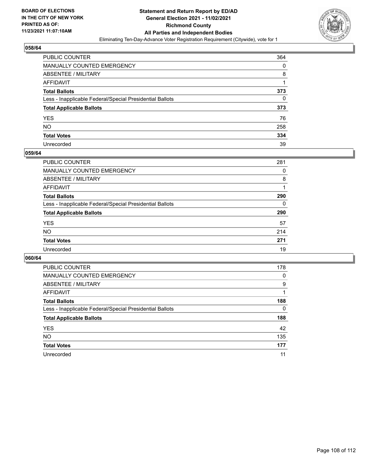

| PUBLIC COUNTER                                           | 364 |
|----------------------------------------------------------|-----|
| MANUALLY COUNTED EMERGENCY                               | 0   |
| <b>ABSENTEE / MILITARY</b>                               | 8   |
| AFFIDAVIT                                                |     |
| <b>Total Ballots</b>                                     | 373 |
| Less - Inapplicable Federal/Special Presidential Ballots | 0   |
| <b>Total Applicable Ballots</b>                          | 373 |
| YES                                                      | 76  |
| NO.                                                      | 258 |
| <b>Total Votes</b>                                       | 334 |
| Unrecorded                                               | 39  |

#### **059/64**

| PUBLIC COUNTER                                           | 281 |
|----------------------------------------------------------|-----|
| <b>MANUALLY COUNTED EMERGENCY</b>                        | 0   |
| ABSENTEE / MILITARY                                      | 8   |
| AFFIDAVIT                                                |     |
| <b>Total Ballots</b>                                     | 290 |
| Less - Inapplicable Federal/Special Presidential Ballots | 0   |
| <b>Total Applicable Ballots</b>                          | 290 |
| <b>YES</b>                                               | 57  |
| <b>NO</b>                                                | 214 |
| <b>Total Votes</b>                                       | 271 |
| Unrecorded                                               | 19  |

| <b>PUBLIC COUNTER</b>                                    | 178      |
|----------------------------------------------------------|----------|
| <b>MANUALLY COUNTED EMERGENCY</b>                        | 0        |
| ABSENTEE / MILITARY                                      | 9        |
| AFFIDAVIT                                                |          |
| <b>Total Ballots</b>                                     | 188      |
| Less - Inapplicable Federal/Special Presidential Ballots | $\Omega$ |
| <b>Total Applicable Ballots</b>                          | 188      |
| <b>YES</b>                                               | 42       |
| <b>NO</b>                                                | 135      |
| <b>Total Votes</b>                                       | 177      |
| Unrecorded                                               | 11       |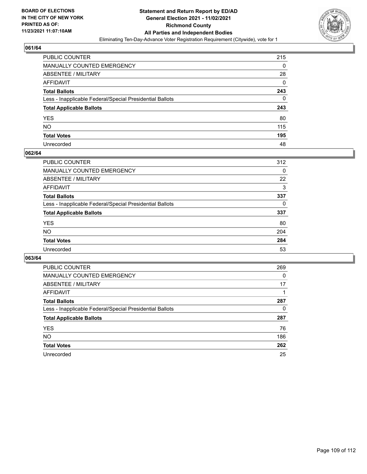

# **061/64**

| PUBLIC COUNTER                                           | 215 |
|----------------------------------------------------------|-----|
| <b>MANUALLY COUNTED EMERGENCY</b>                        | 0   |
| ABSENTEE / MILITARY                                      | 28  |
| AFFIDAVIT                                                | 0   |
| <b>Total Ballots</b>                                     | 243 |
| Less - Inapplicable Federal/Special Presidential Ballots | 0   |
| <b>Total Applicable Ballots</b>                          | 243 |
| <b>YES</b>                                               | 80  |
| NO.                                                      | 115 |
| <b>Total Votes</b>                                       | 195 |
| Unrecorded                                               | 48  |

### **062/64**

| <b>PUBLIC COUNTER</b>                                    | 312 |
|----------------------------------------------------------|-----|
| <b>MANUALLY COUNTED EMERGENCY</b>                        | 0   |
| ABSENTEE / MILITARY                                      | 22  |
| AFFIDAVIT                                                | 3   |
| <b>Total Ballots</b>                                     | 337 |
| Less - Inapplicable Federal/Special Presidential Ballots | 0   |
| <b>Total Applicable Ballots</b>                          | 337 |
| <b>YES</b>                                               | 80  |
| <b>NO</b>                                                | 204 |
| <b>Total Votes</b>                                       | 284 |
| Unrecorded                                               | 53  |

### **063/64**

| <b>PUBLIC COUNTER</b>                                    | 269      |
|----------------------------------------------------------|----------|
| MANUALLY COUNTED EMERGENCY                               | $\Omega$ |
| ABSENTEE / MILITARY                                      | 17       |
| AFFIDAVIT                                                |          |
| <b>Total Ballots</b>                                     | 287      |
| Less - Inapplicable Federal/Special Presidential Ballots | 0        |
| <b>Total Applicable Ballots</b>                          | 287      |
| <b>YES</b>                                               | 76       |
| NO.                                                      | 186      |
| <b>Total Votes</b>                                       | 262      |
| Unrecorded                                               | 25       |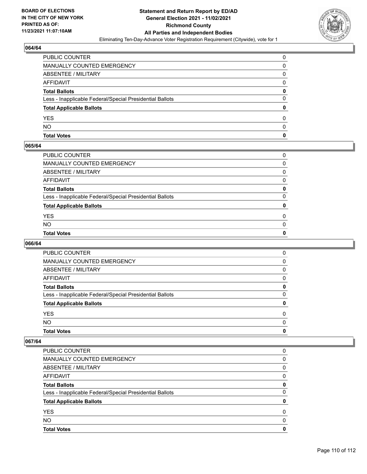

# **064/64**

| PUBLIC COUNTER                                           | ŋ |
|----------------------------------------------------------|---|
| <b>MANUALLY COUNTED EMERGENCY</b>                        | 0 |
| <b>ABSENTEE / MILITARY</b>                               | O |
| <b>AFFIDAVIT</b>                                         | 0 |
| <b>Total Ballots</b>                                     | 0 |
| Less - Inapplicable Federal/Special Presidential Ballots |   |
| <b>Total Applicable Ballots</b>                          |   |
| <b>YES</b>                                               | O |
| <b>NO</b>                                                | O |
| <b>Total Votes</b>                                       | o |

### **065/64**

| PUBLIC COUNTER                                           | 0        |
|----------------------------------------------------------|----------|
| MANUALLY COUNTED EMERGENCY                               | 0        |
| ABSENTEE / MILITARY                                      | $\Omega$ |
| AFFIDAVIT                                                | 0        |
| Total Ballots                                            | 0        |
| Less - Inapplicable Federal/Special Presidential Ballots | $\Omega$ |
| <b>Total Applicable Ballots</b>                          | 0        |
| <b>YES</b>                                               | $\Omega$ |
| NO.                                                      | $\Omega$ |
| <b>Total Votes</b>                                       | 0        |
|                                                          |          |

# **066/64**

| <b>Total Votes</b>                                       | 0        |
|----------------------------------------------------------|----------|
| <b>NO</b>                                                | $\Omega$ |
| <b>YES</b>                                               | 0        |
| <b>Total Applicable Ballots</b>                          | 0        |
| Less - Inapplicable Federal/Special Presidential Ballots | 0        |
| <b>Total Ballots</b>                                     | 0        |
| AFFIDAVIT                                                | 0        |
| <b>ABSENTEE / MILITARY</b>                               | 0        |
| <b>MANUALLY COUNTED EMERGENCY</b>                        | 0        |
| PUBLIC COUNTER                                           | 0        |

#### **067/64**

| <b>Total Votes</b>                                       | O |
|----------------------------------------------------------|---|
| NO.                                                      | O |
| <b>YES</b>                                               | 0 |
| <b>Total Applicable Ballots</b>                          |   |
| Less - Inapplicable Federal/Special Presidential Ballots | 0 |
| <b>Total Ballots</b>                                     | 0 |
| AFFIDAVIT                                                | 0 |
| ABSENTEE / MILITARY                                      | 0 |
| MANUALLY COUNTED EMERGENCY                               | 0 |
| PUBLIC COUNTER                                           | 0 |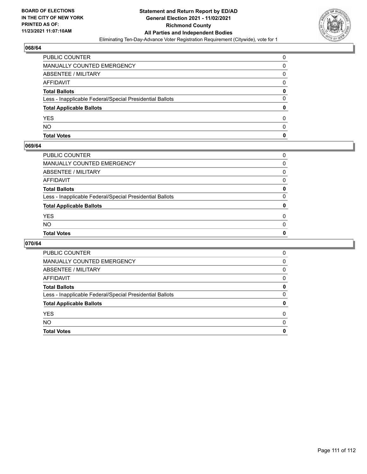

### **068/64**

| <b>PUBLIC COUNTER</b>                                    | ŋ |
|----------------------------------------------------------|---|
| MANUALLY COUNTED EMERGENCY                               | 0 |
| ABSENTEE / MILITARY                                      | 0 |
| AFFIDAVIT                                                | O |
| <b>Total Ballots</b>                                     | 0 |
| Less - Inapplicable Federal/Special Presidential Ballots | 0 |
| <b>Total Applicable Ballots</b>                          |   |
| <b>YES</b>                                               | 0 |
| <b>NO</b>                                                | O |
| <b>Total Votes</b>                                       | o |

### **069/64**

| PUBLIC COUNTER                                           | 0            |
|----------------------------------------------------------|--------------|
| MANUALLY COUNTED EMERGENCY                               | 0            |
| ABSENTEE / MILITARY                                      | 0            |
| AFFIDAVIT                                                | $\mathbf{0}$ |
| Total Ballots                                            | 0            |
| Less - Inapplicable Federal/Special Presidential Ballots | $\Omega$     |
| <b>Total Applicable Ballots</b>                          | 0            |
| <b>YES</b>                                               | $\Omega$     |
| NO.                                                      | $\Omega$     |
| <b>Total Votes</b>                                       | 0            |
|                                                          |              |

# **070/64**

| <b>Total Votes</b>                                       | 0 |
|----------------------------------------------------------|---|
| <b>NO</b>                                                | 0 |
| <b>YES</b>                                               | 0 |
| <b>Total Applicable Ballots</b>                          | 0 |
| Less - Inapplicable Federal/Special Presidential Ballots | 0 |
| <b>Total Ballots</b>                                     | 0 |
| AFFIDAVIT                                                | 0 |
| ABSENTEE / MILITARY                                      | 0 |
| <b>MANUALLY COUNTED EMERGENCY</b>                        | 0 |
| PUBLIC COUNTER                                           | 0 |